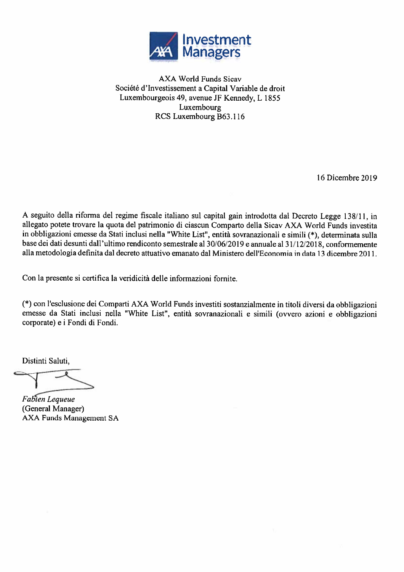

**AXA World Funds Sicav** Société d'Investissement a Capital Variable de droit Luxembourgeois 49, avenue JF Kennedy, L 1855 Luxembourg RCS Luxembourg B63.116

16 Dicembre 2019

A seguito della riforma del regime fiscale italiano sul capital gain introdotta dal Decreto Legge 138/11, in allegato potete trovare la quota del patrimonio di ciascun Comparto della Sicav AXA World Funds investita in obbligazioni emesse da Stati inclusi nella "White List", entità sovranazionali e simili (\*), determinata sulla base dei dati desunti dall'ultimo rendiconto semestrale al 30/06/2019 e annuale al 31/12/2018, conformemente alla metodologia definita dal decreto attuativo emanato dal Ministero dell'Economia in data 13 dicembre 2011.

Con la presente si certifica la veridicità delle informazioni fornite.

(\*) con l'esclusione dei Comparti AXA World Funds investiti sostanzialmente in titoli diversi da obbligazioni emesse da Stati inclusi nella "White List", entità sovranazionali e simili (ovvero azioni e obbligazioni corporate) e i Fondi di Fondi.

Distinti Saluti.

Fabien Lequeue (General Manager) **AXA Funds Management SA**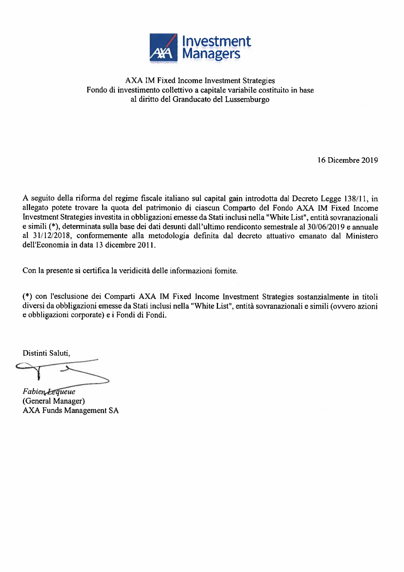

## AXA IM Fixed Income Investment Strategies Fondo di investimento collettivo a capitale variabile costituito in base al diritto del Granducato del Lussemburgo

16 Dicembre 2019

A seguito della riforma del regime fiscale italiano sul capital gain introdotta dal Decreto Legge 138/11, in allegato potete trovare la quota del patrimonio di ciascun Comparto del Fondo AXA IM Fixed Income Investment Strategies investita in obbligazioni emesse da Stati inclusi nella "White List", entità sovranazionali e simili (\*), determinata sulla base dei dati desunti dall'ultimo rendiconto semestrale al 30/06/2019 e annuale al 31/12/2018, conformemente alla metodologia definita dal decreto attuativo emanato dal Ministero dell'Economia in data 13 dicembre 2011.

Con la presente si certifica la veridicità delle informazioni fornite.

(\*) con l'esclusione dei Comparti AXA IM Fixed Income Investment Strategies sostanzialmente in titoli diversi da obbligazioni emesse da Stati inclusi nella "White List", entità sovranazionali e simili (ovvero azioni e obbligazioni corporate) e i Fondi di Fondi.

Distinti Saluti,

Fabien Lequeue (General Manager) **AXA Funds Management SA**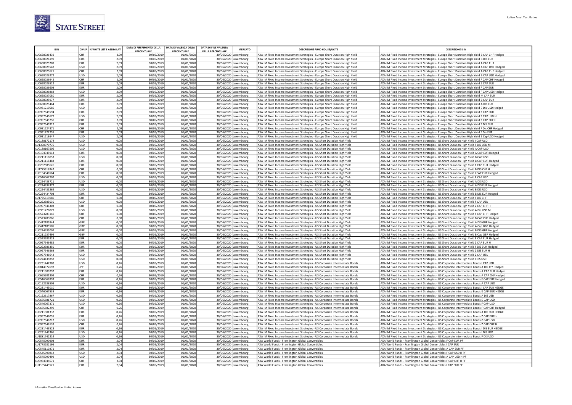

|              |            | DIVISA   % WHITE LIST E ASSIMILATI | DATA DI RIFERIMENTO DELLA | <b>DATA DI VALENZA DELLA</b> | <b>DATA DI FINE VALENZA</b><br><b>MERCATO</b>  | <b>DESCRIZIONE FUND HOUSE/UCITS</b>                                          | <b>DESCRIZIONE ISIN</b>                                                                       |
|--------------|------------|------------------------------------|---------------------------|------------------------------|------------------------------------------------|------------------------------------------------------------------------------|-----------------------------------------------------------------------------------------------|
| LU0658026439 | Існғ       | 2,09                               | PERCENTUALE<br>30/06/2019 | PERCENTUALE<br>01/01/2020    | <b>DELLA PERCENTUALE</b>                       | AXA IM Fixed Income Investment Strategies - Europe Short Duration High Yield | AXA IM Fixed Income Investment Strategies - Europe Short Duration High Yield B CAP CHF Hedged |
| LU0658026199 | FUR        | 2,09                               | 30/06/2019                | 01/01/2020                   | 30/06/2020 Luxembourg<br>30/06/2020 Luxembourg | AXA IM Fixed Income Investment Strategies - Europe Short Duration High Yield | AXA IM Fixed Income Investment Strategies - Europe Short Duration High Yield B DIS EUR        |
| LU0658025209 | EUR        | 2,09                               | 30/06/2019                | 01/01/2020                   | 30/06/2020 Luxembourg                          | AXA IM Fixed Income Investment Strategies - Europe Short Duration High Yield | AXA IM Fixed Income Investment Strategies - Europe Short Duration High Yield A CAP EUR        |
| LU0658025548 | lusp       | 2,09                               | 30/06/2019                | 01/01/2020                   | 30/06/2020 Luxembourg                          | AXA IM Fixed Income Investment Strategies - Europe Short Duration High Yield | AXA IM Fixed Income Investment Strategies - Europe Short Duration High Yield A CAP USD Hedged |
| LU0658025621 | lchf       | 2,09                               | 30/06/2019                | 01/01/2020                   | 30/06/2020<br>Luxembourg                       | AXA IM Fixed Income Investment Strategies - Europe Short Duration High Yield | AXA IM Fixed Income Investment Strategies - Europe Short Duration High Yield A CAP CHF Hedged |
| LU0658026272 | lusp       | 2.09                               | 30/06/2019                | 01/01/2020                   | 30/06/2020 Luxembourg                          | AXA IM Fixed Income Investment Strategies - Europe Short Duration High Yield | AXA IM Fixed Income Investment Strategies - Europe Short Duration High Yield B CAP USD Hedged |
| LU0658026942 | снғ        | 2,09                               | 30/06/2019                | 01/01/2020                   | 30/06/2020<br>uxembourg                        | AXA IM Fixed Income Investment Strategies - Europe Short Duration High Yield | AXA IM Fixed Income Investment Strategies - Europe Short Duration High Yield F CAP CHF Hedged |
| LU0658026512 | EUR        | 2,09                               | 30/06/2019                | 01/01/2020                   | 30/06/2020 Luxembourg                          | AXA IM Fixed Income Investment Strategies - Europe Short Duration High Yield | AXA IM Fixed Income Investment Strategies - Europe Short Duration High Yield E CAP EUR        |
| LU0658026603 | EUR        | 2,09                               | 30/06/2019                | 01/01/2020                   | 30/06/2020<br>Luxembourg                       | AXA IM Fixed Income Investment Strategies - Europe Short Duration High Yield | AXA IM Fixed Income Investment Strategies - Europe Short Duration High Yield F CAP EUR        |
| LU0658026868 | lusp       | 2,09                               | 30/06/2019                | 01/01/2020                   | 30/06/2020<br>uxembourg                        | AXA IM Fixed Income Investment Strategies - Europe Short Duration High Yield | AXA IM Fixed Income Investment Strategies - Europe Short Duration High Yield F CAP USD Hedged |
| LU0658027080 | EUR        | 2.09                               | 30/06/2019                | 01/01/2020                   | 30/06/2020 Luxembourg                          | AXA IM Fixed Income Investment Strategies - Europe Short Duration High Yield | AXA IM Fixed Income Investment Strategies - Europe Short Duration High Yield M CAP EUR        |
| LU0658025977 | EUR        | 2,09                               | 30/06/2019                | 01/01/2020                   | 30/06/2020 Luxembourg                          | AXA IM Fixed Income Investment Strategies - Europe Short Duration High Yield | AXA IM Fixed Income Investment Strategies - Europe Short Duration High Yield B CAP EUR        |
| LU0658025464 | EUR        | 2,09                               | 30/06/2019                | 01/01/2020                   | 30/06/2020<br>uxembourg                        | AXA IM Fixed Income Investment Strategies - Europe Short Duration High Yield | AXA IM Fixed Income Investment Strategies - Europe Short Duration High Yield A DIS EUR        |
| LU0931210586 | <b>USD</b> | 2,09                               | 30/06/2019                | 01/01/2020                   | 30/06/2020 Luxembourg                          | AXA IM Fixed Income Investment Strategies - Europe Short Duration High Yield | AXA IM Fixed Income Investment Strategies - Europe Short Duration High Yield E Dis USD Hedged |
| LU0997545594 | EUR        | 2,09                               | 30/06/2019                | 01/01/2020                   | 30/06/2020<br>uxemboure                        | AXA IM Fixed Income Investment Strategies - Europe Short Duration High Yield | AXA IM Fixed Income Investment Strategies - Europe Short Duration High Yield Z CAP EUR        |
| LU0997545677 | lusp       | 2.09                               | 30/06/2019                | 01/01/2020                   | 30/06/2020 Luxembourg                          | AXA IM Fixed Income Investment Strategies - Europe Short Duration High Yield | AXA IM Fixed Income Investment Strategies - Europe Short Duration High Yield Z CAP USD H      |
| LU0997545750 | CHF        | 2,09                               | 30/06/2019                | 01/01/2020                   | 30/06/2020 Luxembourg                          | AXA IM Fixed Income Investment Strategies - Europe Short Duration High Yield | AXA IM Fixed Income Investment Strategies - Europe Short Duration High Yield Z CAP CHF H      |
| LU0997545917 | EUR        | 2,09                               | 30/06/2019                | 01/01/2020                   | 30/06/2020<br>uxembourg                        | AXA IM Fixed Income Investment Strategies - Europe Short Duration High Yield | AXA IM Fixed Income Investment Strategies - Europe Short Duration High Yield Z DIS EUR        |
| LU0931224371 | CHF        | 2,09                               | 30/06/2019                | 01/01/2020                   | 30/06/2020 Luxembourg                          | AXA IM Fixed Income Investment Strategies - Europe Short Duration High Yield | AXA IM Fixed Income Investment Strategies - Europe Short Duration High Yield F Dis CHF Hedged |
| LU0931222755 | <b>EUR</b> | 2.09                               | 30/06/2019                | 01/01/2020                   | 30/06/2020 Luxembourg                          | AXA IM Fixed Income Investment Strategies - Europe Short Duration High Yield | AXA IM Fixed Income Investment Strategies - Europe Short Duration High Yield F Dis EUR        |
| LU0931218647 | USD        | 2,09                               | 30/06/2019                | 01/01/2020                   | 30/06/2020 Luxembourg                          | AXA IM Fixed Income Investment Strategies - Europe Short Duration High Yield | AXA IM Fixed Income Investment Strategies - Europe Short Duration High Yield E Cap USD Hedged |
| LU0188172174 | <b>USD</b> | 0,00                               | 30/06/2019                | 01/01/2020                   | 30/06/2020 Luxembourg                          | AXA IM Fixed Income Investment Strategies - US Short Duration High Yield     | AXA IM Fixed Income Investment Strategies - US Short Duration High Yield I CAP USD            |
| LU1390070776 | lusp       | 0.00                               | 30/06/2019                | 01/01/2020                   | 30/06/2020 Luxembourg                          | AXA IM Fixed Income Investment Strategies - US Short Duration High Yield     | AXA IM Fixed Income Investment Strategies - US Short Duration High Yield F DIS USD M          |
| LU0188167505 | lusp       | 0.00                               | 30/06/2019                | 01/01/2020                   | 30/06/2020 Luxembours                          | AXA IM Fixed Income Investment Strategies - US Short Duration High Yield     | AXA IM Fixed Income Investment Strategies - US Short Duration High Yield A CAP USD            |
| LU0194345913 | EUR        | 0.00                               | 30/06/2019                | 01/01/2020                   | 30/06/2020 Luxembourg                          | AXA IM Fixed Income Investment Strategies - US Short Duration High Yield     | AXA IM Fixed Income Investment Strategies - US Short Duration High Yield A CAP EUR Hedged     |
| LU0211118053 | <b>USD</b> | 0.00                               | 30/06/2019                | 01/01/2020                   | 30/06/2020<br>uxembourg                        | AXA IM Fixed Income Investment Strategies - US Short Duration High Yield     | AXA IM Fixed Income Investment Strategies - US Short Duration High Yield B CAP USD            |
| LU0211118483 | EUR        | 0.00                               | 30/06/2019                | 01/01/2020                   | 30/06/2020 Luxembourg                          | AXA IM Fixed Income Investment Strategies - US Short Duration High Yield     | AXA IM Fixed Income Investment Strategies - US Short Duration High Yield B CAP EUR Hedged     |
| LU0292585626 | <b>EUR</b> | 0.00                               | 30/06/2019                | 01/01/2020                   | 30/06/2020<br>Luxembourg                       | AXA IM Fixed Income Investment Strategies - US Short Duration High Yield     | AXA IM Fixed Income Investment Strategies - US Short Duration High Yield F CAP EUR Hedged     |
| LU1775618942 | <b>CHF</b> | 0.00                               | 30/06/2019                | 01/01/2020                   | 30/06/2020<br>Luxembourg                       | AXA IM Fixed Income Investment Strategies - US Short Duration High Yield     | AXA IM Fixed Income Investment Strategies - US Short Duration High Yield B DIS CHF H          |
| LU0194346564 | EUR        | 0.00                               | 30/06/2019                | 01/01/2020                   | 30/06/2020 Luxembourg                          | AXA IM Fixed Income Investment Strategies - US Short Duration High Yield     | AXA IM Fixed Income Investment Strategies - US Short Duration High Yield I CAP EUR Hedged     |
| LU0546067702 | lusp       | 0.00                               | 30/06/2019                | 01/01/2020                   | 30/06/2020 Luxembourg                          | AXA IM Fixed Income Investment Strategies - US Short Duration High Yield     | AXA IM Fixed Income Investment Strategies - US Short Duration High Yield E CAP USD            |
| LU0224433721 | lusp       | 0.00                               | 30/06/2019                | 01/01/2020                   | 30/06/2020<br>Luxembourg                       | AXA IM Fixed Income Investment Strategies - US Short Duration High Yield     | AXA IM Fixed Income Investment Strategies - US Short Duration High Yield A DIS USD            |
| LU0224434372 | <b>EUR</b> | 0.00                               | 30/06/2019                | 01/01/2020                   | 30/06/2020 Luxembourg                          | AXA IM Fixed Income Investment Strategies - US Short Duration High Yield     | AXA IM Fixed Income Investment Strategies - US Short Duration High Yield A DIS EUR Hedged     |
| LU0224435262 | lusp       | 0.00                               | 30/06/2019                | 01/01/2020                   | 30/06/2020 Luxembourg                          | AXA IM Fixed Income Investment Strategies - US Short Duration High Yield     | AXA IM Fixed Income Investment Strategies - US Short Duration High Yield B DIS USD            |
| LU0224434703 | EUR        | 0.00                               | 30/06/2019                | 01/01/2020                   | 30/06/2020 Luxembourg                          | AXA IM Fixed Income Investment Strategies - US Short Duration High Yield     | AXA IM Fixed Income Investment Strategies - US Short Duration High Yield B DIS EUR Hedged     |
| LU1775619080 | <b>CHE</b> | 0.00                               | 30/06/2019                | 01/01/2020                   | 30/06/2020<br>Luxembourg                       | AXA IM Fixed Income Investment Strategies - US Short Duration High Yield     | AXA IM Fixed Income Investment Strategies - US Short Duration High Yield F DIS CHF H          |
| LU0292585030 | lusp       | 0.00                               | 30/06/2019                | 01/01/2020                   | 30/06/2020<br>uxembourg                        | AXA IM Fixed Income Investment Strategies - US Short Duration High Yield     | AXA IM Fixed Income Investment Strategies - US Short Duration High Yield F CAP USD            |
| LU0997546303 | CHF        | 0.00                               | 30/06/2019                | 01/01/2020                   | 30/06/2020 Luxembourg                          | AXA IM Fixed Income Investment Strategies - US Short Duration High Yield     | AXA IM Fixed Income Investment Strategies - US Short Duration High Yield Z CAP CHF H          |
| LU0931226079 | lusp       | 0.00                               | 30/06/2019                | 01/01/2020                   | 30/06/2020 Luxembourg                          | AXA IM Fixed Income Investment Strategies - US Short Duration High Yield     | AXA IM Fixed Income Investment Strategies - US Short Duration High Yield A Dis USD M          |
| LU0523283140 | lchf       | 0,00                               | 30/06/2019                | 01/01/2020                   | 30/06/2020 Luxembourg                          | AXA IM Fixed Income Investment Strategies - US Short Duration High Yield     | AXA IM Fixed Income Investment Strategies - US Short Duration High Yield F CAP CHF Hedged     |
| LU0523283066 | lchf       | 0.00                               | 30/06/2019                | 01/01/2020                   | 30/06/2020 Luxembourg                          | AXA IM Fixed Income Investment Strategies - US Short Duration High Yield     | AXA IM Fixed Income Investment Strategies - US Short Duration High Yield B CAP CHF Hedged     |
| LU0412185844 | GBP        | 0.00                               | 30/06/2019                | 01/01/2020                   | 30/06/2020<br>uxemboure                        | AXA IM Fixed Income Investment Strategies - US Short Duration High Yield     | AXA IM Fixed Income Investment Strategies - US Short Duration High Yield A DIS GBP Hedged     |
| LU0412185505 | GBP        | 0.00                               | 30/06/2019                | 01/01/2020                   | 30/06/2020 Luxembourg                          | AXA IM Fixed Income Investment Strategies - US Short Duration High Yield     | AXA IM Fixed Income Investment Strategies - US Short Duration High Yield A Cap GBP Hedged     |
| LU0224435007 | GBP        | 0.00                               | 30/06/2019                | 01/01/2020                   | 30/06/2020 Luxembourg                          | AXA IM Fixed Income Investment Strategies - US Short Duration High Yield     | AXA IM Fixed Income Investment Strategies - US Short Duration High Yield B DIS GBP Hedged     |
| LU0211237499 | GBP        | 0,00                               | 30/06/2019                | 01/01/2020                   | 30/06/2020<br>uxembourg                        | AXA IM Fixed Income Investment Strategies - US Short Duration High Yield     | AXA IM Fixed Income Investment Strategies - US Short Duration High Yield B Cap GBP Hedged     |
| LU0523282928 | EUR        | 0.00                               | 30/06/2019                | 01/01/2020                   | 30/06/2020<br>Luxembourg                       | AXA IM Fixed Income Investment Strategies - US Short Duration High Yield     | AXA IM Fixed Income Investment Strategies - US Short Duration High Yield E CAP EUR Hedged     |
| LU0997546485 | FUR        | 0.00                               | 30/06/2019                | 01/01/2020                   | 30/06/2020 Luxembourg                          | AXA IM Fixed Income Investment Strategies - US Short Duration High Yield     | AXA IM Fixed Income Investment Strategies - US Short Duration High Yield Z CAP EUR H          |
| LU0292586350 | <b>EUR</b> | 0.00                               | 30/06/2019                | 01/01/2020                   | 30/06/2020 Luxembourg                          | AXA IM Fixed Income Investment Strategies - US Short Duration High Yield     | AXA IM Fixed Income Investment Strategies - US Short Duration High Yield F DIS EUR Hedged     |
| LU0997546568 | EUR        | 0,00                               | 30/06/2019                | 01/01/2020                   | 30/06/2020 Luxembourg                          | AXA IM Fixed Income Investment Strategies - US Short Duration High Yield     | AXA IM Fixed Income Investment Strategies - US Short Duration High Yield Z DIS EUR H          |
| LU0997546642 | lusp       | 0.00                               | 30/06/2019                | 01/01/2020                   | 30/06/2020<br>uxembourg                        | AXA IM Fixed Income Investment Strategies - US Short Duration High Yield     | AXA IM Fixed Income Investment Strategies - US Short Duration High Yield Z CAP USD            |
| LU0224435858 | lusp       | 0.00                               | 30/06/2019                | 01/01/2020                   | 30/06/2020<br>uxembourg                        | AXA IM Fixed Income Investment Strategies - US Short Duration High Yield     | AXA IM Fixed Income Investment Strategies - US Short Duration High Yield I DIS USD            |
|              |            |                                    |                           |                              |                                                |                                                                              |                                                                                               |

| LUUZJZJOUJJU | <b>LUN</b> | U,UU I | <b>30/00/2015</b> | <b>01/01/2020</b> | 30/00/2020 LUXEIIIDUUI g | <b>IAAA IIVI FIXEU IIILOIIIE IIIVESLIIIEIIL SU ALEKIES - OS SIIOIL DUIAUOII FIKII TIEIU</b> | AAA INI FIXED IIILUIIIE IIIVESLIIIEIIL SLIBLERIES - US SIIUIL DUIBLUII FIRII TIEIU F DIS EUN HEUREU |
|--------------|------------|--------|-------------------|-------------------|--------------------------|---------------------------------------------------------------------------------------------|-----------------------------------------------------------------------------------------------------|
| LU0997546568 | EUR        | 0.00   | 30/06/2019        | 01/01/2020        | 30/06/2020 Luxembourg    | AXA IM Fixed Income Investment Strategies - US Short Duration High Yield                    | AXA IM Fixed Income Investment Strategies - US Short Duration High Yield Z DIS EUR H                |
| LU0997546642 | lusp       | 0.00   | 30/06/2019        | 01/01/2020        | 30/06/2020 Luxembourg    | AXA IM Fixed Income Investment Strategies - US Short Duration High Yield                    | AXA IM Fixed Income Investment Strategies - US Short Duration High Yield Z CAP USD                  |
| LU0224435858 | USD        | 0,00   | 30/06/2019        | 01/01/2020        | 30/06/2020 Luxembourg    | AXA IM Fixed Income Investment Strategies - US Short Duration High Yield                    | AXA IM Fixed Income Investment Strategies - US Short Duration High Yield I DIS USD                  |
| LU0231442988 | USD        | 0,26   | 30/06/2019        | 01/01/2020        | 30/06/2020 Luxembourg    | AXA IM Fixed Income Investment Strategies - US Corporate Intermediate Bonds                 | AXA IM Fixed Income Investment Strategies - US Corporate Intermediate Bonds I CAP USD               |
| LU0814377692 | <b>IPY</b> | 0.26   | 30/06/2019        | 01/01/2020        | 30/06/2020 Luxembourg    | AXA IM Fixed Income Investment Strategies - US Corporate Intermediate Bonds                 | AXA IM Fixed Income Investment Strategies - US Corporate Intermediate Bonds A DIS JPY Hedged        |
| LU0211300792 | EUR        | 0.26   | 30/06/2019        | 01/01/2020        | 30/06/2020 Luxembourg    | AXA IM Fixed Income Investment Strategies - US Corporate Intermediate Bonds                 | AXA IM Fixed Income Investment Strategies - US Corporate Intermediate Bonds A CAP EUR Hedged        |
| LU0665681309 | CHF        | 0.26   | 30/06/2019        | 01/01/2020        | 30/06/2020 Luxembourg    | AXA IM Fixed Income Investment Strategies - US Corporate Intermediate Bonds                 | AXA IM Fixed Income Investment Strategies - US Corporate Intermediate Bonds A CAP CHF Hedged        |
| LU0546066993 | EUR        | 0.26   | 30/06/2019        | 01/01/2020        | 30/06/2020 Luxembourg    | AXA IM Fixed Income Investment Strategies - US Corporate Intermediate Bonds                 | AXA IM Fixed Income Investment Strategies - US Corporate Intermediate Bonds F CAP EUR Hedged        |
| LU0192238508 | USD        | 0.26   | 30/06/2019        | 01/01/2020        | 30/06/2020 Luxembourg    | AXA IM Fixed Income Investment Strategies - US Corporate Intermediate Bonds                 | AXA IM Fixed Income Investment Strategies - US Corporate Intermediate Bonds A CAP USD               |
| LU0231443010 | EUR        | 0.26   | 30/06/2019        | 01/01/2020        | 30/06/2020 Luxembourg    | AXA IM Fixed Income Investment Strategies - US Corporate Intermediate Bonds                 | AXA IM Fixed Income Investment Strategies - US Corporate Intermediate Bonds I CAP EUR HEDGE         |
| LU0546067538 | EUR        | 0.26   | 30/06/2019        | 01/01/2020        | 30/06/2020 Luxembourg    | AXA IM Fixed Income Investment Strategies - US Corporate Intermediate Bonds                 | AXA IM Fixed Income Investment Strategies - US Corporate Intermediate Bonds E CAP EUR HEDGE         |
| LU0192617867 | lusp       | 0,26   | 30/06/2019        | 01/01/2020        | 30/06/2020 Luxembourg    | AXA IM Fixed Income Investment Strategies - US Corporate Intermediate Bonds                 | AXA IM Fixed Income Investment Strategies - US Corporate Intermediate Bonds A DIS USD               |
| LU0665681721 | USD        | 0.26   | 30/06/2019        | 01/01/2020        | 30/06/2020 Luxembourg    | AXA IM Fixed Income Investment Strategies - US Corporate Intermediate Bonds                 | AXA IM Fixed Income Investment Strategies - US Corporate Intermediate Bonds E CAP USD               |
| LU0546067371 | USD        | 0.26   | 30/06/2019        | 01/01/2020        | 30/06/2020 Luxembourg    | AXA IM Fixed Income Investment Strategies - US Corporate Intermediate Bonds                 | AXA IM Fixed Income Investment Strategies - US Corporate Intermediate Bonds F CAP USD               |
| LU0665682299 | CHF        | 0,26   | 30/06/2019        | 01/01/2020        | 30/06/2020 Luxembourg    | AXA IM Fixed Income Investment Strategies - US Corporate Intermediate Bonds                 | AXA IM Fixed Income Investment Strategies - US Corporate Intermediate Bonds F CAP CHF Hedged        |
| LU0211301337 | EUR        | 0.26   | 30/06/2019        | 01/01/2020        | 30/06/2020 Luxembourg    | AXA IM Fixed Income Investment Strategies - US Corporate Intermediate Bonds                 | AXA IM Fixed Income Investment Strategies - US Corporate Intermediate Bonds A DIS EUR HEDGE         |
| LU0997546055 | EUR        | 0.26   | 30/06/2019        | 01/01/2020        | 30/06/2020 Luxembourg    | AXA IM Fixed Income Investment Strategies - US Corporate Intermediate Bonds                 | AXA IM Fixed Income Investment Strategies - US Corporate Intermediate Bonds Z CAP EUR H             |
| LU0997546212 | USD        | 0,26   | 30/06/2019        | 01/01/2020        | 30/06/2020 Luxembourg    | AXA IM Fixed Income Investment Strategies - US Corporate Intermediate Bonds                 | AXA IM Fixed Income Investment Strategies - US Corporate Intermediate Bonds Z CAP USD               |
| LU0997546139 | СНЕ        | 0.26   | 30/06/2019        | 01/01/2020        | 30/06/2020 Luxembourg    | AXA IM Fixed Income Investment Strategies - US Corporate Intermediate Bonds                 | AXA IM Fixed Income Investment Strategies - US Corporate Intermediate Bonds Z CAP CHF H             |
| LU0231443523 | EUR        | 0.26   | 30/06/2019        | 01/01/2020        | 30/06/2020 Luxembourg    | AXA IM Fixed Income Investment Strategies - US Corporate Intermediate Bonds                 | AXA IM Fixed Income Investment Strategies - US Corporate Intermediate Bonds I DIS EUR HEDGE         |
| LU0231443366 | USD        | 0.26   | 30/06/2019        | 01/01/2020        | 30/06/2020 Luxembourg    | AXA IM Fixed Income Investment Strategies - US Corporate Intermediate Bonds                 | AXA IM Fixed Income Investment Strategies - US Corporate Intermediate Bonds I DIS USD               |
| LU1881742214 | <b>USD</b> | 0,26   | 30/06/2019        | 01/01/2020        | 30/06/2020 Luxembourg    | AXA IM Fixed Income Investment Strategies - US Corporate Intermediate Bonds                 | AXA IM Fixed Income Investment Strategies - US Corporate Intermediate Bonds F DIS USD               |
| LU0545090903 | EUR        | 2,04   | 30/06/2019        | 01/01/2020        | 30/06/2020 Luxembourg    | AXA World Funds - Framlington Global Convertibles                                           | AXA World Funds - Framlington Global Convertibles F CAP EUR PF                                      |
| LU1773282196 | EUR        | 2.04   | 30/06/2019        | 01/01/2020        | 30/06/2020 Luxembourg    | AXA World Funds - Framlington Global Convertibles                                           | AXA World Funds - Framlington Global Convertibles I CAP EUR                                         |
| LU0545110271 | EUR        | 2.04   | 30/06/2019        | 01/01/2020        | 30/06/2020 Luxembourg    | AXA World Funds - Framlington Global Convertibles                                           | AXA World Funds - Framlington Global Convertibles A CAP EUR PF                                      |
| LU0545090812 | USD        | 2.04   | 30/06/2019        | 01/01/2020        | 30/06/2020 Luxembourg    | AXA World Funds - Framlington Global Convertibles                                           | AXA World Funds - Framlington Global Convertibles F CAP USD H PF                                    |
| LU0545090499 | lusp       | 2.04   | 30/06/2019        | 01/01/2020        | 30/06/2020 Luxembourg    | AXA World Funds - Framlington Global Convertibles                                           | AXA World Funds - Framlington Global Convertibles A CAP USD H PF                                    |
| LU0964944671 | <b>CHE</b> | 2.04   | 30/06/2019        | 01/01/2020        | 30/06/2020 Luxembourg    | AXA World Funds - Framlington Global Convertibles                                           | AXA World Funds - Framlington Global Convertibles F CAP CHF H PF                                    |
| LU1105449521 | <b>EUR</b> | 2.04   | 30/06/2019        | 01/01/2020        | 30/06/2020 Luxembourg    | AXA World Funds - Framlington Global Convertibles                                           | AXA World Funds - Framlington Global Convertibles I CAP EUR PF                                      |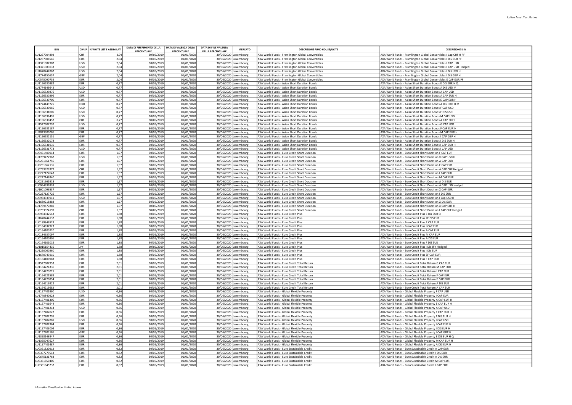| <b>ISIN</b>                  |                   | DIVISA   % WHITE LIST E ASSIMILATI | DATA DI RIFERIMENTO DELLA | DATA DI VALENZA DELLA    | <b>DATA DI FINE VALENZA</b> | <b>MERCATO</b>                                 | <b>DESCRIZIONE FUND HOUSE/UCITS</b>                                                                    | <b>DESCRIZIONE ISIN</b>                                                                                                             |
|------------------------------|-------------------|------------------------------------|---------------------------|--------------------------|-----------------------------|------------------------------------------------|--------------------------------------------------------------------------------------------------------|-------------------------------------------------------------------------------------------------------------------------------------|
|                              |                   |                                    | PERCENTUALE               | <b>PERCENTUALE</b>       | <b>DELLA PERCENTUALE</b>    |                                                |                                                                                                        |                                                                                                                                     |
| LU1257004892                 | lchf              | 2.04                               | 30/06/201                 | 01/01/2020               |                             | 30/06/2020 Luxembourg                          | AXA World Funds - Framlington Global Convertibles                                                      | AXA World Funds - Framlington Global Convertibles I Cap CHF H PF                                                                    |
| LU1257004546                 | <b>EUR</b>        | 2,04                               | 30/06/201                 | 01/01/2020               |                             | 30/06/2020 Luxembourg                          | AXA World Funds - Framlington Global Convertibles                                                      | AXA World Funds - Framlington Global Convertibles I DIS EUR PF                                                                      |
| LU1321382902<br>LU1321383033 | USD<br>lusp       | 2,04<br>2.04                       | 30/06/201<br>30/06/2019   | 01/01/2020<br>01/01/2020 |                             | 30/06/2020 Luxembourg<br>30/06/2020 Luxembourg | AXA World Funds - Framlington Global Convertibles                                                      | AXA World Funds - Framlington Global Convertibles I CAP USD                                                                         |
| LU1670742862                 | USD               | 2,04                               | 30/06/2019                | 01/01/2020               |                             | 30/06/2020 Luxembourg                          | AXA World Funds - Framlington Global Convertibles<br>AXA World Funds - Framlington Global Convertibles | AXA World Funds - Framlington Global Convertibles I CAP USD Hedged<br>AXA World Funds - Framlington Global Convertibles I DIS USD H |
| LU1774150657                 | GBP               | 2,04                               | 30/06/2019                | 01/01/2020               |                             | 30/06/2020 Luxembourg                          | AXA World Funds - Framlington Global Convertibles                                                      | AXA World Funds - Framlington Global Convertibles I DIS GBP H                                                                       |
| LU0545090739                 | EUR               | 2,04                               | 30/06/201                 | 01/01/2020               |                             | 30/06/2020 Luxembourg                          | AXA World Funds - Framlington Global Convertibles                                                      | AXA World Funds - Framlington Global Convertibles E CAP EUR PF                                                                      |
| LU1196530882                 | EUR               | 0.77                               | 30/06/2019                | 01/01/2020               |                             | 30/06/2020 Luxembourg                          | AXA World Funds - Asian Short Duration Bonds                                                           | AXA World Funds - Asian Short Duration Bonds E DIS EUR H Q                                                                          |
| 111774149642                 | USD               | 0,77                               | 30/06/2019                | 01/01/2020               |                             | 30/06/2020 Luxembourg                          | AXA World Funds - Asian Short Duration Bonds                                                           | AXA World Funds - Asian Short Duration Bonds A DIS USD M                                                                            |
| LU1196529876                 | <b>USD</b>        | 0,77                               | 30/06/201                 | 01/01/2020               |                             | 30/06/2020 Luxembourg                          | AXA World Funds - Asian Short Duration Bonds                                                           | AXA World Funds - Asian Short Duration Bonds A CAP USD                                                                              |
| LU1196530296                 | <b>EUR</b>        | 0,77                               | 30/06/2019                | 01/01/2020               |                             | 30/06/2020 Luxembourg                          | AXA World Funds - Asian Short Duration Bonds                                                           | AXA World Funds - Asian Short Duration Bonds A CAP EUR H                                                                            |
| LU1196530700                 | <b>EUR</b>        | 0,77                               | 30/06/201                 | 01/01/2020               |                             | 30/06/2020 Luxembourg                          | AXA World Funds - Asian Short Duration Bonds                                                           | AXA World Funds - Asian Short Duration Bonds E CAP EUR H                                                                            |
| LU1774149725                 | Інкр              | 0,77                               | 30/06/201                 | 01/01/2020               |                             | 30/06/2020 Luxembourg                          | AXA World Funds - Asian Short Duration Bonds                                                           | AXA World Funds - Asian Short Duration Bonds A DIS HKD H M                                                                          |
| LU1196530965                 | USD               | 0,77                               | 30/06/2019                | 01/01/2020               |                             | 30/06/2020 Luxembourg                          | AXA World Funds - Asian Short Duration Bonds                                                           | AXA World Funds - Asian Short Duration Bonds F CAP USD                                                                              |
| LU1196531005<br>LU119653649: | USD<br>USD        | 0,77<br>0,77                       | 30/06/2019<br>30/06/201   | 01/01/2020<br>01/01/2020 |                             | 30/06/2020 Luxembourg<br>30/06/2020 Luxembourg | AXA World Funds - Asian Short Duration Bonds<br>AXA World Funds - Asian Short Duration Bonds           | AXA World Funds - Asian Short Duration Bonds F DIS USD<br>AXA World Funds - Asian Short Duration Bonds M CAP USD                    |
| LU1196530452                 | lchf              | 0,77                               | 30/06/2019                | 01/01/2020               |                             | 30/06/2020 Luxembourg                          | AXA World Funds - Asian Short Duration Bonds                                                           | AXA World Funds - Asian Short Duration Bonds A CAP CHF H                                                                            |
| LU1527607797                 | luso              | 0,77                               | 30/06/2019                | 01/01/2020               |                             | 30/06/2020 Luxembourg                          | AXA World Funds - Asian Short Duration Bonds                                                           | AXA World Funds - Asian Short Duration Bonds G CAP USD                                                                              |
| LU1196531187                 | EUR               | 0,77                               | 30/06/2019                | 01/01/2020               |                             | 30/06/2020 Luxembourg                          | AXA World Funds - Asian Short Duration Bonds                                                           | AXA World Funds - Asian Short Duration Bonds F CAP EUR H                                                                            |
| LU2023309086                 | <b>EUR</b>        | 0,77                               | 30/06/2019                | 01/01/2020               |                             | 30/06/2020 Luxembourg                          | AXA World Funds - Asian Short Duration Bonds                                                           | AXA World Funds - Asian Short Duration Bonds M CAP EUR H                                                                            |
| LU1196532151                 | <b>GBP</b>        | 0,77                               | 30/06/201                 | 01/01/2020               |                             | 30/06/2020 Luxembourg                          | AXA World Funds - Asian Short Duration Bonds                                                           | AXA World Funds - Asian Short Duration Bonds I CAP GBP H                                                                            |
| LU1196532078                 | EUR               | 0,77                               | 30/06/2019                | 01/01/2020               |                             | 30/06/2020 Luxembourg                          | AXA World Funds - Asian Short Duration Bonds                                                           | AXA World Funds - Asian Short Duration Bonds I DIS EUR H                                                                            |
| LU1196531930                 | EUR               | 0,77                               | 30/06/2019                | 01/01/2020               |                             | 30/06/2020 Luxembourg                          | AXA World Funds - Asian Short Duration Bonds                                                           | AXA World Funds - Asian Short Duration Bonds I CAP EUR H                                                                            |
| LU1196531773                 | USD               | 0,77                               | 30/06/2019                | 01/01/2020               |                             | 30/06/2020 Luxembourg                          | AXA World Funds - Asian Short Duration Bonds                                                           | AXA World Funds - Asian Short Duration Bonds I CAP USD                                                                              |
| LU0451400914                 | EUR               | 1,97                               | 30/06/201                 | 01/01/2020               |                             | 30/06/2020 Luxembourg                          | AXA World Funds - Euro Credit Short Duration                                                           | AXA World Funds - Euro Credit Short Duration F CAP EUR                                                                              |
| LU1789477962                 | USD               | 1,97                               | 30/06/2019                | 01/01/2020               |                             | 30/06/2020 Luxembourg                          | AXA World Funds - Euro Credit Short Duration                                                           | AXA World Funds - Euro Credit Short Duration X CAP USD H                                                                            |
| LU0251661756                 | <b>IFUR</b>       | 1,97                               | 30/06/2019                | 01/01/2020               |                             | 30/06/2020 Luxembourg                          | AXA World Funds - Furo Credit Short Duration                                                           | AXA World Funds - Euro Credit Short Duration A CAP EUR                                                                              |
| LU0251662135<br>LU0753923977 | <b>EUR</b><br>CHF | 1,97<br>1,97                       | 30/06/201<br>30/06/2019   | 01/01/2020<br>01/01/2020 |                             | 30/06/2020 Luxembourg<br>30/06/2020 Luxembourg | AXA World Funds - Euro Credit Short Duration<br>AXA World Funds - Euro Credit Short Duration           | AXA World Funds - Euro Credit Short Duration E CAP EUR<br>AXA World Funds - Euro Credit Short Duration A CAP CHF Hedged             |
| LU0227127643                 | EUR               | 1,97                               | 30/06/201                 | 01/01/2020               |                             | 30/06/2020 Luxembourg                          | AXA World Funds - Euro Credit Short Duration                                                           | AXA World Funds - Euro Credit Short Duration I CAP EUR                                                                              |
| LU0227146940                 | EUR               | 1,97                               | 30/06/201                 | 01/01/2020               |                             | 30/06/2020 Luxembourg                          | AXA World Funds - Euro Credit Short Duration                                                           | AXA World Funds - Euro Credit Short Duration M CAP EUR                                                                              |
| 110251661913                 | EUR               | 1.97                               | 30/06/2019                | 01/01/2020               |                             | 30/06/2020 Luxembourg                          | AXA World Funds - Furo Credit Short Duration                                                           | AXA World Funds - Furo Credit Short Duration A DIS FUR                                                                              |
| LU0964939838                 | USD               | 1,97                               | 30/06/2019                | 01/01/2020               |                             | 30/06/2020 Luxembourg                          | AXA World Funds - Euro Credit Short Duration                                                           | AXA World Funds - Euro Credit Short Duration A CAP USD Hedged                                                                       |
| LU1601096537                 | EUR               | 1,97                               | 30/06/2019                | 01/01/2020               |                             | 30/06/2020 Luxembourg                          | AXA World Funds - Euro Credit Short Duration                                                           | AXA World Funds - Euro Credit Short Duration X CAP EUR                                                                              |
| LU0227127726                 | EUR               | 1.97                               | 30/06/2019                | 01/01/2020               |                             | 30/06/2020 Luxembourg                          | AXA World Funds - Euro Credit Short Duration                                                           | AXA World Funds - Euro Credit Short Duration I DIS EUR                                                                              |
| 110964939911                 | luso              | 1,97                               | 30/06/2019                | 01/01/2020               |                             | 30/06/2020 Luxembourg                          | AXA World Funds - Furo Credit Short Duration                                                           | AXA World Funds - Euro Credit Short Duration I Cap USD H                                                                            |
| LU1689218888                 | EUR               | 1,97                               | 30/06/2019                | 01/01/2020               |                             | 30/06/2020 Luxembourg                          | AXA World Funds - Euro Credit Short Duration                                                           | AXA World Funds - Euro Credit Short Duration X DIS EUR                                                                              |
| LU1789477889                 | CHF               | 1,97                               | 30/06/2019                | 01/01/2020               |                             | 30/06/2020 Luxembourg                          | AXA World Funds - Euro Credit Short Duration                                                           | AXA World Funds - Euro Credit Short Duration X CAP CHF H                                                                            |
| LU0753924199                 | <b>CHF</b>        | 1,97                               | 30/06/201                 | 01/01/2020               |                             | 30/06/2020 Luxembourg                          | AXA World Funds - Euro Credit Short Duration                                                           | AXA World Funds - Euro Credit Short Duration I CAP CHF Hedged                                                                       |
| LU0964942543<br>111670744132 | <b>FUR</b><br>EUR | 1,88<br>1.88                       | 30/06/2019                | 01/01/2020<br>01/01/2020 |                             | 30/06/2020 Luxembourg                          | AXA World Funds - Euro Credit Plus                                                                     | AXA World Funds - Euro Credit Plus E Dis EUR Q                                                                                      |
| LU0189846529                 | EUR               | 1,88                               | 30/06/2019<br>30/06/2019  | 01/01/2020               |                             | 30/06/2020 Luxembourg<br>30/06/2020 Luxembourg | AXA World Funds - Euro Credit Plus<br>AXA World Funds - Euro Credit Plus                               | AXA World Funds - Euro Credit Plus ZF DIS EUR<br>AXA World Funds - Euro Credit Plus E CAP EUR                                       |
| LU0184637923                 | leur.             | 1,88                               | 30/06/2019                | 01/01/2020               |                             | 30/06/2020 Luxembourg                          | AXA World Funds - Euro Credit Plus                                                                     | AXA World Funds - Euro Credit Plus I CAP EUR                                                                                        |
| LU0164100710                 | EUR               | 1,88                               | 30/06/2019                | 01/01/2020               |                             | 30/06/2020 Luxembourg                          | AXA World Funds - Euro Credit Plus                                                                     | AXA World Funds - Euro Credit Plus A CAP EUR                                                                                        |
| 110184637097                 | FUR               | 1.88                               | 30/06/2019                | 01/01/2020               |                             | 30/06/2020 Luxembourg                          | AXA World Funds - Euro Credit Plus                                                                     | AXA World Funds - Euro Credit Plus M CAP EUR                                                                                        |
| LU0164100801                 | EUR               | 1,88                               | 30/06/201                 | 01/01/2020               |                             | 30/06/2020 Luxembourg                          | AXA World Funds - Euro Credit Plus                                                                     | AXA World Funds - Euro Credit Plus A DIS EUR                                                                                        |
| LU0164101015                 | <b>EUR</b>        | 1,88                               | 30/06/2019                | 01/01/2020               |                             | 30/06/2020 Luxembourg                          | AXA World Funds - Euro Credit Plus                                                                     | AXA World Funds - Euro Credit Plus F DIS EUR                                                                                        |
| LU1015154435                 | <b>JPY</b>        | 1,88                               | 30/06/2019                | 01/01/2020               |                             | 30/06/2020 Luxembourg                          | AXA World Funds - Euro Credit Plus                                                                     | AXA World Funds - Euro Credit Plus I Dis JPY Hedged                                                                                 |
| LU1220060260                 | <b>FUR</b>        | 1,88                               | 30/06/201                 | 01/01/2020               |                             | 30/06/2020 Luxembourg                          | AXA World Funds - Euro Credit Plus                                                                     | AXA World Funds - Euro Credit Plus I Dis EUR                                                                                        |
| 111670743910                 | EUR               | 1.88                               | 30/06/2019                | 01/01/2020               |                             | 30/06/2020 Luxembourg                          | AXA World Funds - Furo Credit Plus                                                                     | AXA World Funds - Furo Credit Plus 7F CAP FUR                                                                                       |
| LU0164100983                 | EUR               | 1,88                               | 30/06/2019                | 01/01/2020               |                             | 30/06/2020 Luxembourg                          | AXA World Funds - Euro Credit Plus                                                                     | AXA World Funds - Euro Credit Plus F CAP EUR                                                                                        |
| LU1527607953                 | EUR               | 2,01                               | 30/06/2019                | 01/01/2020               |                             | 30/06/2020 Luxembourg                          | AXA World Funds - Euro Credit Total Return                                                             | AXA World Funds - Euro Credit Total Return G CAP EUR                                                                                |
| LU1164224336<br>LU1164223015 | EUR               | 2,01                               | 30/06/2019                | 01/01/2020               |                             | 30/06/2020 Luxembourg                          | AXA World Funds - Euro Credit Total Return                                                             | AXA World Funds - Euro Credit Total Return M CAP EUR                                                                                |
| LU1164221589                 | EUR<br>EUR        | 2,01<br>2,01                       | 30/06/2019<br>30/06/2019  | 01/01/2020<br>01/01/2020 |                             | 30/06/2020 Luxembourg<br>30/06/2020 Luxembourg | AXA World Funds - Euro Credit Total Return<br>AXA World Funds - Euro Credit Total Return               | AXA World Funds - Euro Credit Total Return I CAP EUR<br>AXA World Funds - Euro Credit Total Return F CAP EUR                        |
| LU1164220854                 | <b>EUR</b>        | 2,01                               | 30/06/2019                | 01/01/2020               |                             | 30/06/2020 Luxembourg                          | AXA World Funds - Euro Credit Total Return                                                             | AXA World Funds - Euro Credit Total Return E CAP EUR                                                                                |
| LU1164219922                 | <b>EUR</b>        | 2,01                               | 30/06/201                 | 01/01/2020               |                             | 30/06/2020 Luxembourg                          | AXA World Funds - Euro Credit Total Return                                                             | AXA World Funds - Euro Credit Total Return A DIS EUR                                                                                |
| LU1164219682                 | EUR               | 2,01                               | 30/06/2019                | 01/01/2020               |                             | 30/06/2020 Luxembourg                          | AXA World Funds - Euro Credit Total Return                                                             | AXA World Funds - Euro Credit Total Return A CAP EUR                                                                                |
| LU1157401990                 | luso              | 0.36                               | 30/06/201                 | 01/01/2020               |                             | 30/06/2020 Luxembourg                          | AXA World Funds - Global Flexible Property                                                             | AXA World Funds - Global Flexible Property F CAP USD                                                                                |
| LU1740840928                 | EUR               | 0,36                               | 30/06/2019                | 01/01/2020               |                             | 30/06/2020 Luxembourg                          | AXA World Funds - Global Flexible Property                                                             | AXA World Funds - Global Flexible Property I CAP EUR                                                                                |
| LU1157401305                 | leur.             | 0,36                               | 30/06/2019                | 01/01/2020               |                             | 30/06/2020 Luxembourg                          | AXA World Funds - Global Flexible Property                                                             | AXA World Funds - Global Flexible Property A CAP EUR H                                                                              |
| LU1157401644                 | EUR               | 0,36                               | 30/06/2019                | 01/01/2020               |                             | 30/06/2020 Luxembourg                          | AXA World Funds - Global Flexible Property                                                             | AXA World Funds - Global Flexible Property E CAP EUR H                                                                              |
| LU1157401214                 | lusp              | 0.36                               | 30/06/2019                | 01/01/2020               |                             | 30/06/2020 Luxembourg                          | AXA World Funds - Global Flexible Property                                                             | AXA World Funds - Global Flexible Property A CAP USD                                                                                |
| LU1157402022                 | EUR               | 0,36                               | 30/06/201                 | 01/01/2020               |                             | 30/06/2020 Luxembourg                          | AXA World Funds - Global Flexible Property                                                             | AXA World Funds - Global Flexible Property F CAP EUR H                                                                              |
| LU1157402295                 | <b>EUR</b>        | 0,36                               | 30/06/2019                | 01/01/2020               |                             | 30/06/2020 Luxembourg                          | AXA World Funds - Global Flexible Property                                                             | AXA World Funds - Global Flexible Property F DIS EUR H                                                                              |
| LU1157402881                 | USD               | 0,36                               | 30/06/201                 | 01/01/2020               |                             | 30/06/2020 Luxembourg                          | AXA World Funds - Global Flexible Property                                                             | AXA World Funds - Global Flexible Property I CAP USD                                                                                |
| LU1157402964<br>111157403004 | EUR<br><b>FUR</b> | 0,36<br>0.36                       | 30/06/201                 | 01/01/2020               |                             | 30/06/2020 Luxembourg                          | AXA World Funds - Global Flexible Property                                                             | AXA World Funds - Global Flexible Property I CAP EUR H                                                                              |
| LU1157403186                 | GBP               | 0,36                               | 30/06/201<br>30/06/2019   | 01/01/2020<br>01/01/2020 |                             | 30/06/2020 Luxembourg<br>30/06/2020 Luxembourg | AXA World Funds - Global Flexible Property<br>AXA World Funds - Global Flexible Property               | AXA World Funds - Global Flexible Property I DIS EUR H<br>AXA World Funds - Global Flexible Property I CAP GBP H                    |
| LU1398148947                 | EUR               | 0,36                               | 30/06/2019                | 01/01/2020               |                             | 30/06/2020 Luxembourg                          | AXA World Funds - Global Flexible Property                                                             | AXA World Funds - Global Flexible Property E DIS EUR H Q                                                                            |
| LU1365047627                 | EUR               | 0,36                               | 30/06/2019                | 01/01/2020               |                             | 30/06/2020 Luxembourg                          | AXA World Funds - Global Flexible Property                                                             | AXA World Funds - Global Flexible Property M CAP EUR H                                                                              |
| LU1157401487                 | EUR               | 0,36                               | 30/06/201                 | 01/01/2020               |                             | 30/06/2020 Luxembourg                          | AXA World Funds - Global Flexible Property                                                             | AXA World Funds - Global Flexible Property A DIS EUR H                                                                              |
| LU0361820912                 | EUR               | 0,82                               | 30/06/2019                | 01/01/2020               |                             | 30/06/2020 Luxembourg                          | AXA World Funds - Euro Sustainable Credit                                                              | AXA World Funds - Euro Sustainable Credit A CAP EUR                                                                                 |
| LU0397279513                 | <b>EUR</b>        | 0,82                               | 30/06/201                 | 01/01/2020               |                             | 30/06/2020 Luxembourg                          | AXA World Funds - Euro Sustainable Credit                                                              | AXA World Funds - Euro Sustainable Credit I DIS EUR                                                                                 |
| LU0645131763                 | EUR               | 0,82                               | 30/06/201                 | 01/01/2020               |                             | 30/06/2020 Luxembours                          | AXA World Funds - Euro Sustainable Credit                                                              | AXA World Funds - Euro Sustainable Credit A DIS EUR                                                                                 |
| LU0361850406                 | leur.             | 0,82                               | 30/06/2019                | 01/01/2020               |                             | 30/06/2020 Luxembourg                          | AXA World Funds - Euro Sustainable Credit                                                              | AXA World Funds - Euro Sustainable Credit M CAP EUR                                                                                 |
| LU0361845232                 | FUR               | 0.82                               | 30/06/2019                | 01/01/2020               |                             | 30/06/2020 Luxembourg                          | AXA World Funds - Euro Sustainable Credit                                                              | AXA World Funds - Euro Sustainable Credit I CAP EUR                                                                                 |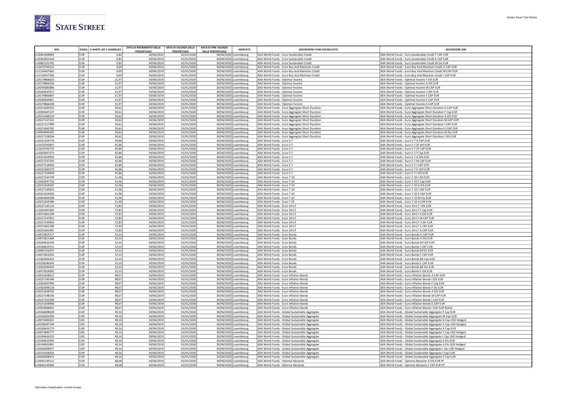

| <b>ISIN</b>                  |                          | DIVISA % WHITE LIST E ASSIMILATI | DATA DI RIFERIMENTO DELLA<br><b>PERCENTUALE</b> | DATA DI VALENZA DELLA<br>PERCENTUALE | <b>DATA DI FINE VALENZA</b><br><b>DELLA PERCENTUALE</b> | <b>MERCATO</b> | <b>DESCRIZIONE FUND HOUSE/UCITS</b>                                                                | <b>DESCRIZIONE ISIN</b>                                                                                                     |
|------------------------------|--------------------------|----------------------------------|-------------------------------------------------|--------------------------------------|---------------------------------------------------------|----------------|----------------------------------------------------------------------------------------------------|-----------------------------------------------------------------------------------------------------------------------------|
| LU0361838963                 | EUR                      | 0,82                             | 30/06/2019                                      | 01/01/2020                           | 30/06/2020 Luxembourg                                   |                | AXA World Funds - Euro Sustainable Credit                                                          | AXA World Funds - Euro Sustainable Credit F CAP EUR                                                                         |
| LU0361831018                 | <b>EUR</b>               | 0,82                             | 30/06/2019                                      | 01/01/2020                           | 30/06/2020 Luxembourg                                   |                | AXA World Funds - Euro Sustainable Credit                                                          | AXA World Funds - Euro Sustainable Credit E CAP EUR                                                                         |
| LU0965101792                 | EUR                      | 0,82                             | 30/06/2019                                      | 01/01/2020                           | 30/06/2020 Luxembourg                                   |                | AXA World Funds - Euro Sustainable Credit                                                          | AXA World Funds - Euro Sustainable Credit M Dis EUR                                                                         |
| 11670744215                  | <b>EUR</b>               | 0,69                             | 30/06/2019                                      | 01/01/2020                           | 30/06/2020 Luxembourg                                   |                | AXA World Funds - Euro Buy And Maintain Credit                                                     | AXA World Funds - Euro Buy And Maintain Credit A CAP EUR                                                                    |
| J1156427665                  | EUR                      | 0,69                             | 30/06/2019                                      | 01/01/2020                           | 30/06/2020 Luxembourg                                   |                | AXA World Funds - Euro Buy And Maintain Credit                                                     | AXA World Funds - Euro Buy And Maintain Credit M CAP EUR                                                                    |
| LU1156427582                 | EUR                      | 0,69                             | 30/06/2019                                      | 01/01/2020                           | 30/06/2020 Luxembourg                                   |                | AXA World Funds - Euro Buy And Maintain Credit                                                     | AXA World Funds - Euro Buy And Maintain Credit I CAP EUR                                                                    |
| LU0179866602<br>LU0179866354 | EUR<br>EUR               | 21,97<br>21,97                   | 30/06/201<br>30/06/2019                         | 01/01/2020<br>01/01/2020             | 30/06/2020 Luxembourg<br>30/06/2020 Luxembourg          |                | AXA World Funds - Optimal Income<br>AXA World Funds - Optimal Income                               | AXA World Funds - Optimal Income F DIS EUR<br>AXA World Funds - Optimal Income A DIS EUR                                    |
| 110295685886                 | EUR                      | 21,97                            | 30/06/2019                                      | 01/01/2020                           | 30/06/2020 Luxembourg                                   |                | AXA World Funds - Optimal Income                                                                   | AXA World Funds - Optimal Income M CAP EUR                                                                                  |
| LU0184635471                 | EUR                      | 21,97                            | 30/06/2019                                      | 01/01/2020                           | 30/06/2020 Luxembourg                                   |                | AXA World Funds - Optimal Income                                                                   | AXA World Funds - Optimal Income I CAP EUR                                                                                  |
| LU0179866867                 | EUR                      | 21,97                            | 30/06/2019                                      | 01/01/2020                           | 30/06/2020 Luxembourg                                   |                | AXA World Funds - Optimal Income                                                                   | AXA World Funds - Optimal Income F CAP EUR                                                                                  |
| LU0184634821                 | <b>EUR</b>               | 21,97                            | 30/06/2019                                      | 01/01/2020                           | 30/06/2020 Luxembourg                                   |                | AXA World Funds - Optimal Income                                                                   | AXA World Funds - Optimal Income E CAP EUR                                                                                  |
| LU0179866438                 | EUR                      | 21,97                            | 30/06/2019                                      | 01/01/2020                           | 30/06/2020 Luxembourg                                   |                | AXA World Funds - Optimal Income                                                                   | AXA World Funds - Optimal Income A CAP EUR                                                                                  |
| 11/0251660352                | EUR                      | 50,62                            | 30/06/2019                                      | 01/01/2020                           | 30/06/2020 Luxembourg                                   |                | AXA World Funds - Euro Aggregate Short Duration                                                    | AXA World Funds - Euro Aggregate Short Duration A CAP EUR                                                                   |
| LU1002647227                 | EUR                      | 50,62                            | 30/06/2019                                      | 01/01/2020                           | 30/06/2020 Luxembourg                                   |                | AXA World Funds - Euro Aggregate Short Duration                                                    | AXA World Funds - Euro Aggregate Short Duration F Cap EUR                                                                   |
| LU0251660519<br>LU0227147161 | <b>EUR</b><br>EUR        | 50,62<br>50,62                   | 30/06/2019<br>30/06/2019                        | 01/01/2020<br>01/01/2020             | 30/06/2020 Luxembourg<br>30/06/2020 Luxembourg          |                | AXA World Funds - Euro Aggregate Short Duration<br>AXA World Funds - Euro Aggregate Short Duration | AXA World Funds - Euro Aggregate Short Duration A DIS EUR<br>AXA World Funds - Euro Aggregate Short Duration M CAP EUR      |
| LU0227127999                 | EUR                      | 50,62                            | 30/06/2019                                      | 01/01/2020                           | 30/06/2020 Luxembourg                                   |                | AXA World Funds - Euro Aggregate Short Duration                                                    | AXA World Funds - Euro Aggregate Short Duration I CAP EUR                                                                   |
| LU0251660782                 | EUR                      | 50,62                            | 30/06/2019                                      | 01/01/2020                           | 30/06/2020 Luxembourg                                   |                | AXA World Funds - Euro Aggregate Short Duration                                                    | AXA World Funds - Euro Aggregate Short Duration E CAP EUR                                                                   |
| J0964944325                  | EUR                      | 50,62                            | 30/06/2019                                      | 01/01/2020                           | 30/06/2020 Luxembourg                                   |                | AXA World Funds - Euro Aggregate Short Duration                                                    | AXA World Funds - Euro Aggregate Short Duration M Dis EUR                                                                   |
| J0227128294                  | EUR                      | 50,62                            | 30/06/2019                                      | 01/01/2020                           | 30/06/2020 Luxembourg                                   |                | AXA World Funds - Euro Aggregate Short Duration                                                    | AXA World Funds - Euro Aggregate Short Duration I DIS EUR                                                                   |
| LU0251659776                 | <b>EUR</b>               | 45,86                            | 30/06/2019                                      | 01/01/2020                           | 30/06/2020 Luxembourg                                   |                | AXA World Funds - Euro 5-7                                                                         | AXA World Funds - Euro 5-7 A CAP EUR                                                                                        |
| LU1670743837                 | <b>EUR</b>               | 45,86                            | 30/06/2019                                      | 01/01/2020                           | 30/06/2020 Luxembourg                                   |                | AXA World Funds - Euro 5-7                                                                         | AXA World Funds - Euro 5-7 ZF DIS EUR                                                                                       |
| LU1670743753                 | <b>EUR</b>               | 45,86                            | 30/06/2019                                      | 01/01/2020                           | 30/06/2020 Luxembourg                                   |                | AXA World Funds - Euro 5-7                                                                         | AXA World Funds - Euro 5-7 ZF CAP EUR                                                                                       |
| J1002647573<br>J0251659933   | EUR<br>EUR               | 45,86<br>45,86                   | 30/06/2019<br>30/06/2019                        | 01/01/2020<br>01/01/2020             | 30/06/2020 Luxembourg<br>30/06/2020 Luxembourg          |                | AXA World Funds - Euro 5-7<br>AXA World Funds - Euro 5-7                                           | AXA World Funds - Euro 5-7 F Cap EUR<br>AXA World Funds - Euro 5-7 A DIS EUR                                                |
| LU0227147245                 | EUR                      | 45,86                            | 30/06/2019                                      | 01/01/2020                           | 30/06/2020 Luxembourg                                   |                | AXA World Funds - Euro 5-7                                                                         | AXA World Funds - Euro 5-7 M CAP EUR                                                                                        |
| U0227128450                  | EUR                      | 45.86                            | 30/06/2019                                      | 01/01/2020                           | 30/06/2020 Luxembourg                                   |                | AXA World Funds - Euro 5-7                                                                         | AXA World Funds - Euro 5-7 I CAP EUR                                                                                        |
| U0251660279                  | EUR                      | 45,86                            | 30/06/201                                       | 01/01/2020                           | 30/06/2020 Luxembourg                                   |                | AXA World Funds - Euro 5-7                                                                         | AXA World Funds - Euro 5-7 E CAP EUR                                                                                        |
| LU0227129854                 | <b>EUR</b>               | 45,86                            | 30/06/2019                                      | 01/01/2020                           | 30/06/2020 Luxembourg                                   |                | AXA World Funds - Euro 5-7                                                                         | AXA World Funds - Euro 5-7 I DIS EUR                                                                                        |
| LU0227144739                 | EUR                      | 51,96                            | 30/06/2019                                      | 01/01/2020                           | 30/06/2020 Luxembourg                                   |                | AXA World Funds - Euro 7-10                                                                        | AXA World Funds - Euro 7-10 I DIS EUR                                                                                       |
| LU1002647730                 | EUR                      | 51,96                            | 30/06/2019                                      | 01/01/2020                           | 30/06/2020 Luxembourg                                   |                | AXA World Funds - Euro 7-10                                                                        | AXA World Funds - Euro 7-10 F Cap EUR                                                                                       |
| LU0251659347                 | EUR                      | 51,96                            | 30/06/2019                                      | 01/01/2020                           | 30/06/2020 Luxembourg                                   |                | AXA World Funds - Euro 7-10                                                                        | AXA World Funds - Euro 7-10 A DIS EUR                                                                                       |
| LU0227144655                 | EUR<br>EUR <sup></sup>   | 51,96                            | 30/06/2019                                      | 01/01/2020<br>01/01/2020             | 30/06/2020 Luxembourg                                   |                | AXA World Funds - Euro 7-10                                                                        | AXA World Funds - Euro 7-10 I CAP EUR                                                                                       |
| LU0251659420<br>LU0964944598 | EUR                      | 51,96<br>51,96                   | 30/06/2019<br>30/06/2019                        | 01/01/2020                           | 30/06/2020 Luxembourg<br>30/06/2020 Luxembourg          |                | AXA World Funds - Euro 7-10<br>AXA World Funds - Euro 7-10                                         | AXA World Funds - Euro 7-10 E CAP EUR<br>AXA World Funds - Euro 7-10 M Dis EUR                                              |
| LU0251659180                 | <b>EUR</b>               | 51,96                            | 30/06/2019                                      | 01/01/2020                           | 30/06/2020 Luxembourg                                   |                | AXA World Funds - Euro 7-10                                                                        | AXA World Funds - Euro 7-10 A CAP EUR                                                                                       |
| U0227145116                  | EUR                      | 72,83                            | 30/06/2019                                      | 01/01/2020                           | 30/06/2020 Luxembourg                                   |                | AXA World Funds - Euro 10+LT                                                                       | AXA World Funds - Euro 10+LT I DIS EUR                                                                                      |
| J1002647060                  | EUR                      | 72,83                            | 30/06/2019                                      | 01/01/2020                           | 30/06/2020 Luxembourg                                   |                | AXA World Funds - Euro 10+LT                                                                       | AXA World Funds - Euro 10+LT F Cap EUR                                                                                      |
| LU0251661244                 | <b>EUR</b>               | 72,83                            | 30/06/2019                                      | 01/01/2020                           | 30/06/2020 Luxembourg                                   |                | AXA World Funds - Euro 10+LT                                                                       | AXA World Funds - Euro 10+LT A DIS EUR                                                                                      |
| LU0227147831                 | <b>EUR</b>               | 72,83                            | 30/06/2019                                      | 01/01/2020                           | 30/06/2020 Luxembourg                                   |                | AXA World Funds - Euro 10+LT                                                                       | AXA World Funds - Euro 10+LT M CAP EUR                                                                                      |
| U0227144903                  | EUR                      | 72,83                            | 30/06/201                                       | 01/01/2020                           | 30/06/2020 Luxembourg                                   |                | AXA World Funds - Euro 10+LT                                                                       | AXA World Funds - Euro 10+LT I CAP EUR                                                                                      |
| 110251661590<br>U0251661087  | <b>EUR</b><br>EUR        | 72,83<br>72,83                   | 30/06/2019<br>30/06/2019                        | 01/01/2020<br>01/01/2020             | 30/06/2020 Luxembourg<br>30/06/2020 Luxembourg          |                | AXA World Funds - Euro 10+LT<br>AXA World Funds - Euro 10+LT                                       | AXA World Funds - Furo 10+IT F CAP FUR<br>AXA World Funds - Euro 10+LT A CAP EUR                                            |
| J0072814717                  | <b>EUR</b>               | 52,33                            | 30/06/2019                                      | 01/01/2020                           | 30/06/2020 Luxembourg                                   |                | AXA World Funds - Euro Bonds                                                                       | AXA World Funds - Euro Bonds A CAP EUR                                                                                      |
| LU0072815284                 | EUR <sup></sup>          | 52,33                            | 30/06/2019                                      | 01/01/2020                           | 30/06/2020 Luxembourg                                   |                | AXA World Funds - Euro Bonds                                                                       | AXA World Funds - Euro Bonds A DIS EUR                                                                                      |
| U0184632536                  | EUR <sup></sup>          | 52,33                            | 30/06/201                                       | 01/01/2020                           | 30/06/2020 Luxembourg                                   |                | AXA World Funds - Euro Bonds                                                                       | AXA World Funds - Euro Bonds M CAP EUF                                                                                      |
| U0184629151                  | EUR                      | 52,33                            | 30/06/2019                                      | 01/01/2020                           | 30/06/2020 Luxembourg                                   |                | AXA World Funds - Furo Bonds                                                                       | AXA World Funds - Furo Bonds I CAP FUR                                                                                      |
| J0965101875                  | EUR                      | 52,33                            | 30/06/2019                                      | 01/01/2020                           | 30/06/2020 Luxembourg                                   |                | AXA World Funds - Euro Bonds                                                                       | AXA World Funds - Euro Bonds M Dis EUR                                                                                      |
| 0072816332                   | EUR                      | 52,33                            | 30/06/201                                       | 01/01/2020                           | 30/06/2020 Luxembourg                                   |                | AXA World Funds - Euro Bonds                                                                       | AXA World Funds - Euro Bonds F CAP EUR                                                                                      |
| J1002646252                  | <b>EUR</b>               | 52,33                            | 30/06/2019                                      | 01/01/2020                           | 30/06/2020 Luxembourg                                   |                | AXA World Funds - Euro Bonds                                                                       | AXA World Funds - Euro Bonds BX Cap EUR                                                                                     |
| U0158186543<br>J1002646419   | EUR<br>EUR               | 52,33<br>52,33                   | 30/06/2019<br>30/06/2019                        | 01/01/2020<br>01/01/2020             | 30/06/2020 Luxembourg<br>30/06/2020 Luxembourg          |                | AXA World Funds - Euro Bonds<br>AXA World Funds - Furo Bonds                                       | AXA World Funds - Euro Bonds E CAP EUR<br>AXA World Funds - Furo Bonds BX Dis FUR                                           |
| LU0072816092                 | EUR                      | 52,33                            | 30/06/2019                                      | 01/01/2020                           | 30/06/2020 Luxembourg                                   |                | AXA World Funds - Euro Bonds                                                                       | AXA World Funds - Euro Bonds F DIS EUR                                                                                      |
| LU0251658612                 | <b>EUR</b>               | 98,07                            | 30/06/2019                                      | 01/01/2020                           | 30/06/2020 Luxembourg                                   |                | AXA World Funds - Euro Inflation Bonds                                                             | AXA World Funds - Euro Inflation Bonds A CAP EUR                                                                            |
| LU0227145546                 | EUR <sup></sup>          | 98,07                            | 30/06/2019                                      | 01/01/2020                           | 30/06/2020 Luxembourg                                   |                | AXA World Funds - Euro Inflation Bonds                                                             | AXA World Funds - Euro Inflation Bonds I DIS EUR                                                                            |
| J1002647904                  | EUR                      | 98,07                            | 30/06/2019                                      | 01/01/2020                           | 30/06/2020 Luxembourg                                   |                | AXA World Funds - Euro Inflation Bonds                                                             | AXA World Funds - Euro Inflation Bonds F Cap EUR                                                                            |
| J1002648118                  | <b>EUR</b>               | 98,07                            | 30/06/2019                                      | 01/01/2020                           | 30/06/2020 Luxembourg                                   |                | AXA World Funds - Euro Inflation Bonds                                                             | AXA World Funds - Euro Inflation Bonds F Dis EUR                                                                            |
| J0251658703                  | EUR                      | 98,07                            | 30/06/2019                                      | 01/01/2020                           | 30/06/2020 Luxembourg                                   |                | AXA World Funds - Euro Inflation Bonds                                                             | AXA World Funds - Euro Inflation Bonds A DIS EUR                                                                            |
| J0227148136<br>LU0227145389  | <b>EUR</b><br><b>EUR</b> | 98,07<br>98,07                   | 30/06/201<br>30/06/2019                         | 01/01/2020<br>01/01/2020             | 30/06/2020 Luxembourg<br>30/06/2020 Luxembourg          |                | AXA World Funds - Euro Inflation Bonds<br>AXA World Funds - Euro Inflation Bonds                   | AXA World Funds - Euro Inflation Bonds M CAP EUR<br>AXA World Funds - Euro Inflation Bonds I CAP EUR                        |
| LU0251658968                 | FUR                      | 98.07                            | 30/06/2019                                      | 01/01/2020                           | 30/06/2020 Luxembourg                                   |                | AXA World Funds - Euro Inflation Bonds                                                             | AXA World Funds - Euro Inflation Bonds E CAP EUR                                                                            |
| LU0503838491                 | <b>EUR</b>               | 98,07                            | 30/06/2019                                      | 01/01/2020                           | 30/06/2020 Luxembourg                                   |                | AXA World Funds - Euro Inflation Bonds                                                             | AXA World Funds - Euro Inflation Bonds I CAP EUR Redex                                                                      |
| J0266008639                  | EUR                      | 49,16                            | 30/06/2019                                      | 01/01/2020                           | 30/06/2020 Luxembourg                                   |                | AXA World Funds - Global Sustainable Aggregate                                                     | AXA World Funds - Global Sustainable Aggregate F Cap EUR                                                                    |
| J1016633296                  | EUR                      | 49,16                            | 30/06/2019                                      | 01/01/2020                           | 30/06/2020 Luxembourg                                   |                | AXA World Funds - Global Sustainable Aggregate                                                     | AXA World Funds - Global Sustainable Aggregate M Cap EUR                                                                    |
| LU0073690421                 | USD                      | 49,16                            | 30/06/201                                       | 01/01/2020                           | 30/06/2020 Luxembourg                                   |                | AXA World Funds - Global Sustainable Aggregate                                                     | AXA World Funds - Global Sustainable Aggregate A Cap USD Hedged                                                             |
| LU0158187194                 | <b>USD</b>               | 49,16                            | 30/06/2019                                      | 01/01/2020                           | 30/06/2020 Luxembourg                                   |                | AXA World Funds - Global Sustainable Aggregate                                                     | AXA World Funds - Global Sustainable Aggregate E Cap USD Hedged                                                             |
| U0184633773                  | <b>EUR</b>               | 49,16                            | 30/06/2019                                      | 01/01/2020                           | 30/06/2020 Luxembourg                                   |                | AXA World Funds - Global Sustainable Aggregate                                                     | AXA World Funds - Global Sustainable Aggregate A Cap EUR                                                                    |
| J0073690777<br>J0184634235   | USD<br>USD               | 49,16<br>49,16                   | 30/06/2019<br>30/06/2019                        | 01/01/2020<br>01/01/2020             | 30/06/2020 Luxembourg<br>30/06/2020 Luxembourg          |                | AXA World Funds - Global Sustainable Aggregate                                                     | AXA World Funds - Global Sustainable Aggregate F Cap USD Hedged                                                             |
| LU0184633930                 | <b>EUR</b>               | 49,16                            | 30/06/2019                                      | 01/01/2020                           | 30/06/2020 Luxembourg                                   |                | AXA World Funds - Global Sustainable Aggregate<br>AXA World Funds - Global Sustainable Aggregate   | AXA World Funds - Global Sustainable Aggregate I Cap USD Hedged<br>AXA World Funds - Global Sustainable Aggregate A Dis EUR |
| 11/0149002841                | <b>USD</b>               | 49,16                            | 30/06/2019                                      | 01/01/2020                           | 30/06/2020 Luxembourg                                   |                | AXA World Funds - Global Sustainable Aggregate                                                     | AXA World Funds - Global Sustainable Aggregate A Dis USD Hedged                                                             |
| LU0266009017                 | <b>USD</b>               | 49,16                            | 30/06/2019                                      | 01/01/2020                           | 30/06/2020 Luxembourg                                   |                | AXA World Funds - Global Sustainable Aggregate                                                     | AXA World Funds - Global Sustainable Aggregate I Dis USD Hedged                                                             |
| LU0255028333                 | EUR                      | 49,16                            | 30/06/2019                                      | 01/01/2020                           | 30/06/2020 Luxembourg                                   |                | AXA World Funds - Global Sustainable Aggregate                                                     | AXA World Funds - Global Sustainable Aggregate I Cap EUR                                                                    |
| LU0266008472                 | <b>EUR</b>               | 49,16                            | 30/06/2019                                      | 01/01/2020                           | 30/06/2020 Luxembourg                                   |                | AXA World Funds - Global Sustainable Aggregate                                                     | AXA World Funds - Global Sustainable Aggregate E Cap EUR                                                                    |
| LU0645149112                 | EUR                      | 68,48                            | 30/06/2019                                      | 01/01/2020                           | 30/06/2020 Luxembourg                                   |                | AXA World Funds - Optimal Absolute                                                                 | AXA World Funds - Optimal Absolute A DIS EUR PF                                                                             |
| LU0645149385                 | <b>EUR</b>               | 68,48                            | 30/06/2019                                      | 01/01/2020                           | 30/06/2020 Luxembourg                                   |                | AXA World Funds - Optimal Absolute                                                                 | AXA World Funds - Optimal Absolute F CAP EUR PF                                                                             |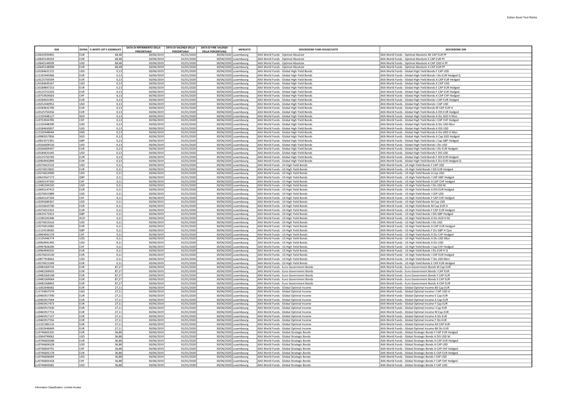| <b>ISIN</b>                  |                          | DIVISA % WHITE LIST E ASSIMILATI | DATA DI RIFERIMENTO DELLA | DATA DI VALENZA DELLA    | <b>DATA DI FINE VALENZA</b> | <b>MERCATO</b>                                 | <b>DESCRIZIONE FUND HOUSE/UCITS</b>                                                    | <b>DESCRIZIONE ISIN</b>                                                                                                 |
|------------------------------|--------------------------|----------------------------------|---------------------------|--------------------------|-----------------------------|------------------------------------------------|----------------------------------------------------------------------------------------|-------------------------------------------------------------------------------------------------------------------------|
|                              |                          |                                  | PERCENTUALE               | <b>PERCENTUALE</b>       | <b>DELLA PERCENTUALE</b>    |                                                |                                                                                        |                                                                                                                         |
| LU0632934401<br>U0645149203  | <b>EUR</b><br><b>EUR</b> | 68.48<br>68.48                   | 30/06/201<br>30/06/2019   | 01/01/2020<br>01/01/2020 |                             | 30/06/2020 Luxembourg<br>30/06/2020 Luxembourg | AXA World Funds - Optimal Absolute<br>AXA World Funds - Optimal Absolute               | AXA World Funds - Optimal Absolute AX CAP EUR PF<br>AXA World Funds - Optimal Absolute E CAP EUR PF                     |
| LU0645149039                 | USD                      | 68,48                            | 30/06/201                 | 01/01/2020               |                             | 30/06/2020 Luxembourg                          | AXA World Funds - Optimal Absolute                                                     | AXA World Funds - Optimal Absolute A CAP USD H PF                                                                       |
| LU0645148908                 | EUR                      | 68.48                            | 30/06/2019                | 01/01/2020               |                             | 30/06/2020 Luxembourg                          | AXA World Funds - Optimal Absolute                                                     | AXA World Funds - Optimal Absolute A CAP EUR PF                                                                         |
| LU0184631215                 | USD                      | 0.13                             | 30/06/201                 | 01/01/2020               |                             | 30/06/2020 Luxembourg                          | AXA World Funds - Global High Yield Bonds                                              | AXA World Funds - Global High Yield Bonds F CAP USD                                                                     |
| LU1105445966                 | <b>EUR</b>               | 0,13                             | 30/06/2019                | 01/01/2020               |                             | 30/06/2020 Luxembourg                          | AXA World Funds - Global High Yield Bonds                                              | AXA World Funds - Global High Yield Bonds I Dis EUR Hedged Q                                                            |
| LU0125750504                 | EUR                      | 0,13                             | 30/06/201                 | 01/01/2020               |                             | 30/06/2020 Luxembourg                          | AXA World Funds - Global High Yield Bonds                                              | AXA World Funds - Global High Yield Bonds A CAP EUR Hedged                                                              |
| LU0184630167<br>110189847253 | USD<br>FUR               | 0,13<br>0,13                     | 30/06/2019<br>30/06/2019  | 01/01/2020<br>01/01/2020 |                             | 30/06/2020 Luxembourg<br>30/06/2020 Luxembourg | AXA World Funds - Global High Yield Bonds<br>AXA World Funds - Global High Yield Bonds | AXA World Funds - Global High Yield Bonds A CAP USD<br>AXA World Funds - Global High Yield Bonds E CAP EUR Hedged       |
| LU0125752203                 | <b>EUR</b>               | 0,13                             | 30/06/201                 | 01/01/2020               |                             | 30/06/2020 Luxembourg                          | AXA World Funds - Global High Yield Bonds                                              | AXA World Funds - Global High Yield Bonds F CAP EUR Hedged                                                              |
| LU0753924603                 | <b>CHF</b>               | 0,13                             | 30/06/2019                | 01/01/2020               |                             | 30/06/2020 Luxembourg                          | AXA World Funds - Global High Yield Bonds                                              | AXA World Funds - Global High Yield Bonds A CAP CHF Hedged                                                              |
| LU0184631991                 | EUR                      | 0,13                             | 30/06/201                 | 01/01/2020               |                             | 30/06/2020 Luxembourg                          | AXA World Funds - Global High Yield Bonds                                              | AXA World Funds - Global High Yield Bonds I CAP EUR Hedged                                                              |
| LU0252440952                 | USD                      | 0,13                             | 30/06/2019                | 01/01/2020               |                             | 30/06/2020 Luxembourg                          | AXA World Funds - Global High Yield Bonds                                              | AXA World Funds - Global High Yield Bonds I CAP USD                                                                     |
| LU0184632700                 | EUR                      | 0.13                             | 30/06/2019                | 01/01/2020               |                             | 30/06/2020 Luxembourg                          | AXA World Funds - Global High Yield Bonds                                              | AXA World Funds - Global High Yield Bonds M CAP EUR H                                                                   |
| LU0125750256<br>LU1105448127 | <b>EUR</b><br>SGD        | 0,13<br>0,13                     | 30/06/2019<br>30/06/2019  | 01/01/2020<br>01/01/2020 |                             | 30/06/2020 Luxembourg<br>30/06/2020 Luxembourg | AXA World Funds - Global High Yield Bonds<br>AXA World Funds - Global High Yield Bonds | AXA World Funds - Global High Yield Bonds A DIS EUR Hedged<br>AXA World Funds - Global High Yield Bonds A Dis SGD H Mon |
| LU0753924785                 | lchf                     | 0,13                             | 30/06/2019                | 01/01/2020               |                             | 30/06/2020 Luxembourg                          | AXA World Funds - Global High Yield Bonds                                              | AXA World Funds - Global High Yield Bonds I CAP CHF Hedged                                                              |
| 111105448390                 | luso                     | 0,13                             | 30/06/2019                | 01/01/2020               |                             | 30/06/2020 Luxembourg                          | AXA World Funds - Global High Yield Bonds                                              | AXA World Funds - Global High Yield Bonds A Dis USD Mon                                                                 |
| LU0184630837                 | USD                      | 0,13                             | 30/06/2019                | 01/01/2020               |                             | 30/06/2020 Luxembourg                          | AXA World Funds - Global High Yield Bonds                                              | AXA World Funds - Global High Yield Bonds A DIS USD                                                                     |
| LU1105448044                 | Інкр                     | 0,13                             | 30/06/2019                | 01/01/2020               |                             | 30/06/2020 Luxembourg                          | AXA World Funds - Global High Yield Bonds                                              | AXA World Funds - Global High Yield Bonds A Dis HKD H Mon                                                               |
| LU0982017856                 | SGD                      | 0,13                             | 30/06/2019                | 01/01/2020               |                             | 30/06/2020 Luxembourg                          | AXA World Funds - Global High Yield Bonds                                              | AXA World Funds - Global High Yield Bonds A Cap SGD Hedged                                                              |
| LU0814371901<br>110266009520 | <b>GBP</b><br>USD        | 0,13<br>0.13                     | 30/06/2019<br>30/06/2019  | 01/01/2020<br>01/01/2020 |                             | 30/06/2020 Luxembourg<br>30/06/2020 Luxembourg | AXA World Funds - Global High Yield Bonds<br>AXA World Funds - Global High Yield Bonds | AXA World Funds - Global High Yield Bonds I Cap GBP Hedged<br>AXA World Funds - Global High Yield Bonds I Dis USD       |
| LU0266009447                 | EUR                      | 0,13                             | 30/06/2019                | 01/01/2020               |                             | 30/06/2020 Luxembourg                          | AXA World Funds - Global High Yield Bonds                                              | AXA World Funds - Global High Yield Bonds I Dis EUR Hedged                                                              |
| LU0184631645                 | lusp                     | 0,13                             | 30/06/2019                | 01/01/2020               |                             | 30/06/2020 Luxembourg                          | AXA World Funds - Global High Yield Bonds                                              | AXA World Funds - Global High Yield Bonds F DIS USD                                                                     |
| LU0125750769                 | EUR                      | 0,13                             | 30/06/2019                | 01/01/2020               |                             | 30/06/2020 Luxembourg                          | AXA World Funds - Global High Yield Bonds                                              | AXA World Funds - Global High Yield Bonds F DIS EUR Hedged                                                              |
| 110964942899                 | <b>IFUR</b>              | 0.13                             | 30/06/2019                | 01/01/2020               |                             | 30/06/2020 Luxembourg                          | AXA World Funds - Global High Yield Bonds                                              | AXA World Funds - Global High Yield Bonds E Dis EUR Hedged Q                                                            |
| LU0276015533                 | lusp                     | 0,11                             | 30/06/201                 | 01/01/2020               |                             | 30/06/2020 Luxembourg                          | AXA World Funds - US High Yield Bonds                                                  | AXA World Funds - US High Yield Bonds F CAP USD                                                                         |
| LU0276013835                 | <b>EUR</b>               | 0,11                             | 30/06/2019                | 01/01/2020               |                             | 30/06/2020 Luxembourg                          | AXA World Funds - US High Yield Bonds                                                  | AXA World Funds - US High Yield Bonds I DIS EUR Hedged                                                                  |
| LU0276014999<br>LU0619167173 | USD<br>GRP               | 0,11<br>0,11                     | 30/06/201<br>30/06/2019   | 01/01/2020<br>01/01/2020 |                             | 30/06/2020 Luxembourg<br>30/06/2020 Luxembourg | AXA World Funds - US High Yield Bonds<br>AXA World Funds - US High Yield Bonds         | AXA World Funds - US High Yield Bonds A Cap USD<br>AXA World Funds - US High Yield Bonds I CAP GBP Hedged               |
| 110645147330                 | Існғ                     | 0.11                             | 30/06/2019                | 01/01/2020               |                             | 30/06/2020 Luxembourg                          | AXA World Funds - US High Yield Bonds                                                  | AXA World Funds - US High Yield Bonds A CAP CHF Hedged                                                                  |
| LU1481594320                 | USD                      | 0,11                             | 30/06/2019                | 01/01/2020               |                             | 30/06/2020 Luxembourg                          | AXA World Funds - US High Yield Bonds                                                  | AXA World Funds - US High Yield Bonds I Dis USD M                                                                       |
| LU0645147413                 | leur.                    | 0.11                             | 30/06/2019                | 01/01/2020               |                             | 30/06/2020 Luxembourg                          | AXA World Funds - US High Yield Bonds                                                  | AXA World Funds - US High Yield Bonds A DIS EUR Hedged                                                                  |
| LU0276015889                 | USD                      | 0,11                             | 30/06/2019                | 01/01/2020               |                             | 30/06/2020 Luxembourg                          | AXA World Funds - US High Yield Bonds                                                  | AXA World Funds - US High Yield Bonds I CAP USD                                                                         |
| LU0645147504                 | Існғ                     | 0.11                             | 30/06/2019                | 01/01/2020               |                             | 30/06/2020 Luxembourg                          | AXA World Funds - US High Yield Bonds                                                  | AXA World Funds - US High Yield Bonds F CAP CHF Hedged                                                                  |
| LU0295689367<br>LU1016633700 | USD<br><b>EUR</b>        | 0,11<br>0,11                     | 30/06/2019<br>30/06/2019  | 01/01/2020<br>01/01/2020 |                             | 30/06/2020 Luxembourg<br>30/06/2020 Luxembourg | AXA World Funds - US High Yield Bonds<br>AXA World Funds - US High Yield Bonds         | AXA World Funds - US High Yield Bonds M Cap USD<br>AXA World Funds - US High Yield Bonds M Cap EUR H                    |
| LU0276013322                 | EUR                      | 0,11                             | 30/06/2019                | 01/01/2020               |                             | 30/06/2020 Luxembourg                          | AXA World Funds - US High Yield Bonds                                                  | AXA World Funds - US High Yield Bonds F CAP EUR Hedged                                                                  |
| LU0619172413                 | GRP                      | 0,11                             | 30/06/2019                | 01/01/2020               |                             | 30/06/2020 Luxembourg                          | AXA World Funds - US High Yield Bonds                                                  | AXA World Funds - US High Yield Bonds I DIS GBP Hedged                                                                  |
| LU1585242446                 | laup                     | 0.11                             | 30/06/2019                | 01/01/2020               |                             | 30/06/2020 Luxembourg                          | AXA World Funds - US High Yield Bonds                                                  | AXA World Funds - US High Yield Bonds A Dis AUD H M                                                                     |
| LU0276015616                 | USD                      | 0,11                             | 30/06/2019                | 01/01/2020               |                             | 30/06/2020 Luxembourg                          | AXA World Funds - US High Yield Bonds                                                  | AXA World Funds - US High Yield Bonds I Dis USD                                                                         |
| LU0276013082                 | leur.                    | 0.11                             | 30/06/2019                | 01/01/2020               |                             | 30/06/2020 Luxembourg                          | AXA World Funds - US High Yield Bonds                                                  | AXA World Funds - US High Yield Bonds A CAP EUR Hedged                                                                  |
| LU1124158582<br>LU0964941578 | <b>GBP</b><br>Існғ       | 0,11<br>0.11                     | 30/06/2019<br>30/06/2019  | 01/01/2020<br>01/01/2020 |                             | 30/06/2020 Luxembourg                          | AXA World Funds - US High Yield Bonds                                                  | AXA World Funds - US High Yield Bonds F Dis GBP H Qua                                                                   |
| LU1105446774                 | lusp                     | 0,11                             | 30/06/201                 | 01/01/2020               |                             | 30/06/2020 Luxembourg<br>30/06/2020 Luxembourg | AXA World Funds - US High Yield Bonds<br>AXA World Funds - US High Yield Bonds         | AXA World Funds - US High Yield Bonds A Dis CHF Hedged<br>AXA World Funds - US High Yield Bonds A Dis USD Mon           |
| U0964941495                  | <b>USD</b>               | 0,11                             | 30/06/2019                | 01/01/2020               |                             | 30/06/2020 Luxembourg                          | AXA World Funds - US High Yield Bonds                                                  | AXA World Funds - US High Yield Bonds A Dis USD                                                                         |
| LU0997828206                 | <b>CHF</b>               | 0,11                             | 30/06/2019                | 01/01/2020               |                             | 30/06/2020 Luxembourg                          | AXA World Funds - US High Yield Bonds                                                  | AXA World Funds - US High Yield Bonds I Cap CHF Hedged                                                                  |
| LU0964944242                 | <b>FUR</b>               | 0,11                             | 30/06/2019                | 01/01/2020               |                             | 30/06/2020 Luxembourg                          | AXA World Funds - US High Yield Bonds                                                  | AXA World Funds - US High Yield Bonds I Dis EUR H Q                                                                     |
| 110276014130                 | EUR                      | 0.11                             | 30/06/2019                | 01/01/2020               |                             | 30/06/2020 Luxembourg                          | AXA World Funds - US High Yield Bonds                                                  | AXA World Funds - US High Yield Bonds I CAP EUR Hedged                                                                  |
| LU0877918663                 | USD                      | 0,11                             | 30/06/2019                | 01/01/2020               |                             | 30/06/2020 Luxembourg                          | AXA World Funds - US High Yield Bonds                                                  | AXA World Funds - US High Yield Bonds T Dis USD Mon                                                                     |
| LU0276013249                 | leur.                    | 0.11                             | 30/06/2019                | 01/01/2020               |                             | 30/06/2020 Luxembourg                          | AXA World Funds - US High Yield Bonds                                                  | AXA World Funds - US High Yield Bonds E CAP EUR Hedged                                                                  |
| LU0482269734<br>LU0482269650 | EUR<br>EUR               | 87.27<br>87,27                   | 30/06/2019<br>30/06/2019  | 01/01/2020<br>01/01/2020 |                             | 30/06/2020 Luxembourg<br>30/06/2020 Luxembourg | AXA World Funds - Euro Government Bonds<br>AXA World Funds - Euro Government Bonds     | AXA World Funds - Euro Government Bonds M Cap EUR<br>AXA World Funds - Euro Government Bonds I CAP EUR                  |
| LU0482269148                 | EUR                      | 87,27                            | 30/06/2019                | 01/01/2020               |                             | 30/06/2020 Luxembourg                          | AXA World Funds - Euro Government Bonds                                                | AXA World Funds - Euro Government Bonds F CAP EUR                                                                       |
| LU0482269064                 | <b>EUR</b>               | 87,27                            | 30/06/2019                | 01/01/2020               |                             | 30/06/2020 Luxembourg                          | AXA World Funds - Euro Government Bonds                                                | AXA World Funds - Euro Government Bonds E CAP EUR                                                                       |
| LU0482268843                 | <b>EUR</b>               | 87,27                            | 30/06/2019                | 01/01/2020               |                             | 30/06/2020 Luxembourg                          | AXA World Funds - Euro Government Bonds                                                | AXA World Funds - Euro Government Bonds A CAP EUR                                                                       |
| LU1002646682                 | EUR                      | 27,11                            | 30/06/2019                | 01/01/2020               |                             | 30/06/2020 Luxembourg                          | AXA World Funds - Global Optimal Income                                                | AXA World Funds - Global Optimal Income BX Cap EUR                                                                      |
| LU1724657579                 | lusp                     | 27.11                            | 30/06/2019                | 01/01/2020               |                             | 30/06/2020 Luxembourg                          | AXA World Funds - Global Optimal Income                                                | AXA World Funds - Global Optimal Income I CAP USD H                                                                     |
| LU0465917390<br>LU0465917044 | EUR<br>leur.             | 27,11<br>27.11                   | 30/06/2019<br>30/06/2019  | 01/01/2020<br>01/01/2020 |                             | 30/06/2020 Luxembourg<br>30/06/2020 Luxembourg | AXA World Funds - Global Optimal Income<br>AXA World Funds - Global Optimal Income     | AXA World Funds - Global Optimal Income E Cap EUR<br>AXA World Funds - Global Optimal Income A Cap EUR                  |
| LU0465917473                 | EUR                      | 27,11                            | 30/06/2019                | 01/01/2020               |                             | 30/06/2020 Luxembourg                          | AXA World Funds - Global Optimal Income                                                | AXA World Funds - Global Optimal Income F Cap EUR                                                                       |
| LU0465917630                 | EUR                      | 27,11                            | 30/06/2019                | 01/01/2020               |                             | 30/06/2020 Luxembourg                          | AXA World Funds - Global Optimal Income                                                | AXA World Funds - Global Optimal Income I Cap EUR                                                                       |
| LU0465917713                 | EUR                      | 27.11                            | 30/06/201                 | 01/01/2020               |                             | 30/06/2020 Luxembourg                          | AXA World Funds - Global Optimal Income                                                | AXA World Funds - Global Optimal Income M Cap EUR                                                                       |
| LU0465917127                 | <b>EUR</b>               | 27,11                            | 30/06/2019                | 01/01/2020               |                             | 30/06/2020 Luxembourg                          | AXA World Funds - Global Optimal Income                                                | AXA World Funds - Global Optimal Income A Dis EUR                                                                       |
| LU0465917556                 | <b>EUR</b>               | 27,11                            | 30/06/201                 | 01/01/2020               |                             | 30/06/2020 Luxembourg                          | AXA World Funds - Global Optimal Income                                                | AXA World Funds - Global Optimal Income F Dis EUR                                                                       |
| LU1321383116                 | EUR                      | 27,11                            | 30/06/2019                | 01/01/2020               |                             | 30/06/2020 Luxembourg                          | AXA World Funds - Global Optimal Income                                                | AXA World Funds - Global Optimal Income AX CAP EUR                                                                      |
| 111002646849<br>LU0746605335 | <b>FUR</b><br>EUR        | 27.11<br>36,88                   | 30/06/201<br>30/06/2019   | 01/01/2020<br>01/01/2020 |                             | 30/06/2020 Luxembourg<br>30/06/2020 Luxembourg | AXA World Funds - Global Optimal Income<br>AXA World Funds - Global Strategic Bonds    | AXA World Funds - Global Optimal Income BX Dis EUR<br>AXA World Funds - Global Strategic Bonds F CAP EUR Hedged         |
| LU2064799062                 | USD                      | 36,88                            | 30/06/2019                | 01/01/2020               |                             | 30/06/2020 Luxembourg                          | AXA World Funds - Global Strategic Bonds                                               | AXA World Funds - Global Strategic Bonds A DIS USD M                                                                    |
| LU0746604288                 | EUR                      | 36,88                            | 30/06/2019                | 01/01/2020               |                             | 30/06/2020 Luxembourg                          | AXA World Funds - Global Strategic Bonds                                               | AXA World Funds - Global Strategic Bonds A CAP EUR Hedged                                                               |
| LU0746604528                 | USD                      | 36.88                            | 30/06/201                 | 01/01/2020               |                             | 30/06/2020 Luxembourg                          | AXA World Funds - Global Strategic Bonds                                               | AXA World Funds - Global Strategic Bonds A CAP USD                                                                      |
| LU0746604791                 | <b>CHF</b>               | 36,88                            | 30/06/2019                | 01/01/2020               |                             | 30/06/2020 Luxembourg                          | AXA World Funds - Global Strategic Bonds                                               | AXA World Funds - Global Strategic Bonds A CAP CHF Hedged                                                               |
| U0746605178                  | <b>EUR</b>               | 36,88                            | 30/06/2019                | 01/01/2020               |                             | 30/06/2020 Luxembourg                          | AXA World Funds - Global Strategic Bonds                                               | AXA World Funds - Global Strategic Bonds E CAP EUR Hedged                                                               |
| LU0746606069                 | USD                      | 36,88                            | 30/06/201                 | 01/01/2020               |                             | 30/06/2020 Luxembourg                          | AXA World Funds - Global Strategic Bonds                                               | AXA World Funds - Global Strategic Bonds I CAP USD                                                                      |
| LU0746605418                 | Існғ                     | 36,88                            | 30/06/2019                | 01/01/2020               |                             | 30/06/2020 Luxembourg                          | AXA World Funds - Global Strategic Bonds                                               | AXA World Funds - Global Strategic Bonds F CAP CHF Hedged                                                               |
| LU0746605681                 | <b>USD</b>               | 36.88                            | 30/06/2019                | 01/01/2020               |                             | 30/06/2020 Luxembourg                          | AXA World Funds - Global Strategic Bonds                                               | AXA World Funds - Global Strategic Bonds F CAP USD                                                                      |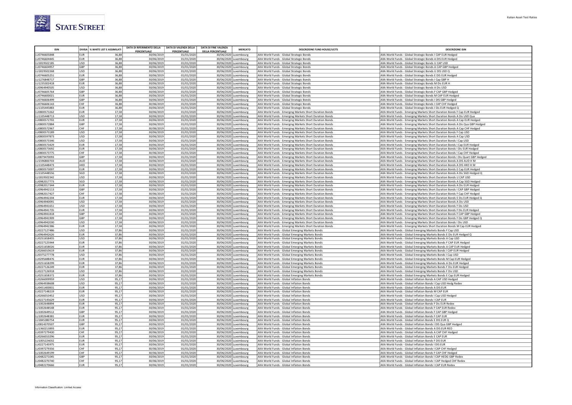

|                              |                          | DIVISA % WHITE LIST E ASSIMILAT | DATA DI RIFERIMENTO DELLA<br>PERCENTUALE | DATA DI VALENZA DELLA<br>PERCENTUALE | <b>DATA DI FINE VALENZA</b><br><b>MERCATO</b><br><b>DELLA PERCENTUALE</b> | <b>DESCRIZIONE FUND HOUSE/UCITS</b>                                                                                | <b>DESCRIZIONE ISIN</b>                                                                                                                                  |
|------------------------------|--------------------------|---------------------------------|------------------------------------------|--------------------------------------|---------------------------------------------------------------------------|--------------------------------------------------------------------------------------------------------------------|----------------------------------------------------------------------------------------------------------------------------------------------------------|
| LU0746605848                 | <b>EUR</b>               | 36,88                           | 30/06/201                                | 01/01/2020                           | 30/06/2020 Luxembourg                                                     | AXA World Funds - Global Strategic Bonds                                                                           | AXA World Funds - Global Strategic Bonds I CAP EUR Hedged                                                                                                |
| LU0746604445                 | <b>EUR</b>               | 36,88                           | 30/06/201                                | 01/01/2020                           | 30/06/2020 Luxembourg                                                     | AXA World Funds - Global Strategic Bonds                                                                           | AXA World Funds - Global Strategic Bonds A DIS EUR Hedged                                                                                                |
| LU1819502185                 | <b>USD</b>               | 36,88                           | 30/06/201                                | 01/01/2020                           | 30/06/2020 Luxembourg                                                     | AXA World Funds - Global Strategic Bonds                                                                           | AXA World Funds - Global Strategic Bonds U CAP USD                                                                                                       |
| LU0746604957                 | GBP                      | 36,88                           | 30/06/201                                | 01/01/2020                           | 30/06/2020 Luxembourg                                                     | AXA World Funds - Global Strategic Bonds                                                                           | AXA World Funds - Global Strategic Bonds A CAP GBP Hedged                                                                                                |
| LU1819502268                 | USD                      | 36.88                           | 30/06/201                                | 01/01/2020                           | 30/06/2020 Luxembourg                                                     | AXA World Funds - Global Strategic Bonds                                                                           | AXA World Funds - Global Strategic Bonds U DIS USD Q                                                                                                     |
| LU0746605251                 | <b>EUR</b>               | 36,88                           | 30/06/2019                               | 01/01/2020                           | 30/06/2020 Luxembourg                                                     | AXA World Funds - Global Strategic Bonds                                                                           | AXA World Funds - Global Strategic Bonds E DIS EUR Hedged                                                                                                |
| LU1276848717<br>LU1235302418 | GBP<br><b>EUR</b>        | 36,88<br>36,88                  | 30/06/2019<br>30/06/201                  | 01/01/2020<br>01/01/2020             | 30/06/2020 Luxembourg<br>30/06/2020 Luxembourg                            | AXA World Funds - Global Strategic Bonds<br>AXA World Funds - Global Strategic Bonds                               | AXA World Funds - Global Strategic Bonds I Cap GBP H<br>AXA World Funds - Global Strategic Bonds M Dis EUR H                                             |
| LU0964940505                 | USD                      | 36,88                           | 30/06/201                                | 01/01/2020                           | 30/06/2020 Luxembourg                                                     | AXA World Funds - Global Strategic Bonds                                                                           | AXA World Funds - Global Strategic Bonds A Dis USD                                                                                                       |
| LU0746605764                 | <b>GBP</b>               | 36,88                           | 30/06/201                                | 01/01/2020                           | 30/06/2020 Luxembourg                                                     | AXA World Funds - Global Strategic Bonds                                                                           | AXA World Funds - Global Strategic Bonds F CAP GBP Hedged                                                                                                |
| LU0746600021                 | EUR                      | 36,88                           | 30/06/201                                | 01/01/2020                           | 30/06/2020 Luxembourg                                                     | AXA World Funds - Global Strategic Bonds                                                                           | AXA World Funds - Global Strategic Bonds M CAP EUR Hedged                                                                                                |
| LU0746606499                 | GBP                      | 36,88                           | 30/06/2019                               | 01/01/2020                           | 30/06/2020 Luxembourg                                                     | AXA World Funds - Global Strategic Bonds                                                                           | AXA World Funds - Global Strategic Bonds I DIS GBP Hedged                                                                                                |
| LU0746606143                 | CHF                      | 36,88                           | 30/06/2019                               | 01/01/2020                           | 30/06/2020 Luxembourg                                                     | AXA World Funds - Global Strategic Bonds                                                                           | AXA World Funds - Global Strategic Bonds I CAP CHF Hedged                                                                                                |
| LU1105445883                 | <b>EUR</b>               | 36,88                           | 30/06/201                                | 01/01/2020                           | 30/06/2020 Luxembourg                                                     | AXA World Funds - Global Strategic Bonds                                                                           | AXA World Funds - Global Strategic Bonds I Dis EUR Hedged Q                                                                                              |
| LU0800573262                 | <b>EUR</b>               | 17,58                           | 30/06/2019                               | 01/01/2020                           | 30/06/2020 Luxembourg                                                     | AXA World Funds - Emerging Markets Short Duration Bonds                                                            | AXA World Funds - Emerging Markets Short Duration Bonds F Cap EUR Hedged                                                                                 |
| LU1105448713<br>LU0800572702 | <b>USD</b><br>EUR        | 17,58<br>17,58                  | 30/06/2019                               | 01/01/2020                           | 30/06/2020 Luxembourg                                                     | AXA World Funds - Emerging Markets Short Duration Bonds                                                            | AXA World Funds - Emerging Markets Short Duration Bonds A Dis USD Qua                                                                                    |
| LU0800572884                 | GBP                      | 17,58                           | 30/06/2019<br>30/06/2019                 | 01/01/2020<br>01/01/2020             | 30/06/2020 Luxembourg<br>30/06/2020 Luxembourg                            | AXA World Funds - Emerging Markets Short Duration Bonds<br>AXA World Funds - Emerging Markets Short Duration Bonds | AXA World Funds - Emerging Markets Short Duration Bonds A Cap EUR Hedged<br>AXA World Funds - Emerging Markets Short Duration Bonds A Dis Qua GBP Hedged |
| LU0800572967                 | CHF                      | 17,58                           | 30/06/201                                | 01/01/2020                           | 30/06/2020 Luxembourg                                                     | AXA World Funds - Emerging Markets Short Duration Bonds                                                            | AXA World Funds - Emerging Markets Short Duration Bonds A Cap CHF Hedged                                                                                 |
| 110800573189                 | USD                      | 17.58                           | 30/06/201                                | 01/01/2020                           | 30/06/2020 Luxembourg                                                     | AXA World Funds - Emerging Markets Short Duration Bonds                                                            | AXA World Funds - Emerging Markets Short Duration Bonds F Cap USD                                                                                        |
| LU0800597873                 | <b>USD</b>               | 17,58                           | 30/06/2019                               | 01/01/2020                           | 30/06/2020 Luxembourg                                                     | AXA World Funds - Emerging Markets Short Duration Bonds                                                            | AXA World Funds - Emerging Markets Short Duration Bonds A Cap USD                                                                                        |
| LU0800573346                 | <b>USD</b>               | 17.58                           | 30/06/201                                | 01/01/2020                           | 30/06/2020 Luxembourg                                                     | AXA World Funds - Emerging Markets Short Duration Bonds                                                            | AXA World Funds - Emerging Markets Short Duration Bonds I Cap USD                                                                                        |
| LU0800573429                 | <b>EUR</b>               | 17,58                           | 30/06/201                                | 01/01/2020                           | 30/06/2020 Luxembourg                                                     | AXA World Funds - Emerging Markets Short Duration Bonds                                                            | AXA World Funds - Emerging Markets Short Duration Bonds I Cap EUR Hedged                                                                                 |
| LU0800573692                 | <b>EUR</b>               | 17,58                           | 30/06/201                                | 01/01/2020                           | 30/06/2020 Luxembourg                                                     | AXA World Funds - Emerging Markets Short Duration Bonds                                                            | AXA World Funds - Emerging Markets Short Duration Bonds I Dis EUR Hedged                                                                                 |
| LU0800573775                 | CHF                      | 17.58                           | 30/06/2019                               | 01/01/2020                           | 30/06/2020 Luxembourg                                                     | AXA World Funds - Emerging Markets Short Duration Bonds                                                            | AXA World Funds - Emerging Markets Short Duration Bonds I Cap CHF Hedged                                                                                 |
| LU0879470093<br>LU1596800703 | GBP<br>AUD               | 17,58<br>17,58                  | 30/06/2019<br>30/06/201                  | 01/01/2020<br>01/01/2020             | 30/06/2020 Luxembourg<br>30/06/2020 Luxembourg                            | AXA World Funds - Emerging Markets Short Duration Bonds                                                            | AXA World Funds - Emerging Markets Short Duration Bonds I Dis Quart GBP Hedged                                                                           |
| LU1105448473                 | HKD                      | 17,58                           | 30/06/201                                | 01/01/2020                           | 30/06/2020 Luxembourg                                                     | AXA World Funds - Emerging Markets Short Duration Bonds<br>AXA World Funds - Emerging Markets Short Duration Bonds | AXA World Funds - Emerging Markets Short Duration Bonds A DIS AUD H M<br>AXA World Funds - Emerging Markets Short Duration Bonds A DIS HKD H M           |
| LU0800573007                 | <b>EUR</b>               | 17,58                           | 30/06/201                                | 01/01/2020                           | 30/06/2020 Luxembourg                                                     | AXA World Funds - Emerging Markets Short Duration Bonds                                                            | AXA World Funds - Emerging Markets Short Duration Bonds E Cap EUR Hedged                                                                                 |
| LU1105448556                 | SGD                      | 17,58                           | 30/06/201                                | 01/01/2020                           | 30/06/2020 Luxembourg                                                     | AXA World Funds - Emerging Markets Short Duration Bonds                                                            | AXA World Funds - Emerging Markets Short Duration Bonds A Dis SGD Hedged Q                                                                               |
| LU1819502342                 | USD                      | 17,58                           | 30/06/2019                               | 01/01/2020                           | 30/06/2020 Luxembourg                                                     | AXA World Funds - Emerging Markets Short Duration Bonds                                                            | AXA World Funds - Emerging Markets Short Duration Bonds U CAP USD                                                                                        |
| LU0982017773                 | SGD                      | 17,58                           | 30/06/201                                | 01/01/2020                           | 30/06/2020 Luxembourg                                                     | AXA World Funds - Emerging Markets Short Duration Bonds                                                            | AXA World Funds - Emerging Markets Short Duration Bonds A Cap SGD Hedged                                                                                 |
| LU0982017344                 | <b>EUR</b>               | 17,58                           | 30/06/201                                | 01/01/2020                           | 30/06/2020 Luxembourg                                                     | AXA World Funds - Emerging Markets Short Duration Bonds                                                            | AXA World Funds - Emerging Markets Short Duration Bonds A Dis EUR Hedged                                                                                 |
| LU0964942113                 | GBP                      | 17,58                           | 30/06/2019                               | 01/01/2020                           | 30/06/2020 Luxembourg                                                     | AXA World Funds - Emerging Markets Short Duration Bonds                                                            | AXA World Funds - Emerging Markets Short Duration Bonds I CAP GBP Hedged                                                                                 |
| LU0982017427                 | CHF                      | 17,58                           | 30/06/2019                               | 01/01/2020                           | 30/06/2020 Luxembourg                                                     | AXA World Funds - Emerging Markets Short Duration Bonds                                                            | AXA World Funds - Emerging Markets Short Duration Bonds F Cap CHF Hedged                                                                                 |
| LU0964942204<br>LU0964940091 | <b>EUR</b><br>USD        | 17,58<br>17,58                  | 30/06/2019<br>30/06/201                  | 01/01/2020<br>01/01/2020             | 30/06/2020 Luxembourg<br>30/06/2020 Luxembourg                            | AXA World Funds - Emerging Markets Short Duration Bonds<br>AXA World Funds - Emerging Markets Short Duration Bonds | AXA World Funds - Emerging Markets Short Duration Bonds E Dis EUR Hedged Q<br>AXA World Funds - Emerging Markets Short Duration Bonds A Dis USD          |
| LU0964941651                 | USD                      | 17,58                           | 30/06/201                                | 01/01/2020                           | 30/06/2020 Luxembourg                                                     | AXA World Funds - Emerging Markets Short Duration Bonds                                                            | AXA World Funds - Emerging Markets Short Duration Bonds F Dis USD                                                                                        |
| U0964941735                  | EUR                      | 17,58                           | 30/06/201                                | 01/01/2020                           | 30/06/2020 Luxembourg                                                     | AXA World Funds - Emerging Markets Short Duration Bonds                                                            | AXA World Funds - Emerging Markets Short Duration Bonds F Dis EUR Hedged                                                                                 |
| LU0964941818                 | GBP                      | 17,58                           | 30/06/2019                               | 01/01/2020                           | 30/06/2020 Luxembourg                                                     | AXA World Funds - Emerging Markets Short Duration Bonds                                                            | AXA World Funds - Emerging Markets Short Duration Bonds F CAP GBP Hedged                                                                                 |
| LU0964941909                 | GBP                      | 17,58                           | 30/06/2019                               | 01/01/2020                           | 30/06/2020 Luxembourg                                                     | AXA World Funds - Emerging Markets Short Duration Bonds                                                            | AXA World Funds - Emerging Markets Short Duration Bonds F Dis GBP Hedged Q                                                                               |
| LU0964942030                 | <b>USD</b>               | 17,58                           | 30/06/2019                               | 01/01/2020                           | 30/06/2020 Luxembourg                                                     | AXA World Funds - Emerging Markets Short Duration Bonds                                                            | AXA World Funds - Emerging Markets Short Duration Bonds I Dis USD                                                                                        |
| LU0964942386                 | EUR                      | 17,58                           | 30/06/201                                | 01/01/2020                           | 30/06/2020 Luxembourg                                                     | AXA World Funds - Emerging Markets Short Duration Bonds                                                            | AXA World Funds - Emerging Markets Short Duration Bonds M Cap EUR Hedged                                                                                 |
| LU0227127486<br>LU0964942626 | <b>USD</b><br><b>EUR</b> | 37,86<br>37,86                  | 30/06/2019<br>30/06/2019                 | 01/01/2020<br>01/01/2020             | 30/06/2020 Luxembourg<br>30/06/2020 Luxembourg                            | AXA World Funds - Global Emerging Markets Bonds<br>AXA World Funds - Global Emerging Markets Bonds                 | AXA World Funds - Global Emerging Markets Bonds F Cap USD                                                                                                |
| LU0251658455                 | <b>USD</b>               | 37,86                           | 30/06/2019                               | 01/01/2020                           | 30/06/2020 Luxembourg                                                     | AXA World Funds - Global Emerging Markets Bonds                                                                    | AXA World Funds - Global Emerging Markets Bonds E Dis EUR Hedged Q<br>AXA World Funds - Global Emerging Markets Bonds A Cap USD                          |
| LU0227125944                 | <b>EUR</b>               | 37,86                           | 30/06/201                                | 01/01/2020                           | 30/06/2020 Luxembourg                                                     | AXA World Funds - Global Emerging Markets Bonds                                                                    | AXA World Funds - Global Emerging Markets Bonds F CAP EUR Hedged                                                                                         |
| LU0251658026                 | EUR                      | 37,86                           | 30/06/201                                | 01/01/2020                           | 30/06/2020 Luxembourg                                                     | AXA World Funds - Global Emerging Markets Bonds                                                                    | AXA World Funds - Global Emerging Markets Bonds A CAP EUR Hedged                                                                                         |
| 110266010619                 | EUR                      | 37.86                           | 30/06/201                                | 01/01/2020                           | 30/06/2020 Luxembourg                                                     | AXA World Funds - Global Emerging Markets Bonds                                                                    | AXA World Funds - Global Emerging Markets Bonds I CAP EUR Hedged                                                                                         |
| LU0375277778                 | USD                      | 37,86                           | 30/06/2019                               | 01/01/2020                           | 30/06/2020 Luxembourg                                                     | AXA World Funds - Global Emerging Markets Bonds                                                                    | AXA World Funds - Global Emerging Markets Bonds I Cap USD                                                                                                |
| LU0295688476                 | EUR                      | 37.86                           | 30/06/201                                | 01/01/2020                           | 30/06/2020 Luxembourg                                                     | AXA World Funds - Global Emerging Markets Bonds                                                                    | AXA World Funds - Global Emerging Markets Bonds M Cap EUR Hedged                                                                                         |
| LU0251658299                 | EUR                      | 37,86                           | 30/06/2019                               | 01/01/2020                           | 30/06/2020 Luxembourg                                                     | AXA World Funds - Global Emerging Markets Bonds                                                                    | AXA World Funds - Global Emerging Markets Bonds A Dis EUR Hedged                                                                                         |
| LU0227126249<br>LU0227126918 | EUR<br><b>USD</b>        | 37,86<br>37,86                  | 30/06/201<br>30/06/2019                  | 01/01/2020<br>01/01/2020             | 30/06/2020 Luxembourg<br>30/06/2020 Luxembourg                            | AXA World Funds - Global Emerging Markets Bonds<br>AXA World Funds - Global Emerging Markets Bonds                 | AXA World Funds - Global Emerging Markets Bonds F Dis EUR Hedged<br>AXA World Funds - Global Emerging Markets Bonds F Dis USD                            |
| LU0251658372                 | EUR                      | 37,86                           | 30/06/2019                               | 01/01/2020                           | 30/06/2020 Luxembourg                                                     | AXA World Funds - Global Emerging Markets Bonds                                                                    | AXA World Funds - Global Emerging Markets Bonds E Cap EUR Hedged                                                                                         |
| LU0266009959                 | <b>USD</b>               | 95,17                           | 30/06/2019                               | 01/01/2020                           | 30/06/2020 Luxembourg                                                     | AXA World Funds - Global Inflation Bonds                                                                           | AXA World Funds - Global Inflation Bonds A CAP USD Hedged                                                                                                |
| LU0964938608                 | USD                      | 95,17                           | 30/06/201                                | 01/01/2020                           | 30/06/2020 Luxembourg                                                     | AXA World Funds - Global Inflation Bonds                                                                           | AXA World Funds - Global Inflation Bonds I Cap USD Hedg Redex                                                                                            |
| LU0451400831                 | EUR <sup></sup>          | 95,17                           | 30/06/201                                | 01/01/2020                           | 30/06/2020 Luxembourg                                                     | AXA World Funds - Global Inflation Bonds                                                                           | AXA World Funds - Global Inflation Bonds A DIS EUR                                                                                                       |
| 110227148219                 | EUR                      | 95.17                           | 30/06/2019                               | 01/01/2020                           | 30/06/2020 Luxembourg                                                     | AXA World Funds - Global Inflation Bonds                                                                           | AXA World Funds - Global Inflation Bonds M CAP FUR                                                                                                       |
| LU0266010452                 | USD                      | 95,17                           | 30/06/2019                               | 01/01/2020                           | 30/06/2020 Luxembourg                                                     | AXA World Funds - Global Inflation Bonds                                                                           | AXA World Funds - Global Inflation Bonds I Cap USD Hedged                                                                                                |
| LU0227145629                 | <b>EUR</b>               | 95,17                           | 30/06/201                                | 01/01/2020                           | 30/06/2020 Luxembourg                                                     | AXA World Funds - Global Inflation Bonds                                                                           | AXA World Funds - Global Inflation Bonds I CAP EUR                                                                                                       |
| LU1002648894<br>LU1002648548 | <b>EUR</b><br><b>EUR</b> | 95,17<br>95,17                  | 30/06/201<br>30/06/201                   | 01/01/2020<br>01/01/2020             | 30/06/2020 Luxembourg<br>30/06/2020 Luxembourg                            | AXA World Funds - Global Inflation Bonds<br>AXA World Funds - Global Inflation Bonds                               | AXA World Funds - Global Inflation Bonds F Dis EUR Redex<br>AXA World Funds - Global Inflation Bonds F CAP EUR Redex                                     |
| LU1002649512                 | GBP                      | 95.1                            | 30/06/2019                               | 01/01/2020                           | 30/06/2020 Luxembourg                                                     | AXA World Funds - Global Inflation Bonds                                                                           | AXA World Funds - Global Inflation Bonds F CAP GBP Hedged                                                                                                |
| LU1002648381                 | <b>EUR</b>               | 95,17                           | 30/06/2019                               | 01/01/2020                           | 30/06/2020 Luxembourg                                                     | AXA World Funds - Global Inflation Bonds                                                                           | AXA World Funds - Global Inflation Bonds F CAP EUR                                                                                                       |
| LU1845380754                 | <b>EUR</b>               | 95,17                           | 30/06/201                                | 01/01/2020                           | 30/06/2020 Luxembourg                                                     | AXA World Funds - Global Inflation Bonds                                                                           | AXA World Funds - Global Inflation Bonds E DIS EUR Q                                                                                                     |
| LU0814370507                 | GBP                      | 95,17                           | 30/06/201                                | 01/01/2020                           | 30/06/2020 Luxembourg                                                     | AXA World Funds - Global Inflation Bonds                                                                           | AXA World Funds - Global Inflation Bonds I DIS Qua GBP Hedged                                                                                            |
| LU1360213893                 | <b>EUR</b>               | 95,17                           | 30/06/201                                | 01/01/2020                           | 30/06/2020 Luxembourg                                                     | AXA World Funds - Global Inflation Bonds                                                                           | AXA World Funds - Global Inflation Bonds A DIS EUR RED                                                                                                   |
| LU0397279430                 | CHF                      | 95,17                           | 30/06/201                                | 01/01/2020                           | 30/06/2020 Luxembourg                                                     | AXA World Funds - Global Inflation Bonds                                                                           | AXA World Funds - Global Inflation Bonds A CAP CHF Hedged                                                                                                |
| LU0266010296                 | <b>EUR</b>               | 95,17                           | 30/06/2019                               | 01/01/2020                           | 30/06/2020 Luxembourg                                                     | AXA World Funds - Global Inflation Bonds                                                                           | AXA World Funds - Global Inflation Bonds E CAP EUR                                                                                                       |
| LU1005224032<br>LU0227145975 | EUR<br>EUR               | 95,17<br>95,17                  | 30/06/201<br>30/06/201                   | 01/01/2020<br>01/01/2020             | 30/06/2020 Luxembourg<br>30/06/2020 Luxembourg                            | AXA World Funds - Global Inflation Bonds<br>AXA World Funds - Global Inflation Bonds                               | AXA World Funds - Global Inflation Bonds F DIS EUR<br>AXA World Funds - Global Inflation Bonds I DIS EUR                                                 |
| LU0397279356                 | CHF                      | 95,17                           | 30/06/201                                | 01/01/2020                           | 30/06/2020 Luxembourg                                                     | AXA World Funds - Global Inflation Bonds                                                                           | AXA World Funds - Global Inflation Bonds I CAP CHF Hedged                                                                                                |
| LU1002649199                 | CHF                      | 95,17                           | 30/06/2019                               | 01/01/2020                           | 30/06/2020 Luxembourg                                                     | AXA World Funds - Global Inflation Bonds                                                                           | AXA World Funds - Global Inflation Bonds F CAP CHF Hedged                                                                                                |
| LU0482271045                 | GBP                      | 95,17                           | 30/06/2019                               | 01/01/2020                           | 30/06/2020 Luxembourg                                                     | AXA World Funds - Global Inflation Bonds                                                                           | AXA World Funds - Global Inflation Bonds I CAP HEDG GBP Redex                                                                                            |
| LU0482270740                 | CHF                      | 95,17                           | 30/06/2019                               | 01/01/2020                           | 30/06/2020 Luxembourg                                                     | AXA World Funds - Global Inflation Bonds                                                                           | AXA World Funds - Global Inflation Bonds I CAP Hedged CHF Redex                                                                                          |
| LU0482270666                 | EUR                      | 95,17                           | 30/06/2019                               | 01/01/2020                           | 30/06/2020 Luxembourg                                                     | AXA World Funds - Global Inflation Bonds                                                                           | AXA World Funds - Global Inflation Bonds I CAP EUR Redex                                                                                                 |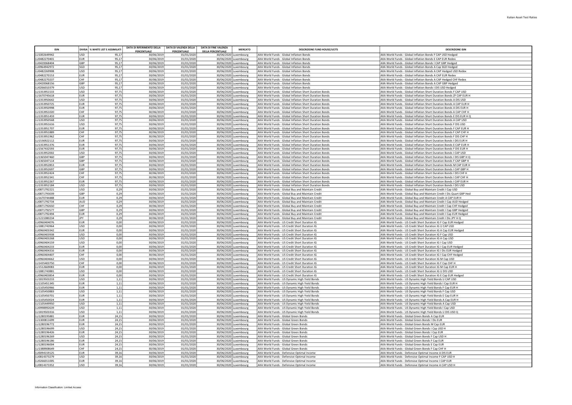| <b>ISIN</b>                 |                          | DIVISA % WHITE LIST E ASSIMILATI | DATA DI RIFERIMENTO DELLA | DATA DI VALENZA DELLA     | <b>DATA DI FINE VALENZA</b><br><b>MERCATO</b>      | <b>DESCRIZIONE FUND HOUSE/UCITS</b>                                                                                | <b>DESCRIZIONE ISIN</b>                                                                                                                    |
|-----------------------------|--------------------------|----------------------------------|---------------------------|---------------------------|----------------------------------------------------|--------------------------------------------------------------------------------------------------------------------|--------------------------------------------------------------------------------------------------------------------------------------------|
| U1002649942                 | <b>USD</b>               | 95.17                            | PERCENTUALE<br>30/06/2019 | PERCENTUALE<br>01/01/2020 | <b>DELLA PERCENTUALE</b><br>30/06/2020 Luxembourg  | AXA World Funds - Global Inflation Bonds                                                                           | AXA World Funds - Global Inflation Bonds F CAP USD Hedged                                                                                  |
| U0482270401                 | <b>EUR</b>               | 95,17                            | 30/06/2019                | 01/01/2020                | 30/06/2020<br>Luxemboure                           | AXA World Funds - Global Inflation Bonds                                                                           | AXA World Funds - Global Inflation Bonds E CAP EUR Redex                                                                                   |
| U0420068404                 | GBP                      | 95,17                            | 30/06/2019                | 01/01/2020                | 30/06/2020 Luxembourg                              | AXA World Funds - Global Inflation Bonds                                                                           | AXA World Funds - Global Inflation Bonds I CAP GBP Hedged                                                                                  |
| U0964942972                 | SGD                      | 95,17                            | 30/06/2019                | 01/01/2020                | 30/06/2020<br>uxembourg                            | AXA World Funds - Global Inflation Bonds                                                                           | AXA World Funds - Global Inflation Bonds A Cap SGD Hedged                                                                                  |
| U0482269908                 | <b>USD</b>               | 95,17                            | 30/06/2019                | 01/01/2020                | 30/06/2020 Luxembourg                              | AXA World Funds - Global Inflation Bonds                                                                           | AXA World Funds - Global Inflation Bonds A CAP Hedged USD Redex                                                                            |
| U0482270153<br>U0482270237  | <b>EUR</b><br>CHF        | 95,17<br>95,17                   | 30/06/2019<br>30/06/2019  | 01/01/2020<br>01/01/2020  | 30/06/2020 Luxembourg<br>30/06/2020 Luxembourg     | AXA World Funds - Global Inflation Bonds<br>AXA World Funds - Global Inflation Bonds                               | AXA World Funds - Global Inflation Bonds A CAP EUR Redex<br>AXA World Funds - Global Inflation Bonds A CAP Hedged CHF Redex                |
| U0420068156                 | GBP                      | 95,17                            | 30/06/2019                | 01/01/2020                | 30/06/2020 Luxembourg                              | AXA World Funds - Global Inflation Bonds                                                                           | AXA World Funds - Global Inflation Bonds A CAP GBP Hedged                                                                                  |
| U0266010379                 | <b>USD</b>               | 95,17                            | 30/06/2019                | 01/01/2020                | 30/06/2020 Luxembourg                              | AXA World Funds - Global Inflation Bonds                                                                           | AXA World Funds - Global Inflation Bonds I DIS USD Hedged                                                                                  |
| 111353951533                | <b>USD</b>               | 97,75                            | 30/06/2019                | 01/01/2020                | 30/06/2020<br>uxembourg                            | AXA World Funds - Global Inflation Short Duration Bonds                                                            | AXA World Funds - Global Inflation Short Duration Bonds E CAP USD                                                                          |
| U1670745618                 | <b>EUR</b>               | 97,75                            | 30/06/2019                | 01/01/2020                | 30/06/2020<br>uxemboure                            | AXA World Funds - Global Inflation Short Duration Bonds                                                            | AXA World Funds - Global Inflation Short Duration Bonds ZF CAP EUR H                                                                       |
| U1353950642                 | <b>USD</b><br>EUR        | 97,75                            | 30/06/2019                | 01/01/2020                | 30/06/2020 Luxembourg                              | AXA World Funds - Global Inflation Short Duration Bonds                                                            | AXA World Funds - Global Inflation Short Duration Bonds A DIS USD                                                                          |
| U1353950725<br>111353950998 | <b>FUR</b>               | 97,75<br>97,75                   | 30/06/2019<br>30/06/2019  | 01/01/2020<br>01/01/2020  | 30/06/2020  <br>uxembourg<br>30/06/2020 Luxembourg | AXA World Funds - Global Inflation Short Duration Bonds<br>AXA World Funds - Global Inflation Short Duration Bonds | AXA World Funds - Global Inflation Short Duration Bonds A CAP EUR H<br>AXA World Funds - Global Inflation Short Duration Bonds A DIS EUR H |
| LU1353951020                | CHF                      | 97,75                            | 30/06/2019                | 01/01/2020                | 30/06/2020 Luxembourg                              | AXA World Funds - Global Inflation Short Duration Bonds                                                            | AXA World Funds - Global Inflation Short Duration Bonds A CAP CHF F                                                                        |
| LU1353951459                | <b>EUR</b>               | 97,75                            | 30/06/2019                | 01/01/2020                | 30/06/2020 Luxembourg                              | AXA World Funds - Global Inflation Short Duration Bonds                                                            | AXA World Funds - Global Inflation Short Duration Bonds E DIS EUR H Q                                                                      |
| U1353950568                 | <b>USD</b>               | 97,75                            | 30/06/2019                | 01/01/2020                | 30/06/2020 Luxembourg                              | AXA World Funds - Global Inflation Short Duration Bonds                                                            | AXA World Funds - Global Inflation Short Duration Bonds A CAP USD                                                                          |
| LU1353951616                | USD                      | 97,75                            | 30/06/2019                | 01/01/2020                | 30/06/2020 Luxembourg                              | AXA World Funds - Global Inflation Short Duration Bonds                                                            | AXA World Funds - Global Inflation Short Duration Bonds F DIS USD                                                                          |
| LU1353951707                | <b>EUR</b>               | 97,75                            | 30/06/2019                | 01/01/2020                | 30/06/2020 Luxembourg                              | AXA World Funds - Global Inflation Short Duration Bonds                                                            | AXA World Funds - Global Inflation Short Duration Bonds F CAP EUR H                                                                        |
| LU1353951889<br>U1353951962 | CHF<br>CHF               | 97,75<br>97,75                   | 30/06/2019<br>30/06/2019  | 01/01/2020<br>01/01/2020  | 30/06/2020 Luxembourg<br>30/06/2020 Luxembourg     | AXA World Funds - Global Inflation Short Duration Bonds<br>AXA World Funds - Global Inflation Short Duration Bonds | AXA World Funds - Global Inflation Short Duration Bonds F CAP CHF H<br>AXA World Funds - Global Inflation Short Duration Bonds F DIS CHF H |
| LU1536922112                | <b>EUR</b>               | 97,75                            | 30/06/2019                | 01/01/2020                | 30/06/2020 Luxembourg                              | AXA World Funds - Global Inflation Short Duration Bonds                                                            | AXA World Funds - Global Inflation Short Duration Bonds I DIS EUR H                                                                        |
| LU1353951376                | EUR.                     | 97,75                            | 30/06/2019                | 01/01/2020                | 30/06/2020 Luxembourg                              | AXA World Funds - Global Inflation Short Duration Bonds                                                            | AXA World Funds - Global Inflation Short Duration Bonds E CAP EUR H                                                                        |
| LU1567432593                | <b>EUR</b>               | 97,75                            | 30/06/2019                | 01/01/2020                | 30/06/2020 Luxembourg                              | AXA World Funds - Global Inflation Short Duration Bonds                                                            | AXA World Funds - Global Inflation Short Duration Bonds F DIS EUR H                                                                        |
| U1353952002                 | <b>USD</b>               | 97,75                            | 30/06/2019                | 01/01/2020                | 30/06/2020 Luxembourg                              | AXA World Funds - Global Inflation Short Duration Bonds                                                            | AXA World Funds - Global Inflation Short Duration Bonds I CAP USD                                                                          |
| U1365047460                 | GBP<br>GBP               | 97,75                            | 30/06/2019                | 01/01/2020                | 30/06/2020 Luxembourg                              | AXA World Funds - Global Inflation Short Duration Bonds                                                            | AXA World Funds - Global Inflation Short Duration Bonds I DIS GBP H Q                                                                      |
| U1365047114<br>U1353952853  | <b>EUR</b>               | 97,75<br>97,75                   | 30/06/2019<br>30/06/2019  | 01/01/2020<br>01/01/2020  | 30/06/2020 Luxembourg<br>30/06/2020<br>uxembourg   | AXA World Funds - Global Inflation Short Duration Bonds<br>AXA World Funds - Global Inflation Short Duration Bonds | AXA World Funds - Global Inflation Short Duration Bonds F CAP GBP H<br>AXA World Funds - Global Inflation Short Duration Bonds M CAP EUR H |
| U1353952697                 | GBP                      | 97,75                            | 30/06/2019                | 01/01/2020                | 30/06/2020 Luxembourg                              | AXA World Funds - Global Inflation Short Duration Bonds                                                            | AXA World Funds - Global Inflation Short Duration Bonds I CAP GBP H                                                                        |
| U1353952424                 | CHF                      | 97,75                            | 30/06/2019                | 01/01/2020                | 30/06/2020<br>Luxembourg                           | AXA World Funds - Global Inflation Short Duration Bonds                                                            | AXA World Funds - Global Inflation Short Duration Bonds I DIS CHF H                                                                        |
| U1353952341                 | CHE                      | 97,75                            | 30/06/2019                | 01/01/2020                | 30/06/2020 Luxembourg                              | AXA World Funds - Global Inflation Short Duration Bonds                                                            | AXA World Funds - Global Inflation Short Duration Bonds I CAP CHF H                                                                        |
| U1353952267                 | EUR.                     | 97,75                            | 30/06/2019                | 01/01/2020                | 30/06/2020 Luxembourg                              | AXA World Funds - Global Inflation Short Duration Bonds                                                            | AXA World Funds - Global Inflation Short Duration Bonds I CAP FUR H                                                                        |
| LU1353952184                | <b>USD</b>               | 97,75                            | 30/06/2019                | 01/01/2020                | 30/06/2020 Luxembourg                              | AXA World Funds - Global Inflation Short Duration Bonds                                                            | AXA World Funds - Global Inflation Short Duration Bonds I DIS USD                                                                          |
| U0871792221<br>U0871793039  | <b>USD</b><br>GBP        | 0.29<br>0,29                     | 30/06/2019<br>30/06/2019  | 01/01/2020<br>01/01/2020  | 30/06/2020 Luxembourg<br>30/06/2020 Luxembourg     | AXA World Funds - Global Buy and Maintain Credit<br>AXA World Funds - Global Buy and Maintain Credit               | AXA World Funds - Global Buy and Maintain Credit I Cap USD<br>AXA World Funds - Global Buy and Maintain Credit I Dis Quart GBP Hed         |
| U1670744488                 | EUR.                     | 0,29                             | 30/06/2019                | 01/01/2020                | 30/06/2020 Luxembourg                              | AXA World Funds - Global Buy and Maintain Credit                                                                   | AXA World Funds - Global Buy and Maintain Credit A CAP EUR H                                                                               |
| U0871792734                 | AUD                      | 0,29                             | 30/06/2019                | 01/01/2020                | 30/06/2020 Luxembourg                              | AXA World Funds - Global Buy and Maintain Credit                                                                   | AXA World Funds - Global Buy and Maintain Credit I Cap AUD Hedged                                                                          |
| U0871792650                 | CHF                      | 0,29                             | 30/06/2019                | 01/01/2020                | 30/06/2020 Luxembourg                              | AXA World Funds - Global Buy and Maintain Credit                                                                   | AXA World Funds - Global Buy and Maintain Credit I Cap CHF Hedged                                                                          |
| U0871792577                 | GBP                      | 0,29                             | 30/06/2019                | 01/01/2020                | 30/06/2020<br>Luxembourg                           | AXA World Funds - Global Buy and Maintain Credit                                                                   | AXA World Funds - Global Buy and Maintain Credit I Cap GBP Hedged                                                                          |
| U0871792494                 | <b>EUR</b>               | 0,29<br>0.29                     | 30/06/2019                | 01/01/2020                | 30/06/2020<br>uxembourg.<br>30/06/2020 Uxembours   | AXA World Funds - Global Buy and Maintain Credit                                                                   | AXA World Funds - Global Buy and Maintain Credit I Cap EUR Hedged                                                                          |
| U1221080234<br>U0960404076  | JPY<br><b>EUR</b>        | 0,00                             | 30/06/2019<br>30/06/2019  | 01/01/2020<br>01/01/2020  | 30/06/2020 Luxembourg                              | AXA World Funds - Global Buy and Maintain Credit<br>AXA World Funds - US Credit Short Duration IG                  | AXA World Funds - Global Buy and Maintain Credit I Dis JPY H Q<br>AXA World Funds - US Credit Short Duration IG F Cap EUR Hedged           |
| U1881743964                 | <b>USD</b>               | 0,00                             | 30/06/2019                | 01/01/2020                | 30/06/2020 Luxembourg                              | AXA World Funds - US Credit Short Duration IG                                                                      | AXA World Funds - US Credit Short Duration IG U CAP USD                                                                                    |
| U0960403342                 | EUR                      | 0,00                             | 30/06/2019                | 01/01/2020                | 30/06/2020 Luxembourg                              | AXA World Funds - US Credit Short Duration IG                                                                      | AXA World Funds - US Credit Short Duration IG A Cap EUR Hedged                                                                             |
| 110960403938                | <b>LISD</b>              | 0.00                             | 30/06/2019                | 01/01/2020                | 30/06/2020 Luxembourg                              | AXA World Funds - US Credit Short Duration IG                                                                      | AXA World Funds - US Credit Short Duration IG F Cap USD                                                                                    |
| U0960403268                 | <b>USD</b>               | 0,00                             | 30/06/2019                | 01/01/2020                | 30/06/2020<br>uxemboure                            | AXA World Funds - US Credit Short Duration IG                                                                      | AXA World Funds - US Credit Short Duration IG A Cap USD                                                                                    |
| U0960404159                 | <b>USD</b>               | 0,00                             | 30/06/2019                | 01/01/2020                | 30/06/2020 Luxembourg                              | AXA World Funds - US Credit Short Duration IG                                                                      | AXA World Funds - US Credit Short Duration IG I Cap USD                                                                                    |
| U0960404233<br>U0960404316  | <b>EUR</b><br><b>EUR</b> | 0,00<br>0,00                     | 30/06/2019<br>30/06/2019  | 01/01/2020<br>01/01/2020  | 30/06/2020 Luxembourg<br>30/06/2020 Luxembourg     | AXA World Funds - US Credit Short Duration IG<br>AXA World Funds - US Credit Short Duration IG                     | AXA World Funds - US Credit Short Duration IG I Cap EUR Hedged<br>AXA World Funds - US Credit Short Duration IG I Dis EUR Hedged           |
| U0960404407                 | CHF                      | 0.00                             | 30/06/2019                | 01/01/2020                | 30/06/2020 Luxembourg                              | AXA World Funds - US Credit Short Duration IG                                                                      | AXA World Funds - US Credit Short Duration IG I Cap CHF Hedged                                                                             |
| U0960404662                 | <b>USD</b>               | 0,00                             | 30/06/2019                | 01/01/2020                | 30/06/2020 Luxembourg                              | AXA World Funds - US Credit Short Duration IG                                                                      | AXA World Funds - US Credit Short Duration IG M Cap USD                                                                                    |
| U1435403750                 | CHF                      | 0,00                             | 30/06/2019                | 01/01/2020                | 30/06/2020 Luxembourg                              | AXA World Funds - US Credit Short Duration IG                                                                      | AXA World Funds - US Credit Short Duration IG F Cap CHF H                                                                                  |
| LU1512669083                | EUR                      | 0,00                             | 30/06/2019                | 01/01/2020                | 30/06/2020 Luxembourg                              | AXA World Funds - US Credit Short Duration IG                                                                      | AXA World Funds - US Credit Short Duration IG M Cap EUR H                                                                                  |
| 111881743881                | <b>USD</b>               | 0,00                             | 30/06/2019                | 01/01/2020                | 30/06/2020 Luxembourg                              | AXA World Funds - US Credit Short Duration IG                                                                      | AXA World Funds - US Credit Short Duration IG U DIS USD                                                                                    |
| LU0960403854<br>U1819503233 | <b>EUR</b><br><b>USD</b> | 0,00<br>1,11                     | 30/06/2019<br>30/06/2019  | 01/01/2020<br>01/01/2020  | 30/06/2020 Luxembourg<br>30/06/2020 Luxembourg     | AXA World Funds - US Credit Short Duration IG<br>AXA World Funds - US Dynamic High Yield Bonds                     | AXA World Funds - US Credit Short Duration IG E Cap EUR Hedged<br>AXA World Funds - US Dynamic High Yield Bonds U CAP USD                  |
| LU1105451345                | <b>EUR</b>               | 1,11                             | 30/06/2019                | 01/01/2020                | 30/06/2020 Luxembourg                              | AXA World Funds - US Dynamic High Yield Bonds                                                                      | AXA World Funds - US Dynamic High Yield Bonds I Cap EUR H                                                                                  |
| LU1105450966                | <b>FUR</b>               | 1.11                             | 30/06/2019                | 01/01/2020                | 30/06/2020 Luxembourg                              | AXA World Funds - US Dynamic High Yield Bonds                                                                      | AXA World Funds - US Dynamic High Yield Bonds F Cap EUR H                                                                                  |
| LU1105450883                | <b>USD</b>               | 1.11                             | 30/06/2019                | 01/01/2020                | 30/06/2020 Luxembourg                              | AXA World Funds - US Dynamic High Yield Bonds                                                                      | AXA World Funds - US Dynamic High Yield Bonds F Cap USD                                                                                    |
| LU1105450701                | <b>EUR</b>               | 1,11                             | 30/06/2019                | 01/01/2020                | 30/06/2020 Luxembourg                              | AXA World Funds - US Dynamic High Yield Bonds                                                                      | AXA World Funds - US Dynamic High Yield Bonds E Cap EUR H                                                                                  |
| U1105450024                 | <b>EUR</b>               | 1,11                             | 30/06/2019                | 01/01/2020                | 30/06/2020 Luxembourg                              | AXA World Funds - US Dynamic High Yield Bonds                                                                      | AXA World Funds - US Dynamic High Yield Bonds A Cap EUR H                                                                                  |
| U1105449950<br>110998992639 | <b>USD</b><br><b>USD</b> | 1,11<br>1,11                     | 30/06/2019<br>30/06/2019  | 01/01/2020<br>01/01/2020  | 30/06/2020 Luxembourg<br>30/06/2020<br>Luxembour   | AXA World Funds - US Dynamic High Yield Bonds<br>AXA World Funds - US Dynamic High Yield Bonds                     | AXA World Funds - US Dynamic High Yield Bonds A Cap USD<br>AXA World Funds - US Dynamic High Yield Bonds I Cap USD                         |
| U1819503316                 | <b>USD</b>               | 1,11                             | 30/06/2019                | 01/01/2020                | 30/06/2020<br>uxembourg                            | AXA World Funds - US Dynamic High Yield Bonds                                                                      | AXA World Funds - US Dynamic High Yield Bonds U DIS USD Q                                                                                  |
| U1280195881                 | <b>EUR</b>               | 24,15                            | 30/06/2019                | 01/01/2020                | 30/06/2020 Luxembourg                              | AXA World Funds - Global Green Bonds                                                                               | AXA World Funds - Global Green Bonds A Cap EUR                                                                                             |
| U1300811699                 | <b>EUR</b>               | 24,15                            | 30/06/2019                | 01/01/2020                | 30/06/2020<br>uxembourg                            | AXA World Funds - Global Green Bonds                                                                               | AXA World Funds - Global Green Bonds I Dis EUR                                                                                             |
| U1280196772                 | <b>EUR</b>               | 24,15                            | 30/06/2019                | 01/01/2020                | 30/06/2020 Luxembourg                              | AXA World Funds - Global Green Bonds                                                                               | AXA World Funds - Global Green Bonds M Cap EUR                                                                                             |
| U1280196699                 | <b>USD</b>               | 24,15                            | 30/06/2019                | 01/01/2020                | 30/06/2020 Luxembourg                              | AXA World Funds - Global Green Bonds                                                                               | AXA World Funds - Global Green Bonds I Cap USD H                                                                                           |
| LU1280196426<br>U1280196269 | <b>EUR</b><br><b>USD</b> | 24,15<br>24,15                   | 30/06/2019<br>30/06/2019  | 01/01/2020<br>01/01/2020  | 30/06/2020 Luxembourg<br>30/06/2020 Luxembourg     | AXA World Funds - Global Green Bonds<br>AXA World Funds - Global Green Bonds                                       | AXA World Funds - Global Green Bonds I Cap EUR<br>AXA World Funds - Global Green Bonds F Cap USD H                                         |
| U1280196186                 | EUR.                     | 24,15                            | 30/06/2019                | 01/01/2020                | 30/06/2020 Luxembourg                              | AXA World Funds - Global Green Bonds                                                                               | AXA World Funds - Global Green Bonds F Cap EUR                                                                                             |
| U1280196004                 | <b>EUR</b>               | 24,15                            | 30/06/2019                | 01/01/2020                | 30/06/2020 Luxembourg                              | AXA World Funds - Global Green Bonds                                                                               | AXA World Funds - Global Green Bonds E Cap EUR                                                                                             |
| U1388908649                 | CHF                      | 24,15                            | 30/06/2019                | 01/01/2020                | 30/06/2020 Luxembourg                              | AXA World Funds - Global Green Bonds                                                                               | AXA World Funds - Global Green Bonds F Cap CHF H                                                                                           |
| U0094159125                 | <b>EUR</b>               | 39,16                            | 30/06/2019                | 01/01/2020                | 30/06/2020 Luxembourg                              | AXA World Funds - Defensive Optimal Income                                                                         | AXA World Funds - Defensive Optimal Income A DIS EUR                                                                                       |
| U0814373279                 | <b>USD</b>               | 39,16                            | 30/06/2019                | 01/01/2020                | 30/06/2020<br>uxembourg                            | AXA World Funds - Defensive Optimal Income                                                                         | AXA World Funds - Defensive Optimal Income F CAP USD H                                                                                     |
| U0266011005<br>LU0814373352 | <b>FUR</b><br><b>USD</b> | 39,16<br>39,16                   | 30/06/2019<br>30/06/2019  | 01/01/2020<br>01/01/2020  | 30/06/2020 Luxembourg<br>30/06/2020 Luxembourg     | AXA World Funds - Defensive Optimal Income<br>AXA World Funds - Defensive Optimal Income                           | AXA World Funds - Defensive Optimal Income I CAP EUR<br>AXA World Funds - Defensive Optimal Income A CAP USD H                             |
|                             |                          |                                  |                           |                           |                                                    |                                                                                                                    |                                                                                                                                            |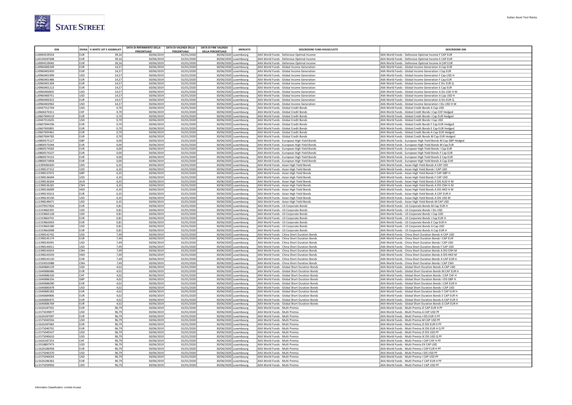

| <b>ISIN</b>                  |             | DIVISA   % WHITE LIST E ASSIMILATI | DATA DI RIFERIMENTO DELLA | DATA DI VALENZA DELLA    | <b>DATA DI FINE VALENZA</b><br><b>MERCATO</b>        | <b>DESCRIZIONE FUND HOUSE/UCITS</b>                                                      | <b>DESCRIZIONE ISIN</b>                                                                                        |
|------------------------------|-------------|------------------------------------|---------------------------|--------------------------|------------------------------------------------------|------------------------------------------------------------------------------------------|----------------------------------------------------------------------------------------------------------------|
|                              |             |                                    | PERCENTUALE               | PERCENTUALE              | <b>DELLA PERCENTUALE</b>                             |                                                                                          |                                                                                                                |
| LU0094159554                 | EUR         | 39,16                              | 30/06/2019                | 01/01/2020               | 30/06/2020<br>uxembourg                              | AXA World Funds - Defensive Optimal Income                                               | AXA World Funds - Defensive Optimal Income F CAP EUR                                                           |
| LU0158187608                 | EUR         | 39,16                              | 30/06/2019                | 01/01/2020               | 30/06/2020<br>uxembourg                              | AXA World Funds - Defensive Optimal Income                                               | AXA World Funds - Defensive Optimal Income E CAP EUR                                                           |
| LU0094159042                 | <b>EUR</b>  | 39,16                              | 30/06/2019                | 01/01/2020               | 30/06/2020<br>uxembourg                              | AXA World Funds - Defensive Optimal Income                                               | AXA World Funds - Defensive Optimal Income A CAP EUR                                                           |
| 110960400249                 | FUR         | 14,57                              | 30/06/2019                | 01/01/2020               | 30/06/2020<br>uxembourg                              | AXA World Funds - Global Income Generation                                               | AXA World Funds - Global Income Generation A Cap EUR                                                           |
| LU0960402450                 | EUR         | 14,57                              | 30/06/2019                | 01/01/2020               | 30/06/2020<br>uxembourg                              | AXA World Funds - Global Income Generation                                               | AXA World Funds - Global Income Generation I Cap EUR                                                           |
| LU0960401999                 | lusp<br>EUR | 14,57                              | 30/06/2019                | 01/01/2020               | 30/06/2020 Luxembourg                                | AXA World Funds - Global Income Generation                                               | AXA World Funds - Global Income Generation F Cap USD H                                                         |
| LU0960401486<br>LU0960401304 | FUR         | 14,57                              | 30/06/2019                | 01/01/2020               | 30/06/2020<br>Luxembourg                             | AXA World Funds - Global Income Generation                                               | AXA World Funds - Global Income Generation F Cap EUR                                                           |
| LU0960401213                 | EUR         | 14,57<br>14,57                     | 30/06/2019<br>30/06/2019  | 01/01/2020<br>01/01/2020 | 30/06/2020 Luxembourg<br>30/06/2020                  | AXA World Funds - Global Income Generation<br>AXA World Funds - Global Income Generation | AXA World Funds - Global Income Generation E Dis EUR Q<br>AXA World Funds - Global Income Generation E Cap EUR |
| LU0960400835                 | USD         | 14,57                              | 30/06/2019                | 01/01/2020               | uxembourg.<br>30/06/2020<br>uxemboure.               | AXA World Funds - Global Income Generation                                               | AXA World Funds - Global Income Generation A Dis USD H M                                                       |
| LU0960400751                 | USD         | 14,57                              | 30/06/2019                | 01/01/2020               | 30/06/2020<br>uxembourg                              | AXA World Funds - Global Income Generation                                               | AXA World Funds - Global Income Generation A Cap USD H                                                         |
| LU0960400322                 | <b>EUR</b>  | 14,57                              | 30/06/2019                | 01/01/2020               | 30/06/2020<br>ıxembourg                              | AXA World Funds - Global Income Generation                                               | AXA World Funds - Global Income Generation A Dis EUR Q                                                         |
| LU0960402963                 | lusp        | 14,57                              | 30/06/2019                | 01/01/2020               | 30/06/2020<br>uxembourg                              | AXA World Funds - Global Income Generation                                               | AXA World Funds - Global Income Generation I Dis USD H M                                                       |
| LU0447312744                 | lusp        | 0,70                               | 30/06/2019                | 01/01/2020               | 30/06/2020<br>uxembourg                              | AXA World Funds - Global Credit Bonds                                                    | AXA World Funds - Global Credit Bonds A Cap USD                                                                |
| LU0606374311                 | <b>CHF</b>  | 0,70                               | 30/06/2019                | 01/01/2020               | 30/06/2020 Luxembourg                                | AXA World Funds - Global Credit Bonds                                                    | AXA World Funds - Global Credit Bonds I Cap CHF Hedged                                                         |
| LU0607694519                 | FUR         | 0,70                               | 30/06/2019                | 01/01/2020               | 30/06/2020 Luxembourg                                | AXA World Funds - Global Credit Bonds                                                    | AXA World Funds - Global Credit Bonds I Cap EUR Hedged                                                         |
| LU0447313635                 | lusp        | 0,70                               | 30/06/2019                | 01/01/2020               | 30/06/2020 Luxembourg                                | AXA World Funds - Global Credit Bonds                                                    | AXA World Funds - Global Credit Bonds I Cap USD                                                                |
| LU0607694196                 | FUR         | 0,70                               | 30/06/2019                | 01/01/2020               | 30/06/2020 Luxembourg                                | AXA World Funds - Global Credit Bonds                                                    | AXA World Funds - Global Credit Bonds F Cap EUR Hedged                                                         |
| LU0607693891                 | EUR         | 0,70                               | 30/06/2019                | 01/01/2020               | 30/06/2020 Luxembourg                                | AXA World Funds - Global Credit Bonds                                                    | AXA World Funds - Global Credit Bonds E Cap EUR Hedged                                                         |
| LU0607693461                 | EUR         | 0,70                               | 30/06/2019                | 01/01/2020               | 30/06/2020 Luxembourg                                | AXA World Funds - Global Credit Bonds                                                    | AXA World Funds - Global Credit Bonds A Cap EUR Hedged                                                         |
| LU0607694782                 | EUR         | 0,70                               | 30/06/2019                | 01/01/2020               | 30/06/2020<br>uxembourg                              | AXA World Funds - Global Credit Bonds                                                    | AXA World Funds - Global Credit Bonds M Cap EUR Hedged                                                         |
| LU0800575127                 | <b>GBP</b>  | 0,00                               | 30/06/2019                | 01/01/2020               | 30/06/2020<br>uxembourg                              | AXA World Funds - European High Yield Bonds                                              | AXA World Funds - European High Yield Bonds M Cap GBP Hedged                                                   |
| 110800575044                 | FUR         | 0,00                               | 30/06/2019                | 01/01/2020               | 30/06/2020<br>uxemboure.                             | AXA World Funds - European High Yield Bonds                                              | AXA World Funds - European High Yield Bonds M Cap EUR                                                          |
| LU0800574583                 | EUR         | 0,00                               | 30/06/2019                | 01/01/2020               | 30/06/2020<br>Luxembourg                             | AXA World Funds - European High Yield Bonds                                              | AXA World Funds - European High Yield Bonds I Cap EUR                                                          |
| LU0800574237                 | <b>EUR</b>  | 0,00                               | 30/06/2019                | 01/01/2020               | 30/06/2020 Luxembourg                                | AXA World Funds - European High Yield Bonds                                              | AXA World Funds - European High Yield Bonds F Cap EUR                                                          |
| LU0800574153                 | <b>EUR</b>  | 0,00                               | 30/06/2019                | 01/01/2020               | 30/06/2020 Luxembourg                                | AXA World Funds - European High Yield Bonds                                              | AXA World Funds - European High Yield Bonds E Cap EUR                                                          |
| LU0800573858                 | EUR         | 0,00                               | 30/06/2019                | 01/01/2020               | 30/06/2020 Luxembourg                                | AXA World Funds - European High Yield Bonds                                              | AXA World Funds - European High Yield Bonds A Cap EUR                                                          |
| LU1399283420                 | lusn        | 6,35                               | 30/06/2019                | 01/01/2020               | 30/06/2020<br>uxembourg                              | AXA World Funds - Asian High Yield Bonds                                                 | AXA World Funds - Asian High Yield Bonds A CAP USD                                                             |
| LU1398137312                 | USD         | 6,35                               | 30/06/2019                | 01/01/2020               | 30/06/2020<br>uxembourg                              | AXA World Funds - Asian High Yield Bonds                                                 | AXA World Funds - Asian High Yield Bonds I CAP USD                                                             |
| LU1398137072                 | GBP         | 6,35                               | 30/06/2019                | 01/01/2020               | 30/06/2020<br>uxembourg                              | AXA World Funds - Asian High Yield Bonds                                                 | AXA World Funds - Asian High Yield Bonds F CAP GBP H                                                           |
| LU1398136694                 | USD         | 6,35                               | 30/06/2019                | 01/01/2020               | 30/06/2020<br>kembourg                               | AXA World Funds - Asian High Yield Bonds                                                 | AXA World Funds - Asian High Yield Bonds F CAP USD                                                             |
| LU1398136264                 | AUD         | 6,35                               | 30/06/2019                | 01/01/2020               | 30/06/2020<br>uxembourg                              | AXA World Funds - Asian High Yield Bonds                                                 | AXA World Funds - Asian High Yield Bonds A DIS AUD H M                                                         |
| LU1398136181                 | <b>CNH</b>  | 6,35                               | 30/06/2019                | 01/01/2020               | 30/06/2020<br>uxembourg                              | AXA World Funds - Asian High Yield Bonds                                                 | AXA World Funds - Asian High Yield Bonds A DIS CNH H M                                                         |
| LU1398136009                 | <b>НКD</b>  | 6,35                               | 30/06/2019                | 01/01/2020               | 30/06/2020 Luxembourg                                | AXA World Funds - Asian High Yield Bonds                                                 | AXA World Funds - Asian High Yield Bonds A DIS HKD H M                                                         |
| LU1398135613                 | EUR         | 6,35                               | 30/06/2019                | 01/01/2020               | 30/06/2020 Luxembourg                                | AXA World Funds - Asian High Yield Bonds                                                 | AXA World Funds - Asian High Yield Bonds A CAP EUR H                                                           |
| LU1398135530                 | USD         | 6,35                               | 30/06/2019                | 01/01/2020               | 30/06/2020 Luxembourg                                | AXA World Funds - Asian High Yield Bonds                                                 | AXA World Funds - Asian High Yield Bonds A DIS USD M                                                           |
| LU1398149671                 | USD         | 6,35                               | 30/06/2019                | 01/01/2020               | 30/06/2020 Luxembourg                                | AXA World Funds - Asian High Yield Bonds                                                 | AXA World Funds - Asian High Yield Bonds M CAP USD                                                             |
| LU1479557826                 | EUR         | 0,81                               | 30/06/2019                | 01/01/2020               | 30/06/2020 Luxembourg                                | AXA World Funds - US Corporate Bonds                                                     | AXA World Funds - US Corporate Bonds M Cap EUR H                                                               |
| LU1319665391                 | USD         | 0,81                               | 30/06/2019                | 01/01/2020               | 30/06/2020 Luxembourg                                | AXA World Funds - US Corporate Bonds                                                     | AXA World Funds - US Corporate Bonds I Dis USD                                                                 |
| LU1319665128                 | USD         | 0,81                               | 30/06/2019                | 01/01/2020               | 30/06/2020<br>uxembourg.                             | AXA World Funds - US Corporate Bonds                                                     | AXA World Funds - US Corporate Bonds I Cap USD                                                                 |
| LU1319664741                 | EUR<br>FUR  | 0,81<br>0,81                       | 30/06/201                 | 01/01/2020               | 30/06/2020<br>uxembourg                              | AXA World Funds - US Corporate Bonds                                                     | AXA World Funds - US Corporate Bonds I Cap EUR H                                                               |
| LU1319663693<br>LU1319663180 | USD         | 0,81                               | 30/06/2019<br>30/06/2019  | 01/01/2020<br>01/01/2020 | 30/06/2020<br>uxembourg.<br>30/06/2020<br>Luxembourg | AXA World Funds - US Corporate Bonds                                                     | AXA World Funds - US Corporate Bonds E Cap EUR H                                                               |
| LU1319663008                 | <b>EUR</b>  | 0,81                               | 30/06/2019                | 01/01/2020               | 30/06/2020 Luxembourg                                | AXA World Funds - US Corporate Bonds<br>AXA World Funds - US Corporate Bonds             | AXA World Funds - US Corporate Bonds A Cap USD<br>AXA World Funds - US Corporate Bonds A Cap EUR H             |
| LU1398142742                 | USD         | 7,49                               | 30/06/2019                | 01/01/2020               | 30/06/2020 Luxembourg                                | AXA World Funds - China Short Duration Bonds                                             | AXA World Funds - China Short Duration Bonds A CAP USD                                                         |
| LU1398145174                 | FUR         | 7,49                               | 30/06/2019                | 01/01/2020               | 30/06/2020<br>Luxembourg                             | AXA World Funds - China Short Duration Bonds                                             | AXA World Funds - China Short Duration Bonds I CAP EUR                                                         |
| LU1398145091                 | luso        | 7,49                               | 30/06/2019                | 01/01/2020               | 30/06/2020 Luxembourg                                | AXA World Funds - China Short Duration Bonds                                             | AXA World Funds - China Short Duration Bonds I CAP USD                                                         |
| LU1398144011                 | USD         | 7,49                               | 30/06/2019                | 01/01/2020               | 30/06/2020<br>uxembourg                              | AXA World Funds - China Short Duration Bonds                                             | AXA World Funds - China Short Duration Bonds F CAP USD                                                         |
| LU1398143633                 | <b>CNH</b>  | 7,49                               | 30/06/2019                | 01/01/2020               | 30/06/2020<br>uxembourg                              | AXA World Funds - China Short Duration Bonds                                             | AXA World Funds - China Short Duration Bonds A DIS CNH M                                                       |
| LU1398143559                 | HKD         | 7,49                               | 30/06/2019                | 01/01/2020               | 30/06/2020<br>uxembourg                              | AXA World Funds - China Short Duration Bonds                                             | AXA World Funds - China Short Duration Bonds A DIS HKD M                                                       |
| LU1398143120                 | <b>EUR</b>  | 7,49                               | 30/06/201                 | 01/01/2020               | 30/06/2020<br>uxembourg                              | AXA World Funds - China Short Duration Bonds                                             | AXA World Funds - China Short Duration Bonds A CAP EUR H                                                       |
| 111559353088                 | <b>CNH</b>  | 7.49                               | 30/06/2019                | 01/01/2020               | 30/06/2020<br>uxembourg                              | AXA World Funds - China Short Duration Bonds                                             | AXA World Funds - China Short Duration Bonds LCAP CNH                                                          |
| LU1640684129                 | USD         | 4,02                               | 30/06/2019                | 01/01/2020               | 30/06/2020 L<br>uxembourg                            | AXA World Funds - Global Short Duration Bonds                                            | AXA World Funds - Global Short Duration Bonds A CAP USD                                                        |
| LU1640686686                 | EUR         | 4,02                               | 30/06/2019                | 01/01/2020               | 30/06/2020 Luxembourg                                | AXA World Funds - Global Short Duration Bonds                                            | AXA World Funds - Global Short Duration Bonds M CAP EUR H                                                      |
| LU1640686330                 | lchf        | 4,02                               | 30/06/2019                | 01/01/2020               | 30/06/2020 Luxembourg                                | AXA World Funds - Global Short Duration Bonds                                            | AXA World Funds - Global Short Duration Bonds I CAP CHF H                                                      |
| LU1640686256                 | GBP         | 4,02                               | 30/06/2019                | 01/01/2020               | 30/06/2020 Luxembourg                                | AXA World Funds - Global Short Duration Bonds                                            | AXA World Funds - Global Short Duration Bonds I DIS GBP H                                                      |
| LU1640686090                 | EUR         | 4,02                               | 30/06/2019                | 01/01/2020               | 30/06/2020 Luxembourg                                | AXA World Funds - Global Short Duration Bonds                                            | AXA World Funds - Global Short Duration Bonds I CAP EUR H                                                      |
| LU1640685878                 | USD         | 4,02                               | 30/06/2019                | 01/01/2020               | 30/06/2020<br>uxembourg                              | AXA World Funds - Global Short Duration Bonds                                            | AXA World Funds - Global Short Duration Bonds I CAP USD                                                        |
| LU1640685282                 | EUR         | 4,02                               | 30/06/2019                | 01/01/2020               | 30/06/2020 Luxembourg                                | AXA World Funds - Global Short Duration Bonds                                            | AXA World Funds - Global Short Duration Bonds F CAP EUR H                                                      |
| LU1640684806                 | EUR         | 4,02                               | 30/06/2019                | 01/01/2020               | 30/06/2020<br>uxembourg                              | AXA World Funds - Global Short Duration Bonds                                            | AXA World Funds - Global Short Duration Bonds E CAP EUR H                                                      |
| LU1640684475                 | FUR         | 4,02                               | 30/06/2019                | 01/01/2020               | 30/06/2020<br>uxembourg.                             | AXA World Funds - Global Short Duration Bonds                                            | AXA World Funds - Global Short Duration Bonds A CAP EUR H                                                      |
| LU1640686769                 | EUR         | 4,02                               | 30/06/2019                | 01/01/2020               | 30/06/2020<br>Luxembourg                             | AXA World Funds - Global Short Duration Bonds                                            | AXA World Funds - Global Short Duration Bonds G CAP EUR H                                                      |
| LU1626187501                 | <b>EUR</b>  | 96,79                              | 30/06/2019                | 01/01/2020               | 30/06/2020 Luxembourg                                | AXA World Funds - Multi Premia                                                           | AXA World Funds - Multi Premia ZI CAP EUR H PF                                                                 |
| LU1575039877                 | USD         | 96,79                              | 30/06/2019                | 01/01/2020               | 30/06/2020 Luxembourg                                | AXA World Funds - Multi Premia                                                           | AXA World Funds - Multi Premia A CAP USD PF                                                                    |
| LU1626187097                 | FUR         | 96,79                              | 30/06/2019                | 01/01/2020               | 30/06/2020 Luxembourg                                | AXA World Funds - Multi Premia                                                           | AXA World Funds - Multi Premia I DIS EUR H PF                                                                  |
| LU1575043556                 | lusn        | 96,79                              | 30/06/2019                | 01/01/2020               | 30/06/2020 Luxembourg                                | AXA World Funds - Multi Premia                                                           | AXA World Funds - Multi Premia M CAP USD PF                                                                    |
| LU1626187683                 | <b>EUR</b>  | 96,79                              | 30/06/2019                | 01/01/2020               | 30/06/2020<br>uxembourg                              | AXA World Funds - Multi Premia                                                           | AXA World Funds - Multi Premia ZI DIS EUR H PF                                                                 |
| LU1575040701                 | EUR         | 96,79                              | 30/06/2019                | 01/01/2020               | 30/06/2020<br>uxembourg                              | AXA World Funds - Multi Premia                                                           | AXA World Funds - Multi Premia IX DIS EUR H Q PF                                                               |
| LU1575040537                 | USD         | 96,79                              | 30/06/2019                | 01/01/2020               | 30/06/2020<br>uxembourg                              | AXA World Funds - Multi Premia                                                           | AXA World Funds - Multi Premia ZI DIS USD PF                                                                   |
| LU1575040610                 | USD         | 96,79                              | 30/06/2019                | 01/01/2020               | 30/06/2020<br>uxembourg                              | AXA World Funds - Multi Premia                                                           | AXA World Funds - Multi Premia IX DIS USD Q PF                                                                 |
| LU1626187253                 | <b>CHF</b>  | 96,79                              | 30/06/2019                | 01/01/2020               | 30/06/2020<br>uxemboure.                             | AXA World Funds - Multi Premia                                                           | AXA World Funds - Multi Premia I CAP CHE H PE                                                                  |
| LU1918897973                 | USD         | 96,79                              | 30/06/201                 | 01/01/2020               | 30/06/2020<br>uxembourg                              | AXA World Funds - Multi Premia                                                           | AXA World Funds - Multi Premia EX CAP USD                                                                      |
| LU1626186958                 | <b>EUR</b>  | 96,79                              | 30/06/2019                | 01/01/2020               | 30/06/2020 Luxembourg                                | AXA World Funds - Multi Premia                                                           | AXA World Funds - Multi Premia I CAP EUR H PI                                                                  |
| LU1575040370                 | lusp        | 96,79                              | 30/06/2019                | 01/01/2020               | 30/06/2020 Luxembourg                                | AXA World Funds - Multi Premia                                                           | AXA World Funds - Multi Premia I DIS USD PF                                                                    |
| LU1575040024                 | lusp<br>FUR | 96,79                              | 30/06/2019<br>30/06/2019  | 01/01/2020<br>01/01/2020 | 30/06/2020 Luxembourg<br>30/06/2020 Luxembourg       | AXA World Funds - Multi Premia<br>AXA World Funds - Multi Premia                         | AXA World Funds - Multi Premia I CAP USD PI<br>AXA World Funds - Multi Premia F CAP EUR H PF                   |
| LU1626186362<br>LU1575039950 | USD         | 96,79<br>96,79                     | 30/06/2019                | 01/01/2020               | 30/06/2020 Luxembourg                                | AXA World Funds - Multi Premia                                                           | AXA World Funds - Multi Premia F CAP USD PF                                                                    |
|                              |             |                                    |                           |                          |                                                      |                                                                                          |                                                                                                                |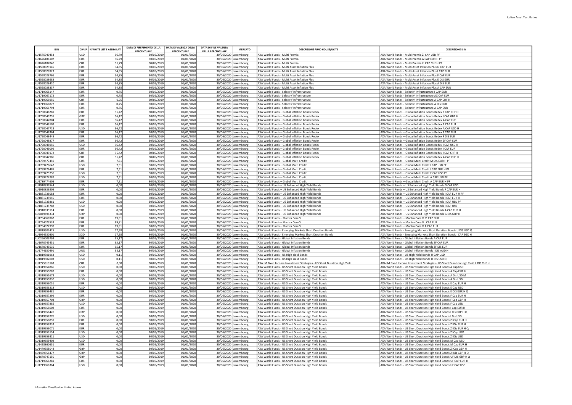| <b>ISIN</b>                |                   | DIVISA % WHITE LIST E ASSIMILATI | DATA DI RIFERIMENTO DELLA | DATA DI VALENZA DELLA            | <b>DATA DI FINE VALENZA</b> | <b>MERCATO</b>                                 | <b>DESCRIZIONE FUND HOUSE/UCITS</b>                                                                          | <b>DESCRIZIONE ISIT</b>                                                                                                               |
|----------------------------|-------------------|----------------------------------|---------------------------|----------------------------------|-----------------------------|------------------------------------------------|--------------------------------------------------------------------------------------------------------------|---------------------------------------------------------------------------------------------------------------------------------------|
| U1575040453                | <b>USD</b>        | 96.79                            | PERCENTUALE<br>30/06/2019 | <b>PERCENTUALE</b><br>01/01/2020 | <b>DELLA PERCENTUALE</b>    | 30/06/2020 Luxembourg                          | AXA World Funds - Multi Premia                                                                               | AXA World Funds - Multi Premia ZI CAP USD PF                                                                                          |
| U1626186107                | <b>EUR</b>        | 96,79                            | 30/06/2019                | 01/01/2020                       |                             | 30/06/2020 Luxembourg                          | AXA World Funds - Multi Premia                                                                               | AXA World Funds - Multi Premia A CAP EUR H PF                                                                                         |
| U1626187840                | CHF               | 96,79                            | 30/06/201                 | 01/01/2020                       |                             | 30/06/2020 Luxembourg                          | AXA World Funds - Multi Premia                                                                               | AXA World Funds - Multi Premia ZI CAP CHF H PF                                                                                        |
| U1598029145                | EUR               | 34,85                            | 30/06/2019                | 01/01/2020                       |                             | 30/06/2020 Luxembourg                          | AXA World Funds - Multi Asset Inflation Plus                                                                 | AXA World Funds - Multi Asset Inflation Plus G CAP EUR                                                                                |
| U1598028923                | EUR               | 34,85                            | 30/06/2019                | 01/01/2020                       |                             | 30/06/2020 Luxembourg                          | AXA World Funds - Multi Asset Inflation Plus                                                                 | AXA World Funds - Multi Asset Inflation Plus I CAP EUR                                                                                |
| U1598028766<br>U1598028683 | EUR<br><b>EUR</b> | 34,85<br>34,85                   | 30/06/2019<br>30/06/2019  | 01/01/2020<br>01/01/2020         |                             | 30/06/2020 Luxembourg<br>30/06/2020 Luxembourg | AXA World Funds - Multi Asset Inflation Plus<br>AXA World Funds - Multi Asset Inflation Plus                 | AXA World Funds - Multi Asset Inflation Plus F CAP EUR<br>AXA World Funds - Multi Asset Inflation Plus E DIS EUR                      |
| U1598028410                | EUR               | 34,85                            | 30/06/2019                | 01/01/2020                       |                             | 30/06/2020 Luxembourg                          | AXA World Funds - Multi Asset Inflation Plus                                                                 | AXA World Funds - Multi Asset Inflation Plus A DIS EUR                                                                                |
| 11598028337                | <b>FUR</b>        | 34,85                            | 30/06/2019                | 01/01/2020                       |                             | 30/06/2020 Luxembours                          | AXA World Funds - Multi Asset Inflation Plus                                                                 | AXA World Funds - Multi Asset Inflation Plus A CAP FUR                                                                                |
| U1719068147                | EUR               | 0,75                             | 30/06/2019                | 01/01/2020                       |                             | 30/06/2020 Luxembourg                          | AXA World Funds - Selectiv' Infrastructure                                                                   | AXA World Funds - Selectiv' Infrastructure I CAP EUR                                                                                  |
| U1719067172                | <b>EUR</b>        | 0,75                             | 30/06/2019                | 01/01/2020                       |                             | 30/06/2020 Luxembourg                          | AXA World Funds - Selectiv' Infrastructure                                                                   | AXA World Funds - Selectiv' Infrastructure AX CAP EUR                                                                                 |
| U1719066950                | <b>CHF</b>        | 0,75                             | 30/06/2019                | 01/01/2020                       |                             | 30/06/2020 Luxembourg                          | AXA World Funds - Selectiv' Infrastructure                                                                   | AXA World Funds - Selectiv' Infrastructure A CAP CHF H                                                                                |
| U1719066877<br>U1719066794 | EUR<br>EUR        | 0,75<br>0,75                     | 30/06/2019                | 01/01/2020<br>01/01/2020         |                             | 30/06/2020 Luxembourg<br>30/06/2020 Luxembourg | AXA World Funds - Selectiv' Infrastructure<br>AXA World Funds - Selectiv' Infrastructure                     | AXA World Funds - Selectiv' Infrastructure A DIS EUR<br>AXA World Funds - Selectiv' Infrastructure A CAP EUR                          |
| U1790048281                | CHF               | 96,42                            | 30/06/2019<br>30/06/2019  | 01/01/2020                       |                             | 30/06/2020 Luxembourg                          | AXA World Funds - Global Inflation Bonds Redex                                                               | AXA World Funds - Global Inflation Bonds Redex F CAP CHF H                                                                            |
| U1790049255                | GBP               | 96,42                            | 30/06/2019                | 01/01/2020                       |                             | 30/06/2020 Luxembourg                          | AXA World Funds - Global Inflation Bonds Redex                                                               | AXA World Funds - Global Inflation Bonds Redex I CAP GBP H                                                                            |
| U1790047804                | <b>EUR</b>        | 96,42                            | 30/06/2019                | 01/01/2020                       |                             | 30/06/2020 Luxembourg                          | AXA World Funds - Global Inflation Bonds Redex                                                               | AXA World Funds - Global Inflation Bonds Redex A CAP EUR                                                                              |
| U1790048109                | <b>EUR</b>        | 96.42                            | 30/06/2019                | 01/01/2020                       |                             | 30/06/2020 Luxembourg                          | AXA World Funds - Global Inflation Bonds Redex                                                               | AXA World Funds - Global Inflation Bonds Redex E CAP EUR                                                                              |
| U1790047713                | <b>USD</b>        | 96,42                            | 30/06/201                 | 01/01/2020                       |                             | 30/06/2020 Luxembourg                          | AXA World Funds - Global Inflation Bonds Redex                                                               | AXA World Funds - Global Inflation Bonds Redex A CAP USD H                                                                            |
| U1790048364                | <b>EUR</b>        | 96,42                            | 30/06/2019                | 01/01/2020                       |                             | 30/06/2020 Luxembourg                          | AXA World Funds - Global Inflation Bonds Redex                                                               | AXA World Funds - Global Inflation Bonds Redex F CAP EUR                                                                              |
| U1790048448<br>U1790048877 | <b>EUR</b><br>EUR | 96,42<br>96,42                   | 30/06/201<br>30/06/2019   | 01/01/2020<br>01/01/2020         |                             | 30/06/2020 Luxembourg<br>30/06/2020 Luxembourg | AXA World Funds - Global Inflation Bonds Redex<br>AXA World Funds - Global Inflation Bonds Redex             | AXA World Funds - Global Inflation Bonds Redex F DIS EUR<br>AXA World Funds - Global Inflation Bonds Redex ZF CAP EUR                 |
| U1790048950                | <b>USD</b>        | 96.42                            | 30/06/2019                | 01/01/2020                       |                             | 30/06/2020 Luxembourg                          | AXA World Funds - Global Inflation Bonds Redex                                                               | AXA World Funds - Global Inflation Bonds Redex LCAP USD H                                                                             |
| U1790049099                | <b>EUR</b>        | 96,42                            | 30/06/2019                | 01/01/2020                       |                             | 30/06/2020 Luxembourg                          | AXA World Funds - Global Inflation Bonds Redex                                                               | AXA World Funds - Global Inflation Bonds Redex I CAP EUR                                                                              |
| U1790049172                | CHF               | 96.42                            | 30/06/2019                | 01/01/2020                       |                             | 30/06/2020 Luxembourg                          | AXA World Funds - Global Inflation Bonds Redex                                                               | AXA World Funds - Global Inflation Bonds Redex I CAP CHF H                                                                            |
| U1790047986                | CHF               | 96,42                            | 30/06/2019                | 01/01/2020                       |                             | 30/06/2020 Luxembourg                          | AXA World Funds - Global Inflation Bonds Redex                                                               | AXA World Funds - Global Inflation Bonds Redex A CAP CHF H                                                                            |
| 11789477459                | <b>EUR</b>        | 7,51                             | 30/06/2019                | 01/01/2020                       |                             | 30/06/2020 Luxembourg                          | AXA World Funds - Global Multi Credit                                                                        | AXA World Funds - Global Multi Credit M DIS EUR H PF                                                                                  |
| U1789476642<br>U1789476485 | USD<br><b>EUR</b> | 7,51<br>7,51                     | 30/06/2019<br>30/06/2019  | 01/01/2020<br>01/01/2020         |                             | 30/06/2020 Luxembourg<br>30/06/2020 Luxembourg | AXA World Funds - Global Multi Credit<br>AXA World Funds - Global Multi Credit                               | AXA World Funds - Global Multi Credit I CAP USD PF<br>AXA World Funds - Global Multi Credit I CAP EUR H PF                            |
| U1789475750                | USD               | 7,51                             | 30/06/2019                | 01/01/2020                       |                             | 30/06/2020 Luxembourg                          | AXA World Funds - Global Multi Credit                                                                        | AXA World Funds - Global Multi Credit F CAP USD PF                                                                                    |
| U1789474787                | <b>USD</b>        | 7,51                             | 30/06/201                 | 01/01/2020                       |                             | 30/06/2020 Luxembourg                          | AXA World Funds - Global Multi Credit                                                                        | AXA World Funds - Global Multi Credit A CAP USD PF                                                                                    |
| 11789474605                | EUR               | 7.51                             | 30/06/2019                | 01/01/2020                       |                             | 30/06/2020 Uuxembourg                          | AXA World Funds - Global Multi Credit                                                                        | AXA World Funds - Global Multi Credit A CAP FUR H PF                                                                                  |
| U1910839544                | USD               | 0,00                             | 30/06/2019                | 01/01/2020                       |                             | 30/06/2020 Luxembourg                          | AXA World Funds - US Enhanced High Yield Bonds                                                               | AXA World Funds - US Enhanced High Yield Bonds G CAP USD                                                                              |
| U1910839205                | <b>EUR</b>        | 0,00                             | 30/06/2019                | 01/01/2020                       |                             | 30/06/2020 Luxembourg                          | AXA World Funds - US Enhanced High Yield Bonds                                                               | AXA World Funds - US Enhanced High Yield Bonds F CAP EUR H                                                                            |
| U1881736083<br>U1881735945 | EUR<br><b>EUR</b> | 0,00<br>0,00                     | 30/06/2019<br>30/06/2019  | 01/01/2020<br>01/01/2020         |                             | 30/06/2020 Luxembourg<br>30/06/2020 Luxembourg | AXA World Funds - US Enhanced High Yield Bonds<br>AXA World Funds - US Enhanced High Yield Bonds             | AXA World Funds - US Enhanced High Yield Bonds I CAP EUR H PF<br>AXA World Funds - US Enhanced High Yield Bonds I CAP EUR H           |
| U1881735861                | <b>USD</b>        | 0,00                             | 30/06/2019                | 01/01/2020                       |                             | 30/06/2020 Luxembourg                          | AXA World Funds - US Enhanced High Yield Bonds                                                               | AXA World Funds - US Enhanced High Yield Bonds I CAP USD PF                                                                           |
| U1881735788                | USD               | 0,00                             | 30/06/2019                | 01/01/2020                       |                             | 30/06/2020 Luxembourg                          | AXA World Funds - US Enhanced High Yield Bonds                                                               | AXA World Funds - US Enhanced High Yield Bonds I CAP USD                                                                              |
| U1910839114                | <b>EUR</b>        | 0,00                             | 30/06/2019                | 01/01/2020                       |                             | 30/06/2020 Luxembourg                          | AXA World Funds - US Enhanced High Yield Bonds                                                               | AXA World Funds - US Enhanced High Yield Bonds A CAP EUR H                                                                            |
| U2049494334                | GBP               | 0,00                             | 30/06/201                 | 01/01/2020                       |                             | 30/06/2020 Luxembourg                          | AXA World Funds - US Enhanced High Yield Bonds                                                               | AXA World Funds - US Enhanced High Yield Bonds G DIS GBP H                                                                            |
| U1794068962                | EUR               | 89.81                            | 30/06/2019                | 01/01/2020                       |                             | 30/06/2020 Luxembourg                          | AXA World Funds - Mantra Core V                                                                              | AXA World Funds - Mantra Core V M CAP EUR                                                                                             |
| U1794073533<br>U1794072998 | EUR.<br>EUR.      | 89,81<br>89.81                   | 30/06/2019<br>30/06/2019  | 01/01/2020<br>01/01/2020         |                             | 30/06/2020 Luxembourg<br>30/06/2020 Luxembourg | AXA World Funds - Mantra Core V<br>AXA World Funds - Mantra Core V                                           | AXA World Funds - Mantra Core V I CAP EUR<br>AXA World Funds - Mantra Core V A CAP EUR                                                |
| U1819502425                | USD               | 17,58                            | 30/06/2019                | 01/01/2020                       |                             | 30/06/2020 Luxembourg                          | AXA World Funds - Emerging Markets Short Duration Bonds                                                      | AXA World Funds - Emerging Markets Short Duration Bonds U DIS USD Q                                                                   |
| U1954530801                | SGD               | 17,58                            | 30/06/2019                | 01/01/2020                       |                             | 30/06/2020 Luxembourg                          | AXA World Funds - Emerging Markets Short Duration Bonds                                                      | AXA World Funds - Emerging Markets Short Duration Bonds I CAP SGD H                                                                   |
| U0266009793                | <b>EUR</b>        | 95,17                            | 30/06/201                 | 01/01/2020                       |                             | 30/06/2020 Luxembourg                          | AXA World Funds - Global Inflation Bonds                                                                     | AXA World Funds - Global Inflation Bonds A CAP EUR                                                                                    |
| U1670745451                | EUR               | 95,17                            | 30/06/2019                | 01/01/2020                       |                             | 30/06/2020 Luxembourg                          | AXA World Funds - Global Inflation Bonds                                                                     | AXA World Funds - Global Inflation Bonds ZF CAP EUR                                                                                   |
| U1670745535                | <b>EUR</b>        | 95,17                            | 30/06/2019                | 01/01/2020                       |                             | 30/06/2020 Luxembourg                          | AXA World Funds - Global Inflation Bonds                                                                     | AXA World Funds - Global Inflation Bonds ZF DIS EUR                                                                                   |
| U1774150491<br>11819501963 | AUD<br>lusn       | 95,17<br>0.11                    | 30/06/201<br>30/06/2019   | 01/01/2020<br>01/01/2020         |                             | 30/06/2020 Luxembourg<br>30/06/2020 Uuxembourg | AXA World Funds - Global Inflation Bonds<br>AXA World Funds - US High Yield Bonds                            | AXA World Funds - Global Inflation Bonds I DIS AUD H<br>AXA World Funds - US High Yield Bonds U CAP USD                               |
| U1819502003                | USD               | 0,11                             | 30/06/2019                | 01/01/2020                       |                             | 30/06/2020 Luxembourg                          | AXA World Funds - US High Yield Bonds                                                                        | AXA World Funds - US High Yield Bonds U DIS USD Q                                                                                     |
| U1775619163                | lCHF              | 0.00                             | 30/06/2019                | 01/01/2020                       |                             | 30/06/2020 Luxembourg                          | AXA IM Fixed Income Investment Strategies - US Short Duration High Yield                                     | AXA IM Fixed Income Investment Strategies - US Short Duration High Yield Z DIS CHF H                                                  |
| U1319654866                | <b>USD</b>        | 0,00                             | 30/06/2019                | 01/01/2020                       |                             | 30/06/2020 Luxembourg                          | AXA World Funds - US Short Duration High Yield Bonds                                                         | AXA World Funds - US Short Duration High Yield Bonds A Cap USD                                                                        |
| U1319655087                | <b>EUR</b>        | 0,00                             | 30/06/201                 | 01/01/2020                       |                             | 30/06/2020 Luxembourg                          | AXA World Funds - US Short Duration High Yield Bonds                                                         | AXA World Funds - US Short Duration High Yield Bonds A Cap EUR H                                                                      |
| U1319655673                | <b>USD</b>        | 0,00                             | 30/06/2019                | 01/01/2020                       |                             | 30/06/2020 Luxembourg                          | AXA World Funds - US Short Duration High Yield Bonds                                                         | AXA World Funds - US Short Duration High Yield Bonds A Dis USD M                                                                      |
| U1319655830<br>U1319656051 | USD<br><b>EUR</b> | 0,00<br>0,00                     | 30/06/2019<br>30/06/2019  | 01/01/2020<br>01/01/2020         |                             | 30/06/2020 Luxembourg<br>30/06/2020 Luxembourg | AXA World Funds - US Short Duration High Yield Bonds<br>AXA World Funds - US Short Duration High Yield Bonds | AXA World Funds - US Short Duration High Yield Bonds A Dis USD                                                                        |
| U1319656218                | USD               | 0,00                             | 30/06/2019                | 01/01/2020                       |                             | 30/06/2020 Luxembourg                          | AXA World Funds - US Short Duration High Yield Bonds                                                         | AXA World Funds - US Short Duration High Yield Bonds E Cap EUR H<br>AXA World Funds - US Short Duration High Yield Bonds E Cap USD    |
| U1319656481                | EUR               | 0.00                             | 30/06/2019                | 01/01/2020                       |                             | 30/06/2020 Luxembourg                          | AXA World Funds - US Short Duration High Yield Bonds                                                         | AXA World Funds - US Short Duration High Yield Bonds E DIS EUR H Q                                                                    |
| U1319657299                | EUR.              | 0,00                             | 30/06/2019                | 01/01/2020                       |                             | 30/06/2020 Luxembourg                          | AXA World Funds - US Short Duration High Yield Bonds                                                         | AXA World Funds - US Short Duration High Yield Bonds F Cap EUR H                                                                      |
| U1319657703                | <b>GBP</b>        | 0.00                             | 30/06/2019                | 01/01/2020                       |                             | 30/06/2020 Luxembourg                          | AXA World Funds - US Short Duration High Yield Bonds                                                         | AXA World Funds - US Short Duration High Yield Bonds F Cap GBP H                                                                      |
| U1319657885                | <b>USD</b>        | 0,00                             | 30/06/2019                | 01/01/2020                       |                             | 30/06/2020 Luxembourg                          | AXA World Funds - US Short Duration High Yield Bonds                                                         | AXA World Funds - US Short Duration High Yield Bonds F Cap USD                                                                        |
| U1319658008                | <b>EUR</b>        | 0,00                             | 30/06/2019                | 01/01/2020                       |                             | 30/06/2020 Luxembourg                          | AXA World Funds - US Short Duration High Yield Bonds                                                         | AXA World Funds - US Short Duration High Yield Bonds I Cap EUR H                                                                      |
| U1319658420<br>U1319658776 | GBP<br>USD        | 0,00<br>0,00                     | 30/06/2019<br>30/06/2019  | 01/01/2020<br>01/01/2020         |                             | 30/06/2020 Luxembourg<br>30/06/2020 Luxembourg | AXA World Funds - US Short Duration High Yield Bonds<br>AXA World Funds - US Short Duration High Yield Bonds | AXA World Funds - US Short Duration High Yield Bonds I Dis GBP H Q<br>AXA World Funds - US Short Duration High Yield Bonds I Dis USD  |
| U1319658859                | <b>EUR</b>        | 0,00                             | 30/06/201                 | 01/01/2020                       |                             | 30/06/2020 Luxembourg                          | AXA World Funds - US Short Duration High Yield Bonds                                                         | AXA World Funds - US Short Duration High Yield Bonds ZI Cap EUR H                                                                     |
| U1319658933                | EUR.              | 0,00                             | 30/06/2019                | 01/01/2020                       |                             | 30/06/2020 Luxembourg                          | AXA World Funds - US Short Duration High Yield Bonds                                                         | AXA World Funds - US Short Duration High Yield Bonds ZI Dis EUR H                                                                     |
| U1319659071                | EUR               | 0.00                             | 30/06/2019                | 01/01/2020                       |                             | 30/06/2020 Luxembourg                          | AXA World Funds - US Short Duration High Yield Bonds                                                         | AXA World Funds - US Short Duration High Yield Bonds ZI Dis EUR H Q                                                                   |
| U1319659154                | USD               | 0,00                             | 30/06/2019                | 01/01/2020                       |                             | 30/06/2020 Luxembourg                          | AXA World Funds - US Short Duration High Yield Bonds                                                         | AXA World Funds - US Short Duration High Yield Bonds ZI Cap USD                                                                       |
| U1319659311                | lusp              | 0,00                             | 30/06/2019                | 01/01/2020                       |                             | 30/06/2020 Luxembourg                          | AXA World Funds - US Short Duration High Yield Bonds                                                         | AXA World Funds - US Short Duration High Yield Bonds ZI Dis USD                                                                       |
| U1319659402                | <b>USD</b>        | 0,00                             | 30/06/2019                | 01/01/2020                       |                             | 30/06/2020 Luxembourg                          | AXA World Funds - US Short Duration High Yield Bonds                                                         | AXA World Funds - US Short Duration High Yield Bonds M Cap USD                                                                        |
| U1428860651<br>U1479558048 | <b>EUR</b><br>GBP | 0,00<br>0,00                     | 30/06/2019<br>30/06/2019  | 01/01/2020<br>01/01/2020         |                             | 30/06/2020 Luxembourg<br>30/06/2020 Luxembourg | AXA World Funds - US Short Duration High Yield Bonds<br>AXA World Funds - US Short Duration High Yield Bonds | AXA World Funds - US Short Duration High Yield Bonds M Cap EUR H<br>AXA World Funds - US Short Duration High Yield Bonds ZI Cap GBP H |
| U1479558477                | GBP               | 0,00                             | 30/06/2019                | 01/01/2020                       |                             | 30/06/2020 Luxembourg                          | AXA World Funds - US Short Duration High Yield Bonds                                                         | AXA World Funds - US Short Duration High Yield Bonds ZI Dis GBP H Q                                                                   |
| U1670747150                | GBP               | 0,00                             | 30/06/201                 | 01/01/2020                       |                             | 30/06/2020 Luxembourg                          | AXA World Funds - US Short Duration High Yield Bonds                                                         | AXA World Funds - US Short Duration High Yield Bonds UF DIS GBP H Q                                                                   |
| LU1719066281               | EUR.              | 0,00                             | 30/06/2019                | 01/01/2020                       |                             | 30/06/2020 Luxembourg                          | AXA World Funds - US Short Duration High Yield Bonds                                                         | AXA World Funds - US Short Duration High Yield Bonds UF CAP EUR H                                                                     |
| LU1719066364               | lusn              | 0.00                             | 30/06/2019                | 01/01/2020                       |                             | 30/06/2020 Luxembourg                          | AXA World Funds - US Short Duration High Yield Bonds                                                         | AXA World Funds - US Short Duration High Yield Bonds UF CAP USD                                                                       |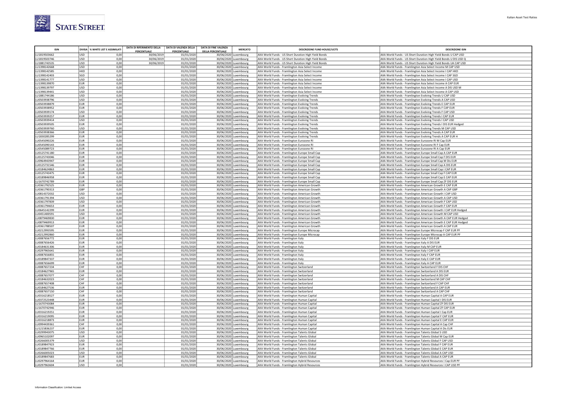

| <b>ISIN</b>                 |                          | DIVISA   % WHITE LIST E ASSIMILATI | DATA DI RIFERIMENTO DELLA<br>PERCENTUALE | DATA DI VALENZA DELLA<br><b>PERCENTUALE</b> | <b>DATA DI FINE VALENZA</b><br><b>DELLA PERCENTUALE</b> | <b>MERCATO</b>                                 | <b>DESCRIZIONE FUND HOUSE/UCITS</b>                                                                  | <b>DESCRIZIONE ISIN</b>                                                                                                    |
|-----------------------------|--------------------------|------------------------------------|------------------------------------------|---------------------------------------------|---------------------------------------------------------|------------------------------------------------|------------------------------------------------------------------------------------------------------|----------------------------------------------------------------------------------------------------------------------------|
| U1819503662                 | USD                      | 0,00                               | 30/06/2019                               | 01/01/2020                                  | 30/06/2020 Luxembourg                                   |                                                | AXA World Funds - US Short Duration High Yield Bonds                                                 | AXA World Funds - US Short Duration High Yield Bonds U CAP USD                                                             |
| LU1819503746                | <b>USD</b>               | 0,00                               | 30/06/2019                               | 01/01/2020                                  |                                                         | 30/06/2020 Luxembourg                          | AXA World Funds - US Short Duration High Yield Bonds                                                 | AXA World Funds - US Short Duration High Yield Bonds U DIS USD Q                                                           |
| LU1881743535                | <b>USD</b>               | 0,00                               | 30/06/2019                               | 01/01/2020                                  | 30/06/2020 Luxembourg                                   |                                                | AXA World Funds - US Short Duration High Yield Bonds                                                 | AXA World Funds - US Short Duration High Yield Bonds UA CAP USD                                                            |
| U1398142668                 | USD                      | 0,00                               |                                          | 01/01/2020                                  | 30/06/2020 Luxembourg                                   |                                                | AXA World Funds - Framlington Asia Select Income                                                     | AXA World Funds - Framlington Asia Select Income M CAP USD                                                                 |
| U1398142585                 | HKD.                     | 0,00                               |                                          | 01/01/2020                                  | 30/06/2020 Luxembourg                                   |                                                | AXA World Funds - Framlington Asia Select Income                                                     | AXA World Funds - Framlington Asia Select Income I CAP HKD                                                                 |
| U1398142403                 | SGD                      | 0,00                               |                                          | 01/01/2020                                  |                                                         | 30/06/2020 Luxembourg                          | AXA World Funds - Framlington Asia Select Income                                                     | AXA World Funds - Framlington Asia Select Income I CAP SGD                                                                 |
| U1398141777<br>U1398139870  | USD<br><b>EUR</b>        | 0,00<br>0,00                       |                                          | 01/01/2020<br>01/01/2020                    |                                                         | 30/06/2020 Luxembourg                          | AXA World Funds - Framlington Asia Select Income                                                     | AXA World Funds - Framlington Asia Select Income I CAP USD                                                                 |
| U1398139797                 | <b>USD</b>               | 0,00                               |                                          | 01/01/2020                                  |                                                         | 30/06/2020 Luxembourg<br>30/06/2020 Luxembourg | AXA World Funds - Framlington Asia Select Income<br>AXA World Funds - Framlington Asia Select Income | AXA World Funds - Framlington Asia Select Income A CAP EUR<br>AXA World Funds - Framlington Asia Select Income A DIS USD M |
| U1398139441                 | <b>USD</b>               | 0,00                               |                                          | 01/01/2020                                  |                                                         | 30/06/2020 Luxembourg                          | AXA World Funds - Framlington Asia Select Income                                                     | AXA World Funds - Framlington Asia Select Income A CAP USD                                                                 |
| U1881744186                 | <b>USD</b>               | 0,00                               |                                          | 01/01/2020                                  |                                                         | 30/06/2020 Luxembourg                          | AXA World Funds - Framlington Evolving Trends                                                        | AXA World Funds - Framlington Evolving Trends U CAP USD                                                                    |
| LU0503938796                | <b>USD</b>               | 0,00                               |                                          | 01/01/2020                                  |                                                         | 30/06/2020 Luxembourg                          | AXA World Funds - Framlington Evolving Trends                                                        | AXA World Funds - Framlington Evolving Trends A CAP USD                                                                    |
| LU0503938879                | <b>EUR</b>               | 0,00                               |                                          | 01/01/2020                                  | 30/06/2020 Luxembourg                                   |                                                | AXA World Funds - Framlington Evolving Trends                                                        | AXA World Funds - Framlington Evolving Trends E CAP EUR                                                                    |
| U0503938952                 | EUR                      | 0,00                               |                                          | 01/01/2020                                  | 30/06/2020 Luxembourg                                   |                                                | AXA World Funds - Framlington Evolving Trends                                                        | AXA World Funds - Framlington Evolving Trends F CAP EUR                                                                    |
| U0503939174                 | USD                      | 0,00                               |                                          | 01/01/2020                                  | 30/06/2020 Luxembourg                                   |                                                | AXA World Funds - Framlington Evolving Trends                                                        | AXA World Funds - Framlington Evolving Trends F CAP USD                                                                    |
| U0503939257                 | EUR                      | 0,00                               |                                          | 01/01/2020                                  |                                                         | 30/06/2020 Luxembourg                          | AXA World Funds - Framlington Evolving Trends                                                        | AXA World Funds - Framlington Evolving Trends I CAP EUR                                                                    |
| U0503939414                 | USD                      | 0,00                               |                                          | 01/01/2020                                  | 30/06/2020 Luxembourg                                   |                                                | AXA World Funds - Framlington Evolving Trends                                                        | AXA World Funds - Framlington Evolving Trends I CAP USD                                                                    |
| U0503939505<br>U0503939760  | <b>EUR</b><br><b>USD</b> | 0,00<br>0,00                       |                                          | 01/01/2020<br>01/01/2020                    | 30/06/2020 Luxembourg                                   | 30/06/2020 Luxembourg                          | AXA World Funds - Framlington Evolving Trends<br>AXA World Funds - Framlington Evolving Trends       | AXA World Funds - Framlington Evolving Trends I DIS EUR Hedged<br>AXA World Funds - Framlington Evolving Trends M CAP USD  |
| U0503938366                 | EUR                      | 0,00                               |                                          | 01/01/2020                                  | 30/06/2020 Luxembourg                                   |                                                | AXA World Funds - Framlington Evolving Trends                                                        | AXA World Funds - Framlington Evolving Trends A CAP EUR                                                                    |
| U1830285299                 | EUR                      | 0,00                               |                                          | 01/01/2020                                  |                                                         | 30/06/2020 Luxembourg                          | AXA World Funds - Framlington Evolving Trends                                                        | AXA World Funds - Framlington Evolving Trends A CAP EUR H                                                                  |
| U0545090226                 | EUR                      | 0,00                               |                                          | 01/01/2020                                  |                                                         | 30/06/2020 Luxembourg                          | AXA World Funds - Framlington Eurozone RI                                                            | AXA World Funds - Framlington Eurozone RI M Cap EUR                                                                        |
| U0545090143                 | EUR                      | 0,00                               |                                          | 01/01/2020                                  |                                                         | 30/06/2020 Luxembourg                          | AXA World Funds - Framlington Eurozone RI                                                            | AXA World Funds - Framlington Eurozone RI F Cap EUR                                                                        |
| U0545089723                 | EUR                      | 0,00                               |                                          | 01/01/2020                                  |                                                         | 30/06/2020 Luxembourg                          | AXA World Funds - Framlington Eurozone RI                                                            | AXA World Funds - Framlington Eurozone RI A Cap EUR                                                                        |
| U0125741180                 | EUR                      | 0,00                               |                                          | 01/01/2020                                  |                                                         | 30/06/2020 Luxembourg                          | AXA World Funds - Framlington Europe Small Cap                                                       | AXA World Funds - Framlington Europe Small Cap A CAP EUR                                                                   |
| U0125743046                 | EUR                      | 0,00                               |                                          | 01/01/2020                                  |                                                         | 30/06/2020 Luxembourg                          | AXA World Funds - Framlington Europe Small Cap                                                       | AXA World Funds - Framlington Europe Small Cap F DIS EUR                                                                   |
| U0964943947                 | EUR                      | 0,00                               |                                          | 01/01/2020                                  |                                                         | 30/06/2020 Luxembourg                          | AXA World Funds - Framlington Europe Small Cap                                                       | AXA World Funds - Framlington Europe Small Cap M Dis EUR                                                                   |
| U0125731546                 | <b>EUR</b>               | 0,00                               |                                          | 01/01/2020                                  |                                                         | 30/06/2020 Luxembourg                          | AXA World Funds - Framlington Europe Small Cap                                                       | AXA World Funds - Framlington Europe Small Cap A DIS EUR                                                                   |
| U0184624863<br>U0125743475  | <b>EUR</b><br><b>EUR</b> | 0,00<br>0,00                       |                                          | 01/01/2020<br>01/01/2020                    | 30/06/2020 Luxembourg                                   | 30/06/2020 Luxembourg                          | AXA World Funds - Framlington Europe Small Cap<br>AXA World Funds - Framlington Europe Small Cap     | AXA World Funds - Framlington Europe Small Cap I CAP EUR<br>AXA World Funds - Framlington Europe Small Cap F CAP EUR       |
| U0189846958                 | <b>EUR</b>               | 0,00                               |                                          | 01/01/2020                                  |                                                         | 30/06/2020 Luxembourg                          | AXA World Funds - Framlington Europe Small Cap                                                       | AXA World Funds - Framlington Europe Small Cap E CAP EUR                                                                   |
| LU1670742789                | <b>EUR</b>               | 0,00                               |                                          | 01/01/2020                                  |                                                         | 30/06/2020 Luxembourg                          | AXA World Funds - Framlington Europe Small Cap                                                       | AXA World Funds - Framlington Europe Small Cap ZF DIS EUR                                                                  |
| LU0361792525                | <b>EUR</b>               | 0,00                               |                                          | 01/01/2020                                  |                                                         | 30/06/2020 Luxembourg                          | AXA World Funds - Framlington American Growth                                                        | AXA World Funds - Framlington American Growth E CAP EUR                                                                    |
| U0361790313                 | GBP                      | 0,00                               |                                          | 01/01/2020                                  | 30/06/2020 Luxembourg                                   |                                                | AXA World Funds - Framlington American Growth                                                        | AXA World Funds - Framlington American Growth A CAP GBP                                                                    |
| U0814372032                 | USD                      | 0,00                               |                                          | 01/01/2020                                  |                                                         | 30/06/2020 Luxembourg                          | AXA World Funds - Framlington American Growth                                                        | AXA World Funds - Framlington American Growth I CAP USD                                                                    |
| U0361791394                 | USD                      | 0,00                               |                                          | 01/01/2020                                  |                                                         | 30/06/2020 Luxembourg                          | AXA World Funds - Framlington American Growth                                                        | AXA World Funds - Framlington American Growth A CAP USD                                                                    |
| U0361797839                 | USD                      | 0,00                               |                                          | 01/01/2020                                  |                                                         | 30/06/2020 Luxembourg                          | AXA World Funds - Framlington American Growth                                                        | AXA World Funds - Framlington American Growth F CAP USD                                                                    |
| U0361794653                 | <b>EUR</b>               | 0,00                               |                                          | 01/01/2020                                  |                                                         | 30/06/2020 Luxembourg                          | AXA World Funds - Framlington American Growth                                                        | AXA World Funds - Framlington American Growth F CAP EUR                                                                    |
| U0645142299<br>U0451400591  | <b>EUR</b><br><b>USD</b> | 0,00<br>0,00                       |                                          | 01/01/2020<br>01/01/2020                    | 30/06/2020 Luxembourg<br>30/06/2020 Luxembourg          |                                                | AXA World Funds - Framlington American Growth<br>AXA World Funds - Framlington American Growth       | AXA World Funds - Framlington American Growth I CAP EUR Hedged<br>AXA World Funds - Framlington American Growth M CAP USD  |
| U0879469830                 | EUR                      | 0,00                               |                                          | 01/01/2020                                  |                                                         | 30/06/2020 Luxembourg                          | AXA World Funds - Framlington American Growth                                                        | AXA World Funds - Framlington American Growth A CAP EUR Hedged                                                             |
| U0879469913                 | EUR                      | 0,00                               |                                          | 01/01/2020                                  |                                                         | 30/06/2020 Luxembourg                          | AXA World Funds - Framlington American Growth                                                        | AXA World Funds - Framlington American Growth E CAP EUR Hedged                                                             |
| U0361788507                 | <b>EUR</b>               | 0,00                               |                                          | 01/01/2020                                  |                                                         | 30/06/2020 Luxembourg                          | AXA World Funds - Framlington American Growth                                                        | AXA World Funds - Framlington American Growth A CAP EUR                                                                    |
| U0212993595                 | <b>EUR</b>               | 0,00                               |                                          | 01/01/2020                                  |                                                         | 30/06/2020 Luxembourg                          | AXA World Funds - Framlington Europe Microcap                                                        | AXA World Funds - Framlington Europe Microcap F CAP EUR PF                                                                 |
| U0212992860                 | EUR                      | 0,00                               |                                          | 01/01/2020                                  |                                                         | 30/06/2020 Luxembourg                          | AXA World Funds - Framlington Europe Microcap                                                        | AXA World Funds - Framlington Europe Microcap A CAP EUR PF                                                                 |
| U0087656772                 | EUR                      | 0,00                               |                                          | 01/01/2020                                  |                                                         | 30/06/2020 Luxembourg                          | AXA World Funds - Framlington Italy                                                                  | AXA World Funds - Framlington Italy F DIS EUR                                                                              |
| U0087656426                 | EUR                      | 0,00                               |                                          | 01/01/2020                                  |                                                         | 30/06/2020 Luxembourg                          | AXA World Funds - Framlington Italy                                                                  | AXA World Funds - Framlington Italy A DIS EUR                                                                              |
| U0184631306                 | <b>EUR</b><br>EUR        | 0,00                               |                                          | 01/01/2020                                  |                                                         | 30/06/2020 Luxembourg                          | AXA World Funds - Framlington Italy                                                                  | AXA World Funds - Framlington Italy M CAP EUR                                                                              |
| U0297965641<br>U0087656855  | EUR                      | 0,00<br>0.00                       |                                          | 01/01/2020<br>01/01/2020                    | 30/06/2020 Luxembourg                                   | 30/06/2020 Luxembourg                          | AXA World Funds - Framlington Italy<br>AXA World Funds - Framlington Italy                           | AXA World Funds - Framlington Italy I CAP EUR<br>AXA World Funds - Framlington Italy F CAP EUR                             |
| U0189847337                 | <b>EUR</b>               | 0,00                               |                                          | 01/01/2020                                  |                                                         | 30/06/2020 Luxembourg                          | AXA World Funds - Framlington Italy                                                                  | AXA World Funds - Framlington Italy E CAP EUR                                                                              |
| U0087656699                 | <b>EUR</b>               | 0,00                               |                                          | 01/01/2020                                  |                                                         | 30/06/2020 Luxembourg                          | AXA World Funds - Framlington Italy                                                                  | AXA World Funds - Framlington Italy A CAP EUR                                                                              |
| LU0087657234                | CHF                      | 0,00                               |                                          | 01/01/2020                                  |                                                         | 30/06/2020 Luxembourg                          | AXA World Funds - Framlington Switzerland                                                            | AXA World Funds - Framlington Switzerland F DIS CHF                                                                        |
| U0184627965                 | <b>EUR</b>               | 0,00                               |                                          | 01/01/2020                                  | 30/06/2020 Luxembourg                                   |                                                | AXA World Funds - Framlington Switzerland                                                            | AXA World Funds - Framlington Switzerland A DIS EUR                                                                        |
| U0087657077                 | CHF                      | 0,00                               |                                          | 01/01/2020                                  |                                                         | 30/06/2020 Luxembourg                          | AXA World Funds - Framlington Switzerland                                                            | AXA World Funds - Framlington Switzerland A DIS CHF                                                                        |
| U0184632023                 | CHF                      | 0,00                               |                                          | 01/01/2020                                  |                                                         | 30/06/2020 Luxembourg                          | AXA World Funds - Framlington Switzerland                                                            | AXA World Funds - Framlington Switzerland M CAP CHF                                                                        |
| U0087657408                 | CHF                      | 0,00                               |                                          | 01/01/2020                                  |                                                         | 30/06/2020 Luxembourg                          | AXA World Funds - Framlington Switzerland                                                            | AXA World Funds - Framlington Switzerland F CAP CHF                                                                        |
| U0184627536<br>LU0087657150 | <b>EUR</b><br>CHF        | 0,00<br>0,00                       |                                          | 01/01/2020<br>01/01/2020                    | 30/06/2020 Luxembourg                                   | 30/06/2020 Luxembourg                          | AXA World Funds - Framlington Switzerland<br>AXA World Funds - Framlington Switzerland               | AXA World Funds - Framlington Switzerland A CAP EUR<br>AXA World Funds - Framlington Switzerland A CAP CHF                 |
| U0316218527                 | EUR                      | 0,00                               |                                          | 01/01/2020                                  |                                                         | 30/06/2020 Luxembourg                          | AXA World Funds - Framlington Human Capital                                                          | AXA World Funds - Framlington Human Capital A CAP EUR                                                                      |
| U0372523448                 | <b>EUR</b>               | 0,00                               |                                          | 01/01/2020                                  |                                                         | 30/06/2020 Luxembourg                          | AXA World Funds - Framlington Human Capital                                                          | AXA World Funds - Framlington Human Capital I DIS EUR                                                                      |
| LU1670743084                | EUR                      | 0,00                               |                                          | 01/01/2020                                  |                                                         | 30/06/2020 Luxembourg                          | AXA World Funds - Framlington Human Capital                                                          | AXA World Funds - Framlington Human Capital ZF DIS EUR                                                                     |
| LU1670742946                | EUR                      | 0,00                               |                                          | 01/01/2020                                  |                                                         | 30/06/2020 Luxembourg                          | AXA World Funds - Framlington Human Capital                                                          | AXA World Funds - Framlington Human Capital ZF CAP EUR                                                                     |
| U0316219251                 | <b>EUR</b>               | 0,00                               |                                          | 01/01/2020                                  | 30/06/2020 Luxembourg                                   |                                                | AXA World Funds - Framlington Human Capital                                                          | AXA World Funds - Framlington Human Capital I Cap EUR                                                                      |
| U0316219095                 | EUR                      | 0,00                               |                                          | 01/01/2020                                  |                                                         | 30/06/2020 Luxembourg                          | AXA World Funds - Framlington Human Capital                                                          | AXA World Funds - Framlington Human Capital F CAP EUR                                                                      |
| U0316218873                 | EUR                      | 0,00                               |                                          | 01/01/2020                                  |                                                         | 30/06/2020 Luxembourg                          | AXA World Funds - Framlington Human Capital                                                          | AXA World Funds - Framlington Human Capital E CAP EUR                                                                      |
| U0994439361                 | CHF                      | 0,00                               |                                          | 01/01/2020                                  |                                                         | 30/06/2020 Luxembourg                          | AXA World Funds - Framlington Human Capital                                                          | AXA World Funds - Framlington Human Capital A Cap CHF                                                                      |
| LU1215836237                | EUR                      | 0,00                               |                                          | 01/01/2020                                  |                                                         | 30/06/2020 Luxembourg                          | AXA World Funds - Framlington Human Capital                                                          | AXA World Funds - Framlington Human Capital A Dis EUR                                                                      |
| U0299943075<br>U0965102097  | USD<br><b>EUR</b>        | 0,00<br>0,00                       |                                          | 01/01/2020<br>01/01/2020                    | 30/06/2020 Luxembourg                                   | 30/06/2020 Luxembourg                          | AXA World Funds - Framlington Talents Global<br>AXA World Funds - Framlington Talents Global         | AXA World Funds - Framlington Talents Global S USD<br>AXA World Funds - Framlington Talents Global M Cap EUR               |
| U0266005379                 | <b>USD</b>               | 0,00                               |                                          | 01/01/2020                                  |                                                         | 30/06/2020 Luxembourg                          | AXA World Funds - Framlington Talents Global                                                         | AXA World Funds - Framlington Talents Global F CAP USD                                                                     |
| LU0189847923                | <b>EUR</b>               | 0,00                               |                                          | 01/01/2020                                  |                                                         | 30/06/2020 Luxembourg                          | AXA World Funds - Framlington Talents Global                                                         | AXA World Funds - Framlington Talents Global F CAP EUR                                                                     |
| LU0189847766                | <b>EUR</b>               | 0.00                               |                                          | 01/01/2020                                  | 30/06/2020 Luxembourg                                   |                                                | AXA World Funds - Framlington Talents Global                                                         | AXA World Funds - Framlington Talents Global E CAP EUR                                                                     |
| U0266005023                 | <b>USD</b>               | 0,00                               |                                          | 01/01/2020                                  | 30/06/2020 Luxembourg                                   |                                                | AXA World Funds - Framlington Talents Global                                                         | AXA World Funds - Framlington Talents Global A CAP USD                                                                     |
| 110189847683                | <b>EUR</b>               | 0.00                               |                                          | 01/01/2020                                  | 30/06/2020 Luxembourg                                   |                                                | AXA World Funds - Framlington Talents Global                                                         | AXA World Funds - Framlington Talents Global A CAP EUR                                                                     |
| U0297964164                 | EUR                      | 0,00                               |                                          | 01/01/2020                                  |                                                         | 30/06/2020 Luxembourg                          | AXA World Funds - Framlington Hybrid Resources                                                       | AXA World Funds - Framlington Hybrid Resources I Cap EUR PF                                                                |
| LU0297963604                | USD                      | 0,00                               |                                          | 01/01/2020                                  |                                                         | 30/06/2020 Luxembourg                          | AXA World Funds - Framlington Hybrid Resources                                                       | AXA World Funds - Framlington Hybrid Resources I CAP USD PF                                                                |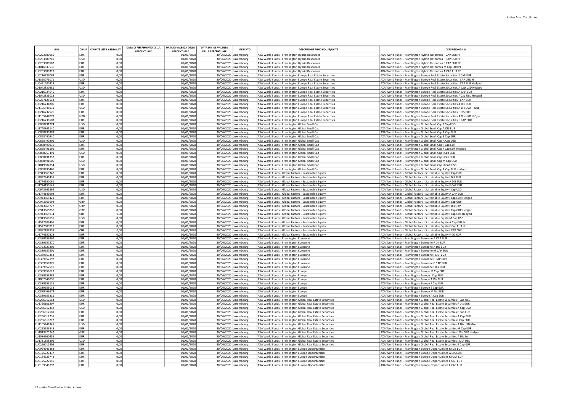| <b>ISIN</b>                  |                                    | DIVISA % WHITE LIST E ASSIMILATI | DATA DI RIFERIMENTO DELLA | DATA DI VALENZA DELLA    | <b>DATA DI FINE VALENZA</b> | <b>MERCATO</b>                                 | <b>DESCRIZIONE FUND HOUSE/UCITS</b>                                                                                        | <b>DESCRIZIONE ISIT</b>                                                                                                                        |
|------------------------------|------------------------------------|----------------------------------|---------------------------|--------------------------|-----------------------------|------------------------------------------------|----------------------------------------------------------------------------------------------------------------------------|------------------------------------------------------------------------------------------------------------------------------------------------|
|                              |                                    |                                  | PERCENTUALE               | <b>PERCENTUALE</b>       | <b>DELLA PERCENTUALE</b>    |                                                |                                                                                                                            |                                                                                                                                                |
| LU0293680665<br>LU0293680749 | <b>EUR</b><br>USD                  | 0.00<br>0.00                     |                           | 01/01/2020<br>01/01/2020 |                             | 30/06/2020 Luxembourg<br>30/06/2020 Luxembourg | AXA World Funds - Framlington Hybrid Resources<br>AXA World Funds - Framlington Hybrid Resources                           | AXA World Funds - Framlington Hybrid Resources F CAP EUR PF<br>AXA World Funds - Framlington Hybrid Resources F CAP USD PF                     |
| LU0293680582                 | EUR                                | 0,00                             |                           | 01/01/2020               | 30/06/2020                  | Luxembourg                                     | AXA World Funds - Framlington Hybrid Resources                                                                             | AXA World Funds - Framlington Hybrid Resources E CAP EUR PF                                                                                    |
| LU1016633536                 | EUR                                | 0.00                             |                           | 01/01/2020               |                             | 30/06/2020 Luxembourg                          | AXA World Funds - Framlington Hybrid Resources                                                                             | AXA World Funds - Framlington Hybrid Resources M Cap EUR PF                                                                                    |
| LU0293680319                 | EUR                                | 0,00                             |                           | 01/01/2020               |                             | 30/06/2020 Luxembourg                          | AXA World Funds - Framlington Hybrid Resources                                                                             | AXA World Funds - Framlington Hybrid Resources A CAP EUR PF                                                                                    |
| LU0216737063                 | EUR <sup></sup>                    | 0,00                             |                           | 01/01/2020               |                             | 30/06/2020 Luxembourg                          | AXA World Funds - Framlington Europe Real Estate Securities                                                                | AXA World Funds - Framlington Europe Real Estate Securities F CAP EUR                                                                          |
| LU1390071071                 | USD                                | 0,00                             |                           | 01/01/2020               |                             | 30/06/2020 Luxembourg                          | AXA World Funds - Framlington Europe Real Estate Securities                                                                | AXA World Funds - Framlington Europe Real Estate Securities I CAP USD H                                                                        |
| U0451400328                  | <b>EUR</b>                         | 0,00                             |                           | 01/01/2020               |                             | 30/06/2020 Luxembourg                          | AXA World Funds - Framlington Europe Real Estate Securities                                                                | AXA World Funds - Framlington Europe Real Estate Securities I CAP EUR Hedged                                                                   |
| 111042830981                 | <b>LISD</b>                        | 0.00                             |                           | 01/01/2020               |                             | 30/06/2020 Luxembourg                          | AXA World Funds - Framlington Europe Real Estate Securities                                                                | AXA World Funds - Framlington Europe Real Estate Securities A Cap USD Hedged                                                                   |
| LU0216734045                 | <b>EUR</b>                         | 0,00                             |                           | 01/01/2020               |                             | 30/06/2020 Luxembourg                          | AXA World Funds - Framlington Europe Real Estate Securities                                                                | AXA World Funds - Framlington Europe Real Estate Securities A CAP EUR                                                                          |
| LU1042831013                 | <b>USD</b><br>leur.                | 0,00                             |                           | 01/01/2020               |                             | 30/06/2020 Luxembourg                          | AXA World Funds - Framlington Europe Real Estate Securities                                                                | AXA World Funds - Framlington Europe Real Estate Securities F Cap USD Hedged                                                                   |
| LU0227125514<br>LU0216734805 | FUR                                | 0,00<br>0,00                     |                           | 01/01/2020<br>01/01/2020 | 30/06/2020                  | uxembourg<br>30/06/2020 Luxembourg             | AXA World Funds - Framlington Europe Real Estate Securities<br>AXA World Funds - Framlington Europe Real Estate Securities | AXA World Funds - Framlington Europe Real Estate Securities I CAP EUR<br>AXA World Funds - Framlington Europe Real Estate Securities A DIS EUR |
| LU1105446931                 | USD                                | 0,00                             |                           | 01/01/2020               |                             | 30/06/2020 Luxembourg                          | AXA World Funds - Framlington Europe Real Estate Securities                                                                | AXA World Funds - Framlington Europe Real Estate Securities A Dis USD H Qua                                                                    |
| LU0216737576                 | EUR                                | 0,00                             |                           | 01/01/2020               |                             | 30/06/2020 Luxembourg                          | AXA World Funds - Framlington Europe Real Estate Securities                                                                | AXA World Funds - Framlington Europe Real Estate Securities F DIS EUR                                                                          |
| LU1105447079                 | HKD                                | 0,00                             |                           | 01/01/2020               |                             | 30/06/2020 Luxembourg                          | AXA World Funds - Framlington Europe Real Estate Securities                                                                | AXA World Funds - Framlington Europe Real Estate Securities A Dis HKD H Qua                                                                    |
| LU0216736503                 | <b>EUR</b>                         | 0,00                             |                           | 01/01/2020               |                             | 30/06/2020 Luxembourg                          | AXA World Funds - Framlington Europe Real Estate Securities                                                                | AXA World Funds - Framlington Europe Real Estate Securities E CAP EUR                                                                          |
| U0868491274                  | <b>USD</b>                         | 0,00                             |                           | 01/01/2020               |                             | 30/06/2020 Luxembourg                          | AXA World Funds - Framlington Global Small Cap                                                                             | AXA World Funds - Framlington Global Small Cap F Cap USD                                                                                       |
| LU1740841140                 | <b>EUR</b>                         | 0,00                             |                           | 01/01/2020               |                             | 30/06/2020 Luxembourg                          | AXA World Funds - Framlington Global Small Cap                                                                             | AXA World Funds - Framlington Global Small Cap A DIS EUR                                                                                       |
| LU0868490383                 | EUR                                | 0,00                             |                           | 01/01/2020               |                             | 30/06/2020 Luxembourg                          | AXA World Funds - Framlington Global Small Cap                                                                             | AXA World Funds - Framlington Global Small Cap A Cap EUR                                                                                       |
| LU0868490540<br>U0868490201  | leur.<br>lusp                      | 0,00<br>0,00                     |                           | 01/01/2020               | 30/06/2020                  | uxembourg.                                     | AXA World Funds - Framlington Global Small Cap                                                                             | AXA World Funds - Framlington Global Small Cap E Cap EUR                                                                                       |
| LU0868490979                 | EUR                                | 0,00                             |                           | 01/01/2020<br>01/01/2020 |                             | 30/06/2020 Luxembourg<br>30/06/2020 Luxembourg | AXA World Funds - Framlington Global Small Cap<br>AXA World Funds - Framlington Global Small Cap                           | AXA World Funds - Framlington Global Small Cap A Cap USD<br>AXA World Funds - Framlington Global Small Cap F Cap EUR                           |
| LU0868491191                 | EUR                                | 0,00                             |                           | 01/01/2020               |                             | 30/06/2020 Luxembourg                          | AXA World Funds - Framlington Global Small Cap                                                                             | AXA World Funds - Framlington Global Small Cap F Cap EUR Hedged                                                                                |
| LU0868753491                 | USD                                | 0,00                             |                           | 01/01/2020               |                             | 30/06/2020 Luxembourg                          | AXA World Funds - Framlington Global Small Cap                                                                             | AXA World Funds - Framlington Global Small Cap I Cap USD                                                                                       |
| U0868491357                  | <b>EUR</b>                         | 0,00                             |                           | 01/01/2020               |                             | 30/06/2020 Luxembourg                          | AXA World Funds - Framlington Global Small Cap                                                                             | AXA World Funds - Framlington Global Small Cap I Cap EUR                                                                                       |
| U0868491605                  | <b>USD</b>                         | 0,00                             |                           | 01/01/2020               |                             | 30/06/2020 Luxembourg                          | AXA World Funds - Framlington Global Small Cap                                                                             | AXA World Funds - Framlington Global Small Cap M Cap USD                                                                                       |
| LU1819502854                 | <b>USD</b>                         | 0,00                             |                           | 01/01/2020               |                             | 30/06/2020 Luxembourg                          | AXA World Funds - Framlington Global Small Cap                                                                             | AXA World Funds - Framlington Global Small Cap U CAP USD                                                                                       |
| U0868490466                  | EUR <sup></sup>                    | 0,00                             |                           | 01/01/2020               |                             | 30/06/2020 Luxembourg                          | AXA World Funds - Framlington Global Small Cap                                                                             | AXA World Funds - Framlington Global Small Cap A Cap EUR Hedged                                                                                |
| LU0943665348                 | EUR <sup></sup>                    | 0,00                             |                           | 01/01/2020               | 30/06/2020                  | Luxembourg                                     | AXA World Funds - Global Factors - Sustainable Equity                                                                      | AXA World Funds - Global Factors - Sustainable Equity I Cap EUR                                                                                |
| 112057845435                 | EUR                                | 0.00                             |                           | 01/01/2020               |                             | 30/06/2020 Luxembourg                          | AXA World Funds - Global Factors - Sustainable Equity                                                                      | AXA World Funds - Global Factors - Sustainable Equity I DIS EUR                                                                                |
| LU1774150061<br>LU1774150145 | EUR<br>EUR                         | 0,00<br>0,00                     |                           | 01/01/2020<br>01/01/2020 |                             | 30/06/2020 Luxembourg<br>30/06/2020 Luxembourg | AXA World Funds - Global Factors - Sustainable Equity<br>AXA World Funds - Global Factors - Sustainable Equity             | AXA World Funds - Global Factors - Sustainable Equity A DIS EUR<br>AXA World Funds - Global Factors - Sustainable Equity F CAP EUR             |
| LU0943665264                 | USD                                | 0,00                             |                           | 01/01/2020               |                             | 30/06/2020 Luxembourg                          | AXA World Funds - Global Factors - Sustainable Equity                                                                      | AXA World Funds - Global Factors - Sustainable Equity I Cap USD                                                                                |
| LU1774149998                 | <b>EUR</b>                         | 0,00                             |                           | 01/01/2020               |                             | 30/06/2020 Luxembourg                          | AXA World Funds - Global Factors - Sustainable Equity                                                                      | AXA World Funds - Global Factors - Sustainable Equity A CAP EUR                                                                                |
| LU0943665421                 | <b>EUR</b>                         | 0,00                             |                           | 01/01/2020               |                             | 30/06/2020 Luxembourg                          | AXA World Funds - Global Factors - Sustainable Equity                                                                      | AXA World Funds - Global Factors - Sustainable Equity I Cap EUR Hedged                                                                         |
| LU0943665694                 | <b>GBP</b>                         | 0,00                             |                           | 01/01/2020               |                             | 30/06/2020 Luxembourg                          | AXA World Funds - Global Factors - Sustainable Equity                                                                      | AXA World Funds - Global Factors - Sustainable Equity I Cap GBP                                                                                |
| LU0943665777                 | <b>GBP</b>                         | 0,00                             |                           | 01/01/2020               |                             | 30/06/2020 Luxembourg                          | AXA World Funds - Global Factors - Sustainable Equity                                                                      | AXA World Funds - Global Factors - Sustainable Equity I Dis GBP                                                                                |
| LU0943665850                 | <b>GBP</b>                         | 0,00                             |                           | 01/01/2020               |                             | 30/06/2020 Luxembourg                          | AXA World Funds - Global Factors - Sustainable Equity                                                                      | AXA World Funds - Global Factors - Sustainable Equity I Cap GBP Hedged                                                                         |
| 110943665934                 | CHF                                | 0.00                             |                           | 01/01/2020               |                             | 30/06/2020 Luxembourg                          | AXA World Funds - Global Factors - Sustainable Equity                                                                      | AXA World Funds - Global Factors - Sustainable Equity I Cap CHF Hedged                                                                         |
| LU0943666155<br>LU1527609496 | USD<br>EUR                         | 0,00<br>0,00                     |                           | 01/01/2020<br>01/01/2020 |                             | 30/06/2020 Luxembourg<br>30/06/2020 Luxembourg | AXA World Funds - Global Factors - Sustainable Equity<br>AXA World Funds - Global Factors - Sustainable Equity             | AXA World Funds - Global Factors - Sustainable Equity M Cap USD<br>AXA World Funds - Global Factors - Sustainable Equity A Cap EUR H           |
| LU1527609819                 | <b>EUR</b>                         | 0,00                             |                           | 01/01/2020               |                             | 30/06/2020 Luxembourg                          | AXA World Funds - Global Factors - Sustainable Equity                                                                      | AXA World Funds - Global Factors - Sustainable Equity F Cap EUR H                                                                              |
| 112052187858                 | Існғ                               | 0.00                             |                           | 01/01/2020               |                             | 30/06/2020 Luxembourg                          | AXA World Funds - Global Factors - Sustainable Equity                                                                      | AXA World Funds - Global Factors - Sustainable Equity I CAP CHF                                                                                |
| LU1774150228                 | <b>EUR</b>                         | 0,00                             |                           | 01/01/2020               |                             | 30/06/2020 Luxembourg                          | AXA World Funds - Global Factors - Sustainable Equity                                                                      | AXA World Funds - Global Factors - Sustainable Equity F DIS EUR                                                                                |
| LU0389656892                 | EUR                                | 0,00                             |                           | 01/01/2020               |                             | 30/06/2020 Luxembourg                          | AXA World Funds - Framlington Eurozone                                                                                     | AXA World Funds - Framlington Eurozone A CAP EUR                                                                                               |
| LU0389657270                 | EUR                                | 0,00                             |                           | 01/01/2020               |                             | 30/06/2020 Luxembourg                          | AXA World Funds - Framlington Eurozone                                                                                     | AXA World Funds - Framlington Eurozone F Dis EUR                                                                                               |
| LU0753923209                 | EUR                                | 0,00                             |                           | 01/01/2020               |                             | 30/06/2020 Luxembourg                          | AXA World Funds - Framlington Eurozone                                                                                     | AXA World Funds - Framlington Eurozone A DIS EUR                                                                                               |
| LU038965760:                 | EUR                                | 0.00                             |                           | 01/01/2020               |                             | 30/06/2020 Luxembourg                          | AXA World Funds - Framlington Eurozone                                                                                     | AXA World Funds - Framlington Eurozone M CAP EUR                                                                                               |
| LU0389657353<br>LU0389657197 | EUR <sup></sup><br>EUR <sup></sup> | 0,00<br>0,00                     |                           | 01/01/2020<br>01/01/2020 |                             | 30/06/2020 Luxembourg<br>30/06/2020 Luxembourg | AXA World Funds - Framlington Eurozone<br>AXA World Funds - Framlington Eurozone                                           | AXA World Funds - Framlington Eurozone I CAP EUR                                                                                               |
| LU0389656975                 | <b>EUR</b>                         | 0,00                             |                           | 01/01/2020               |                             | 30/06/2020 Luxembourg                          | AXA World Funds - Framlington Eurozone                                                                                     | AXA World Funds - Framlington Eurozone F CAP EUR<br>AXA World Funds - Framlington Eurozone E CAP EUR                                           |
| LU0389657510                 | FUR                                | 0.00                             |                           | 01/01/2020               |                             | 30/06/2020 Luxembourg                          | AXA World Funds - Framlington Eurozone                                                                                     | AXA World Funds - Framlington Eurozone I Dis EUR                                                                                               |
| LU0389656629                 | <b>EUR</b>                         | 0,00                             |                           | 01/01/2020               |                             | 30/06/2020 Luxembourg                          | AXA World Funds - Framlington Europe                                                                                       | AXA World Funds - Framlington Europe M Cap EUR                                                                                                 |
| LU0389656389                 | EUR                                | 0,00                             |                           | 01/01/2020               |                             | 30/06/2020 Luxembourg                          | AXA World Funds - Framlington Europe                                                                                       | AXA World Funds - Framlington Europe I Cap EUR                                                                                                 |
| LU1002646096                 | <b>EUR</b>                         | 0,00                             |                           | 01/01/2020               |                             | 30/06/2020 Luxembourg                          | AXA World Funds - Framlington Europe                                                                                       | AXA World Funds - Framlington Europe A Dis EUR                                                                                                 |
| LU0389656116                 | EUR                                | 0.00                             |                           | 01/01/2020               |                             | 30/06/2020 Luxembourg                          | AXA World Funds - Framlington Europe                                                                                       | AXA World Funds - Framlington Europe F Cap EUR                                                                                                 |
| LU0389656033                 | EUR                                | 0,00                             |                           | 01/01/2020               |                             | 30/06/2020 Luxembourg                          | AXA World Funds - Framlington Europe                                                                                       | AXA World Funds - Framlington Europe E Cap EUR                                                                                                 |
| LU0879469673                 | EUR <sup></sup>                    | 0,00                             |                           | 01/01/2020               |                             | 30/06/2020 Luxembourg                          | AXA World Funds - Framlington Europe                                                                                       | AXA World Funds - Framlington Europe M Dis EUR                                                                                                 |
| LU0389655811<br>LU0266012664 | EUR <sup></sup><br>USD             | 0,00<br>0,00                     |                           | 01/01/2020               |                             | 30/06/2020 Luxembourg                          | AXA World Funds - Framlington Europe                                                                                       | AXA World Funds - Framlington Europe A Cap EUR                                                                                                 |
| 111756101207                 | FUR                                | 0.00                             |                           | 01/01/2020<br>01/01/2020 |                             | 30/06/2020 Luxembourg<br>30/06/2020 Luxembourg | AXA World Funds - Framlington Global Real Estate Securities<br>AXA World Funds - Framlington Global Real Estate Securities | AXA World Funds - Framlington Global Real Estate Securities F Cap USD<br>AXA World Funds - Framlington Global Real Estate Securities F DIS EUR |
| LU0266012318                 | <b>USD</b>                         | 0,00                             |                           | 01/01/2020               |                             | 30/06/2020 Luxembourg                          | AXA World Funds - Framlington Global Real Estate Securities                                                                | AXA World Funds - Framlington Global Real Estate Securities A Cap USD                                                                          |
| LU0266012581                 | leur.                              | 0,00                             |                           | 01/01/2020               |                             | 30/06/2020 Luxembourg                          | AXA World Funds - Framlington Global Real Estate Securities                                                                | AXA World Funds - Framlington Global Real Estate Securities F Cap EUR                                                                          |
| LU0266012235                 | <b>EUR</b>                         | 0,00                             |                           | 01/01/2020               |                             | 30/06/2020 Luxembourg                          | AXA World Funds - Framlington Global Real Estate Securities                                                                | AXA World Funds - Framlington Global Real Estate Securities A Cap EUR                                                                          |
| LU0296618712                 | FUR                                | 0.00                             |                           | 01/01/2020               |                             | 30/06/2020 Luxembourg                          | AXA World Funds - Framlington Global Real Estate Securities                                                                | AXA World Funds - Framlington Global Real Estate Securities I Cap EUR                                                                          |
| LU1105446345                 | <b>USD</b>                         | 0,00                             |                           | 01/01/2020               |                             | 30/06/2020 Luxembourg                          | AXA World Funds - Framlington Global Real Estate Securities                                                                | AXA World Funds - Framlington Global Real Estate Securities A Dis USD Mon                                                                      |
| LU0295686348                 | EUR <sup></sup>                    | 0,00                             |                           | 01/01/2020               |                             | 30/06/2020 Luxembourg                          | AXA World Funds - Framlington Global Real Estate Securities                                                                | AXA World Funds - Framlington Global Real Estate Securities M Cap EUR                                                                          |
| LU1013825242                 | GBP                                | 0,00                             |                           | 01/01/2020               |                             | 30/06/2020 Luxembourg                          | AXA World Funds - Framlington Global Real Estate Securities                                                                | AXA World Funds - Framlington Global Real Estate Securities I Dis GBP Hedged                                                                   |
| LU1084960456<br>LU1731858806 | <b>EUR</b><br>USD                  | 0.00<br>0,00                     |                           | 01/01/2020<br>01/01/2020 |                             | 30/06/2020 Luxembourg<br>30/06/2020 Luxembourg | AXA World Funds - Framlington Global Real Estate Securities                                                                | AXA World Funds - Framlington Global Real Estate Securities A Dis Eur                                                                          |
| LU0266012409                 | <b>EUR</b>                         | 0,00                             |                           | 01/01/2020               |                             | 30/06/2020 Luxembourg                          | AXA World Funds - Framlington Global Real Estate Securities<br>AXA World Funds - Framlington Global Real Estate Securities | AXA World Funds - Framlington Global Real Estate Securities I CAP USD<br>AXA World Funds - Framlington Global Real Estate Securities E Cap EUR |
| LU0964943863                 | EUR                                | 0,00                             |                           | 01/01/2020               |                             | 30/06/2020 Luxembourg                          | AXA World Funds - Framlington Europe Opportunities                                                                         | AXA World Funds - Framlington Europe Opportunities M Dis EUR                                                                                   |
| LU0125727437                 | EUR                                | 0,00                             |                           | 01/01/2020               |                             | 30/06/2020 Luxembourg                          | AXA World Funds - Framlington Europe Opportunities                                                                         | AXA World Funds - Framlington Europe Opportunities A DIS EUR                                                                                   |
| LU0184629748                 | <b>FUR</b>                         | 0.00                             |                           | 01/01/2020               |                             | 30/06/2020 Luxembourg                          | AXA World Funds - Framlington Europe Opportunities                                                                         | AXA World Funds - Framlington Europe Opportunities M CAP EUR                                                                                   |
| LU0125727940                 | EUR                                | 0,00                             |                           | 01/01/2020               |                             | 30/06/2020 Luxembourg                          | AXA World Funds - Framlington Europe Opportunities                                                                         | AXA World Funds - Framlington Europe Opportunities F CAP EUR                                                                                   |
| LU0189846792                 | <b>EUR</b>                         | 0.00                             |                           | 01/01/2020               |                             | 30/06/2020 Luxembourg                          | AXA World Funds - Framlington Europe Opportunities                                                                         | AXA World Funds - Framlington Europe Opportunities E CAP EUR                                                                                   |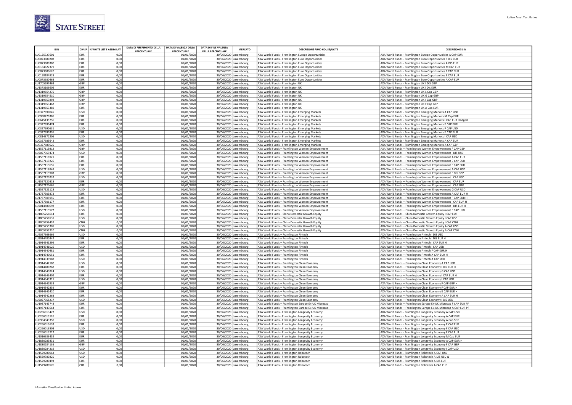

| <b>ISIN</b>                |                          | DIVISA % WHITE LIST E ASSIMILATI | DATA DI RIFERIMENTO DELLA | DATA DI VALENZA DELLA            | <b>DATA DI FINE VALENZA</b><br><b>MERCATO</b>     | <b>DESCRIZIONE FUND HOUSE/UCITS</b>                                                                | <b>DESCRIZIONE ISIN</b>                                                                                                |
|----------------------------|--------------------------|----------------------------------|---------------------------|----------------------------------|---------------------------------------------------|----------------------------------------------------------------------------------------------------|------------------------------------------------------------------------------------------------------------------------|
| J0125727601                | EUR                      | 0.00                             | PERCENTUALE               | <b>PERCENTUALE</b><br>01/01/2020 | <b>DELLA PERCENTUALE</b><br>30/06/2020 Luxembourg | AXA World Funds - Framlington Europe Opportunities                                                 | AXA World Funds - Framlington Europe Opportunities A CAP EUR                                                           |
| 0073680208                 | EUR                      | 0,00                             |                           | 01/01/2020                       | 30/06/2020 Luxembourg                             | AXA World Funds - Framlington Euro Opportunities                                                   | AXA World Funds - Framlington Euro Opportunities F DIS EUR                                                             |
| U0073680380                | <b>EUR</b>               | 0,00                             |                           | 01/01/2020                       | 30/06/2020 Luxembourg                             | AXA World Funds - Framlington Euro Opportunities                                                   | AXA World Funds - Framlington Euro Opportunities A DIS EUR                                                             |
| J0184627379                | <b>EUR</b>               | 0,00                             |                           | 01/01/2020                       | 30/06/2020 Luxembourg                             | AXA World Funds - Framlington Euro Opportunities                                                   | AXA World Funds - Framlington Euro Opportunities M CAP EUR                                                             |
| J0073680620                | EUR                      | 0,00                             |                           | 01/01/2020                       | 30/06/2020 Luxembourg                             | AXA World Funds - Framlington Euro Opportunities                                                   | AXA World Funds - Framlington Euro Opportunities F CAP EUR                                                             |
| J0158184928                | EUR                      | 0,00                             |                           | 01/01/2020                       | 30/06/2020 Luxembourg                             | AXA World Funds - Framlington Euro Opportunities                                                   | AXA World Funds - Framlington Euro Opportunities E CAP EUR                                                             |
| J0073680463<br>U1705597463 | EUR<br>GBP               | 0,00<br>0,00                     |                           | 01/01/2020<br>01/01/2020         | 30/06/2020 Luxembourg<br>30/06/2020 Luxembourg    | AXA World Funds - Framlington Euro Opportunities<br>AXA World Funds - Framlington UK               | AXA World Funds - Framlington Euro Opportunities A CAP EUR<br>AXA World Funds - Framlington UK I DIS GBP               |
| J1373106605                | FUR                      | 0.00                             |                           | 01/01/2020                       | 30/06/2020 Luxembourg                             | AXA World Funds - Framlington UK                                                                   | AXA World Funds - Framlington UK I Dis EUR                                                                             |
| J1319654270                | GBP                      | 0,00                             |                           | 01/01/2020                       | 30/06/2020 Luxembourg                             | AXA World Funds - Framlington UK                                                                   | AXA World Funds - Framlington UK L Cap GBP                                                                             |
| J1319654510                | GBP                      | 0,00                             |                           | 01/01/2020                       | 30/06/2020 Luxembourg                             | AXA World Funds - Framlington UK                                                                   | AXA World Funds - Framlington UK G Cap GBP                                                                             |
| U1319653892                | GBP                      | 0,00                             |                           | 01/01/2020                       | 30/06/2020 Luxembourg                             | AXA World Funds - Framlington UK                                                                   | AXA World Funds - Framlington UK I Cap GBP                                                                             |
| J1319653462<br>11319653389 | GBP<br>EUR               | 0,00<br>0.00                     |                           | 01/01/2020                       | 30/06/2020 Luxembourg                             | AXA World Funds - Framlington UK                                                                   | AXA World Funds - Framlington UK F Cap GBP                                                                             |
| J0327690045                | USD                      | 0,00                             |                           | 01/01/2020<br>01/01/2020         | 30/06/2020 Luxembourg<br>30/06/2020 Luxembourg    | AXA World Funds - Framlington UK<br>AXA World Funds - Framlington Emerging Markets                 | AXA World Funds - Framlington UK A Cap EUR<br>AXA World Funds - Framlington Emerging Markets A CAP USD                 |
| J0990470386                | EUR                      | 0,00                             |                           | 01/01/2020                       | 30/06/2020 Luxembourg                             | AXA World Funds - Framlington Emerging Markets                                                     | AXA World Funds - Framlington Emerging Markets M Cap EUR                                                               |
| J0645135756                | EUR                      | 0,00                             |                           | 01/01/2020                       | 30/06/2020 Luxembourg                             | AXA World Funds - Framlington Emerging Markets                                                     | AXA World Funds - Framlington Emerging Markets I CAP EUR Hedged                                                        |
| J0327690474                | EUR                      | 0,00                             |                           | 01/01/2020                       | 30/06/2020 Luxembourg                             | AXA World Funds - Framlington Emerging Markets                                                     | AXA World Funds - Framlington Emerging Markets F CAP EUR                                                               |
| J0327690631                | USD                      | 0,00                             |                           | 01/01/2020                       | 30/06/2020 Luxembourg                             | AXA World Funds - Framlington Emerging Markets                                                     | AXA World Funds - Framlington Emerging Markets F CAP USD                                                               |
| J0327690391                | EUR                      | 0,00                             |                           | 01/01/2020                       | 30/06/2020 Luxembourg                             | AXA World Funds - Framlington Emerging Markets                                                     | AXA World Funds - Framlington Emerging Markets E CAP EUR                                                               |
| U0814372206                | <b>USD</b>               | 0,00                             |                           | 01/01/2020                       | 30/06/2020 Luxembourg                             | AXA World Funds - Framlington Emerging Markets                                                     | AXA World Funds - Framlington Emerging Markets I CAP USD                                                               |
| U0327689542<br>J0327689625 | EUR<br>GBP               | 0,00<br>0,00                     |                           | 01/01/2020<br>01/01/2020         | 30/06/2020 Luxembourg<br>30/06/2020 Luxembourg    | AXA World Funds - Framlington Emerging Markets                                                     | AXA World Funds - Framlington Emerging Markets A CAP EUR<br>AXA World Funds - Framlington Emerging Markets A CAP GBP   |
| J1557119812                | GBP                      | 0,00                             |                           | 01/01/2020                       | 30/06/2020 Luxembourg                             | AXA World Funds - Framlington Emerging Markets<br>AXA World Funds - Framlington Women Empowerment  | AXA World Funds - Framlington Women Empowerment F CAP GBP                                                              |
| J2027369474                | USD                      | 0,00                             |                           | 01/01/2020                       | 30/06/2020 Luxembourg                             | AXA World Funds - Framlington Women Empowerment                                                    | AXA World Funds - Framlington Women Empowerment I DIS USD                                                              |
| J1557118921                | EUR                      | 0,00                             |                           | 01/01/2020                       | 30/06/2020 Luxembourg                             | AXA World Funds - Framlington Women Empowerment                                                    | AXA World Funds - Framlington Women Empowerment A CAP EUR                                                              |
| J1557119226                | EUR                      | 0,00                             |                           | 01/01/2020                       | 30/06/2020 Luxembourg                             | AXA World Funds - Framlington Women Empowerment                                                    | AXA World Funds - Framlington Women Empowerment E CAP EUR                                                              |
| J1557119655                | EUR                      | 0,00                             |                           | 01/01/2020                       | 30/06/2020 Luxembourg                             | AXA World Funds - Framlington Women Empowerment                                                    | AXA World Funds - Framlington Women Empowerment F CAP EUR                                                              |
| J1557118848                | USD                      | 0,00                             |                           | 01/01/2020                       | 30/06/2020 Luxembourg                             | AXA World Funds - Framlington Women Empowerment                                                    | AXA World Funds - Framlington Women Empowerment A CAP USD                                                              |
| J1557119903                | GBP                      | 0,00                             |                           | 01/01/2020                       | 30/06/2020 Luxembourg                             | AXA World Funds - Framlington Women Empowerment                                                    | AXA World Funds - Framlington Women Empowerment F DIS GBP                                                              |
| J1557120232<br>J1557120315 | <b>USD</b><br><b>FUR</b> | 0,00<br>0,00                     |                           | 01/01/2020<br>01/01/2020         | 30/06/2020 Luxembourg<br>30/06/2020 Luxembourg    | AXA World Funds - Framlington Women Empower<br>AXA World Funds - Framlington Women Empowerment     | AXA World Funds - Framlington Women Empowerment I CAP USD<br>AXA World Funds - Framlington Women Empowerment I CAP EUR |
| J1557120661                | GBP                      | 0,00                             |                           | 01/01/2020                       | 30/06/2020 Luxembourg                             | AXA World Funds - Framlington Women Empowerment                                                    | AXA World Funds - Framlington Women Empowerment I CAP GBP                                                              |
| J1557121123                | USD                      | 0,00                             |                           | 01/01/2020                       | 30/06/2020 Luxembourg                             | AXA World Funds - Framlington Women Empowerment                                                    | AXA World Funds - Framlington Women Empowerment G CAP USD                                                              |
| U1737505872                | EUR                      | 0,00                             |                           | 01/01/2020                       | 30/06/2020 Luxembourg                             | AXA World Funds - Framlington Women Empowerment                                                    | AXA World Funds - Framlington Women Empowerment A CAP EUR H                                                            |
| J1737505955                | EUR                      | 0,00                             |                           | 01/01/2020                       | 30/06/2020 Luxembourg                             | AXA World Funds - Framlington Women Empowerment                                                    | AXA World Funds - Framlington Women Empowerment F CAP EUR H                                                            |
| J1737506177                | EUR                      | 0.00                             |                           | 01/01/2020                       | 30/06/2020 Luxembourg                             | AXA World Funds - Framlington Women Empowerment                                                    | AXA World Funds - Framlington Women Empowerment I CAP EUR H                                                            |
| J2014480698                | EUR                      | 0,00                             |                           | 01/01/2020                       | 30/06/2020 Luxembourg                             | AXA World Funds - Framlington Women Empowerment                                                    | AXA World Funds - Framlington Women Empowerment I DIS EUR H                                                            |
| U1557119572                | USD                      | 0,00                             |                           | 01/01/2020                       | 30/06/2020 Luxembourg                             | AXA World Funds - Framlington Women Empowerment                                                    | AXA World Funds - Framlington Women Empowerment F CAP USD                                                              |
| U1805256614<br>J1805256531 | <b>EUR</b><br><b>USD</b> | 0,00<br>0,00                     |                           | 01/01/2020<br>01/01/2020         | 30/06/2020 Luxembourg<br>30/06/2020 Luxembourg    | AXA World Funds - China Domestic Growth Equity<br>AXA World Funds - China Domestic Growth Equity   | AXA World Funds - China Domestic Growth Equity I CAP EUR<br>AXA World Funds - China Domestic Growth Equity I CAP USD   |
| 1805256457                 | CNH                      | 0,00                             |                           | 01/01/2020                       | 30/06/2020 Luxembourg                             | AXA World Funds - China Domestic Growth Equity                                                     | AXA World Funds - China Domestic Growth Equity I CAP CNH                                                               |
| J1805255301                | USD                      | 0,00                             |                           | 01/01/2020                       | 30/06/2020 Luxembourg                             | AXA World Funds - China Domestic Growth Equity                                                     | AXA World Funds - China Domestic Growth Equity A CAP USD                                                               |
| J1805255210                | CNH                      | 0,00                             |                           | 01/01/2020                       | 30/06/2020 Luxembourg                             | AXA World Funds - China Domestic Growth Equity                                                     | AXA World Funds - China Domestic Growth Equity A CAP CNH                                                               |
| J2027368666                | USD                      | 0,00                             |                           | 01/01/2020                       | 30/06/2020 Luxembourg                             | AXA World Funds - Framlington Fintech                                                              | AXA World Funds - Framlington Fintech I DIS USD                                                                        |
| J2014480342                | <b>FUR</b>               | 0.00                             |                           | 01/01/2020                       | 30/06/2020 Luxembourg                             | AXA World Funds - Framlington Fintech                                                              | AXA World Funds - Framlington Fintech I DIS EUR H                                                                      |
| J1914341299                | EUR                      | 0,00                             |                           | 01/01/2020                       | 30/06/2020 Luxembourg                             | AXA World Funds - Framlington Fintech                                                              | AXA World Funds - Framlington Fintech I CAP EUR H                                                                      |
| J1914341026                | USD<br><b>EUR</b>        | 0,00                             |                           | 01/01/2020                       | 30/06/2020 Luxembourg                             | AXA World Funds - Framlington Fintech                                                              | AXA World Funds - Framlington Fintech I CAP USD                                                                        |
| J1914340481<br>J1914340051 | <b>EUR</b>               | 0,00<br>0,00                     |                           | 01/01/2020<br>01/01/2020         | 30/06/2020 Luxembourg<br>30/06/2020 Luxembourg    | AXA World Funds - Framlington Fintech<br>AXA World Funds - Framlington Fintech                     | AXA World Funds - Framlington Fintech F CAP EUR H<br>AXA World Funds - Framlington Fintech A CAP EUR H                 |
| J1914339988                | <b>USD</b>               | 0,00                             |                           | 01/01/2020                       | 30/06/2020 Luxembourg                             | AXA World Funds - Framlington Fintech                                                              | AXA World Funds - Framlington Fintech A CAP USD                                                                        |
| J1914342180                | USD                      | 0,00                             |                           | 01/01/2020                       | 30/06/2020 Luxembourg                             | AXA World Funds - Framlington Clean Economy                                                        | AXA World Funds - Framlington Clean Economy A CAP USD                                                                  |
| U2014480268                | EUR                      | 0,00                             |                           | 01/01/2020                       | 30/06/2020 Luxembourg                             | AXA World Funds - Framlington Clean Economy                                                        | AXA World Funds - Framlington Clean Economy I DIS EUR H                                                                |
| U1914343824                | <b>USD</b>               | 0,00                             |                           | 01/01/2020                       | 30/06/2020 Luxembourg                             | AXA World Funds - Framlington Clean Economy                                                        | AXA World Funds - Framlington Clean Economy G CAP USD                                                                  |
| 11914343402                | FUR                      | 0,00                             |                           | 01/01/2020                       | 30/06/2020 Luxembourg                             | AXA World Funds - Framlington Clean Economy                                                        | AXA World Funds - Framlington Clean Economy I CAP EUR H                                                                |
| J1914343311<br>U1914342933 | USD<br>GBP               | 0,00<br>0,00                     |                           | 01/01/2020<br>01/01/2020         | 30/06/2020 Luxembourg<br>30/06/2020 Luxembourg    | AXA World Funds - Framlington Clean Economy<br>AXA World Funds - Framlington Clean Economy         | AXA World Funds - Framlington Clean Economy I CAP USD<br>AXA World Funds - Framlington Clean Economy F CAP GBP H       |
| LU1914342859               | EUR                      | 0,00                             |                           | 01/01/2020                       | 30/06/2020 Luxembourg                             | AXA World Funds - Framlington Clean Economy                                                        | AXA World Funds - Framlington Clean Economy F CAP EUR H                                                                |
| U1914342420                | <b>EUR</b>               | 0,00                             |                           | 01/01/2020                       | 30/06/2020 Luxembourg                             | AXA World Funds - Framlington Clean Economy                                                        | AXA World Funds - Framlington Clean Economy E CAP EUR H                                                                |
| J1914342263                | EUR                      | 0.00                             |                           | 01/01/2020                       | 30/06/2020 Luxembourg                             | AXA World Funds - Framlington Clean Economy                                                        | AXA World Funds - Framlington Clean Economy A CAP EUR H                                                                |
| J2027368237                | USD                      | 0,00                             |                           | 01/01/2020                       | 30/06/2020 Luxembourg                             | AXA World Funds - Framlington Clean Economy                                                        | AXA World Funds - Framlington Clean Economy I DIS USD                                                                  |
| J1937143748                | EUR                      | 0,00                             |                           | 01/01/2020                       | 30/06/2020 Luxembourg                             | AXA World Funds - Framlington Europe Ex-UK Microcap                                                | AXA World Funds - Framlington Europe Ex-UK Microcap F CAP EUR PF                                                       |
| U1937143664                | EUR                      | 0,00                             |                           | 01/01/2020                       | 30/06/2020 Luxembourg                             | AXA World Funds - Framlington Europe Ex-UK Microcap                                                | AXA World Funds - Framlington Europe Ex-UK Microcap A CAP EUR PF                                                       |
| J0266013472                | USD                      | 0,00                             |                           | 01/01/2020                       | 30/06/2020 Luxembourg                             | AXA World Funds - Framlington Longevity Economy                                                    | AXA World Funds - Framlington Longevity Economy A CAP USD                                                              |
| J0266013126<br>J0964943350 | EUR<br>SGD               | 0,00<br>0,00                     |                           | 01/01/2020<br>01/01/2020         | 30/06/2020 Luxembourg<br>30/06/2020 Luxembourg    | AXA World Funds - Framlington Longevity Economy<br>AXA World Funds - Framlington Longevity Economy | AXA World Funds - Framlington Longevity Economy A CAP EUR<br>AXA World Funds - Framlington Longevity Economy A Cap SGD |
| J0266013639                | EUR                      | 0,00                             |                           | 01/01/2020                       | 30/06/2020 Luxembourg                             | AXA World Funds - Framlington Longevity Economy                                                    | AXA World Funds - Framlington Longevity Economy E CAP EUR                                                              |
| J0266013803                | USD                      | 0,00                             |                           | 01/01/2020                       | 30/06/2020 Luxembourg                             | AXA World Funds - Framlington Longevity Economy                                                    | AXA World Funds - Framlington Longevity Economy F CAP USD                                                              |
| 10266013712                | <b>EUR</b>               | 0.00                             |                           | 01/01/2020                       | 30/06/2020 Luxembourg                             | AXA World Funds - Framlington Longevity Economy                                                    | AXA World Funds - Framlington Longevity Economy F CAP EUR                                                              |
| J1016633452                | EUR                      | 0,00                             |                           | 01/01/2020                       | 30/06/2020 Luxembourg                             | AXA World Funds - Framlington Longevity Economy                                                    | AXA World Funds - Framlington Longevity Economy M Cap EUR                                                              |
| J1830283831                | EUR                      | 0,00                             |                           | 01/01/2020                       | 30/06/2020 Luxembourg                             | AXA World Funds - Framlington Longevity Economy                                                    | AXA World Funds - Framlington Longevity Economy A CAP EUR H                                                            |
| J1830284136                | GBP                      | 0,00                             |                           | 01/01/2020                       | 30/06/2020 Luxembourg                             | AXA World Funds - Framlington Longevity Economy                                                    | AXA World Funds - Framlington Longevity Economy F CAP GBP                                                              |
| J1830284219                | <b>USD</b>               | 0,00                             |                           | 01/01/2020                       | 30/06/2020 Luxembourg                             | AXA World Funds - Framlington Longevity Economy                                                    | AXA World Funds - Framlington Longevity Economy I CAP USD                                                              |
| J1529780063<br>J1529780220 | USD<br>USD               | 0,00<br>0,00                     |                           | 01/01/2020<br>01/01/2020         | 30/06/2020 Luxembourg<br>30/06/2020 Luxembourg    | AXA World Funds - Framlington Robotech<br>AXA World Funds - Framlington Robotech                   | AXA World Funds - Framlington Robotech A CAP USD<br>AXA World Funds - Framlington Robotech A DIS USD Q                 |
| LU1529780493               | EUR                      | 0,00                             |                           | 01/01/2020                       | 30/06/2020 Luxembourg                             | AXA World Funds - Framlington Robotech                                                             | AXA World Funds - Framlington Robotech A DIS EUR                                                                       |
| LU1529780576               | CHF                      | 0,00                             |                           | 01/01/2020                       | 30/06/2020 Luxembourg                             | AXA World Funds - Framlington Robotech                                                             | AXA World Funds - Framlington Robotech A CAP CHF                                                                       |
|                            |                          |                                  |                           |                                  |                                                   |                                                                                                    |                                                                                                                        |